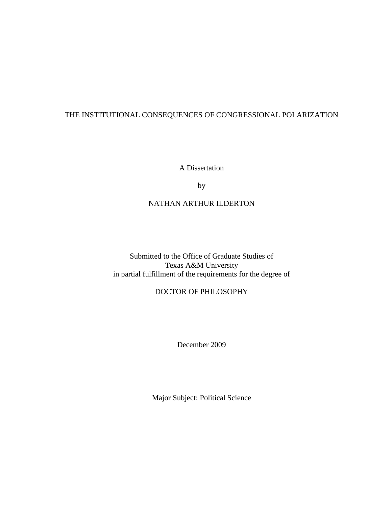# THE INSTITUTIONAL CONSEQUENCES OF CONGRESSIONAL POLARIZATION

A Dissertation

by

# NATHAN ARTHUR ILDERTON

Submitted to the Office of Graduate Studies of Texas A&M University in partial fulfillment of the requirements for the degree of

# DOCTOR OF PHILOSOPHY

December 2009

Major Subject: Political Science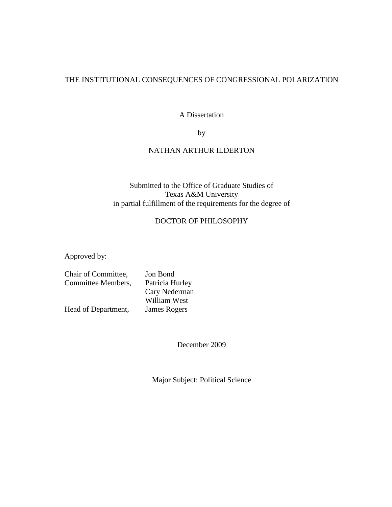### THE INSTITUTIONAL CONSEQUENCES OF CONGRESSIONAL POLARIZATION

A Dissertation

by

### NATHAN ARTHUR ILDERTON

### Submitted to the Office of Graduate Studies of Texas A&M University in partial fulfillment of the requirements for the degree of

### DOCTOR OF PHILOSOPHY

Approved by:

| Chair of Committee, | Jon Bond        |
|---------------------|-----------------|
| Committee Members,  | Patricia Hurley |
|                     | Cary Nederman   |
|                     | William West    |
| Head of Department, | James Rogers    |

December 2009

Major Subject: Political Science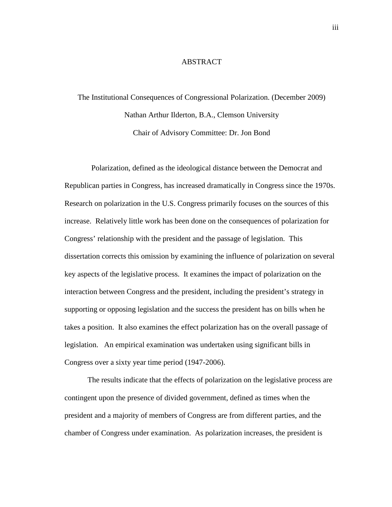#### **ABSTRACT**

# The Institutional Consequences of Congressional Polarization. (December 2009) Nathan Arthur Ilderton, B.A., Clemson University Chair of Advisory Committee: Dr. Jon Bond

 Polarization, defined as the ideological distance between the Democrat and Republican parties in Congress, has increased dramatically in Congress since the 1970s. Research on polarization in the U.S. Congress primarily focuses on the sources of this increase. Relatively little work has been done on the consequences of polarization for Congress' relationship with the president and the passage of legislation. This dissertation corrects this omission by examining the influence of polarization on several key aspects of the legislative process. It examines the impact of polarization on the interaction between Congress and the president, including the president's strategy in supporting or opposing legislation and the success the president has on bills when he takes a position. It also examines the effect polarization has on the overall passage of legislation. An empirical examination was undertaken using significant bills in Congress over a sixty year time period (1947-2006).

The results indicate that the effects of polarization on the legislative process are contingent upon the presence of divided government, defined as times when the president and a majority of members of Congress are from different parties, and the chamber of Congress under examination. As polarization increases, the president is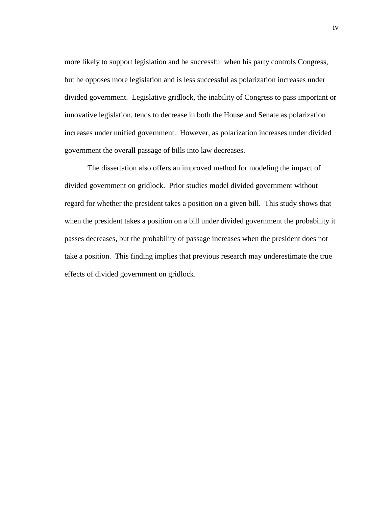more likely to support legislation and be successful when his party controls Congress, but he opposes more legislation and is less successful as polarization increases under divided government. Legislative gridlock, the inability of Congress to pass important or innovative legislation, tends to decrease in both the House and Senate as polarization increases under unified government. However, as polarization increases under divided government the overall passage of bills into law decreases.

The dissertation also offers an improved method for modeling the impact of divided government on gridlock. Prior studies model divided government without regard for whether the president takes a position on a given bill. This study shows that when the president takes a position on a bill under divided government the probability it passes decreases, but the probability of passage increases when the president does not take a position. This finding implies that previous research may underestimate the true effects of divided government on gridlock.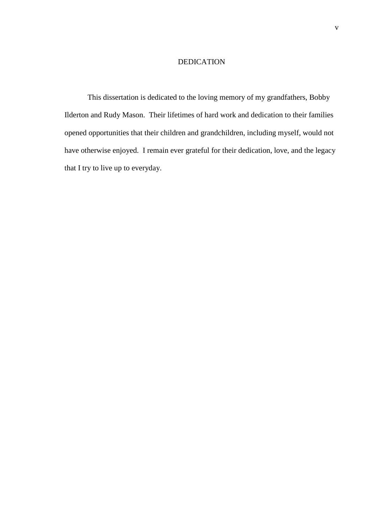### DEDICATION

This dissertation is dedicated to the loving memory of my grandfathers, Bobby Ilderton and Rudy Mason. Their lifetimes of hard work and dedication to their families opened opportunities that their children and grandchildren, including myself, would not have otherwise enjoyed. I remain ever grateful for their dedication, love, and the legacy that I try to live up to everyday.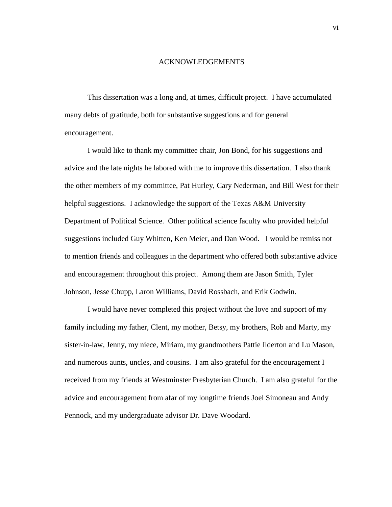#### ACKNOWLEDGEMENTS

This dissertation was a long and, at times, difficult project. I have accumulated many debts of gratitude, both for substantive suggestions and for general encouragement.

I would like to thank my committee chair, Jon Bond, for his suggestions and advice and the late nights he labored with me to improve this dissertation. I also thank the other members of my committee, Pat Hurley, Cary Nederman, and Bill West for their helpful suggestions. I acknowledge the support of the Texas A&M University Department of Political Science. Other political science faculty who provided helpful suggestions included Guy Whitten, Ken Meier, and Dan Wood. I would be remiss not to mention friends and colleagues in the department who offered both substantive advice and encouragement throughout this project. Among them are Jason Smith, Tyler Johnson, Jesse Chupp, Laron Williams, David Rossbach, and Erik Godwin.

I would have never completed this project without the love and support of my family including my father, Clent, my mother, Betsy, my brothers, Rob and Marty, my sister-in-law, Jenny, my niece, Miriam, my grandmothers Pattie Ilderton and Lu Mason, and numerous aunts, uncles, and cousins. I am also grateful for the encouragement I received from my friends at Westminster Presbyterian Church. I am also grateful for the advice and encouragement from afar of my longtime friends Joel Simoneau and Andy Pennock, and my undergraduate advisor Dr. Dave Woodard.

vi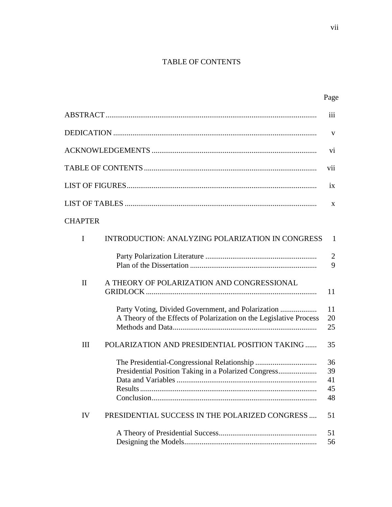# TABLE OF CONTENTS

|                |                                                                    | iii                        |
|----------------|--------------------------------------------------------------------|----------------------------|
|                |                                                                    | V                          |
|                |                                                                    | vi                         |
|                |                                                                    | vii                        |
|                |                                                                    | 1X                         |
|                |                                                                    | X                          |
| <b>CHAPTER</b> |                                                                    |                            |
| $\mathbf I$    | <b>INTRODUCTION: ANALYZING POLARIZATION IN CONGRESS</b>            | 1                          |
|                |                                                                    | $\overline{2}$<br>9        |
| $\mathbf{I}$   | A THEORY OF POLARIZATION AND CONGRESSIONAL                         | 11                         |
|                | A Theory of the Effects of Polarization on the Legislative Process | 11<br>20<br>25             |
| III            | POLARIZATION AND PRESIDENTIAL POSITION TAKING                      | 35                         |
|                |                                                                    | 36<br>39<br>41<br>45<br>48 |
| IV             | PRESIDENTIAL SUCCESS IN THE POLARIZED CONGRESS                     | 51                         |
|                |                                                                    | 51<br>56                   |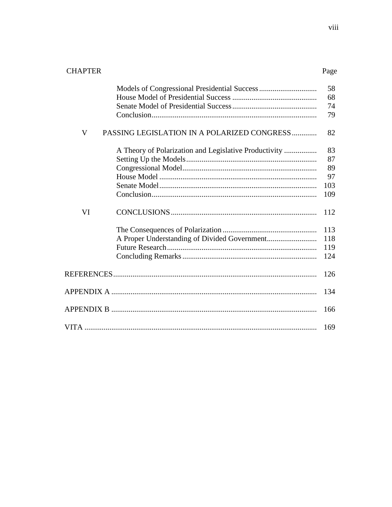| <b>CHAPTER</b> |                                                       | Page                               |
|----------------|-------------------------------------------------------|------------------------------------|
|                |                                                       | 58<br>68<br>74<br>79               |
| V              | PASSING LEGISLATION IN A POLARIZED CONGRESS           | 82                                 |
|                | A Theory of Polarization and Legislative Productivity | 83<br>87<br>89<br>97<br>103<br>109 |
| VI             |                                                       | 112                                |
|                |                                                       | 113<br>118<br>119<br>124           |
|                |                                                       | 126                                |
|                |                                                       | 134                                |
|                |                                                       | 166                                |
|                |                                                       | 169                                |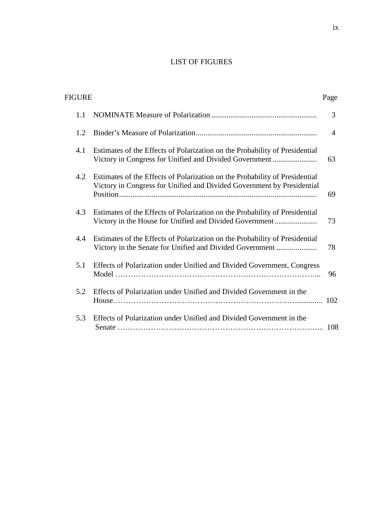# LIST OF FIGURES

| FIGURE |                                                                                                                                                       | Page           |
|--------|-------------------------------------------------------------------------------------------------------------------------------------------------------|----------------|
| 1.1    |                                                                                                                                                       | 3              |
| 1.2    |                                                                                                                                                       | $\overline{A}$ |
| 4.1    | Estimates of the Effects of Polarization on the Probability of Presidential<br>Victory in Congress for Unified and Divided Government                 | 63             |
| 4.2    | Estimates of the Effects of Polarization on the Probability of Presidential<br>Victory in Congress for Unified and Divided Government by Presidential | 69             |
| 4.3    | Estimates of the Effects of Polarization on the Probability of Presidential<br>Victory in the House for Unified and Divided Government                | 73             |
| 4.4    | Estimates of the Effects of Polarization on the Probability of Presidential<br>Victory in the Senate for Unified and Divided Government               | 78             |
| 5.1    | Effects of Polarization under Unified and Divided Government, Congress                                                                                | 96             |
| 5.2    | Effects of Polarization under Unified and Divided Government in the                                                                                   |                |
| 5.3    | Effects of Polarization under Unified and Divided Government in the                                                                                   | -108           |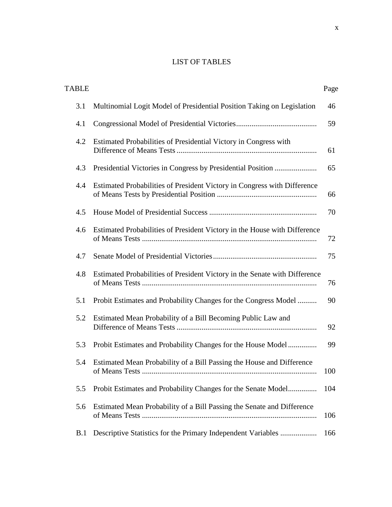# LIST OF TABLES

| <b>TABLE</b> |                                                                                         | Page |
|--------------|-----------------------------------------------------------------------------------------|------|
| 3.1          | Multinomial Logit Model of Presidential Position Taking on Legislation                  | 46   |
| 4.1          |                                                                                         | 59   |
| 4.2          | Estimated Probabilities of Presidential Victory in Congress with                        | 61   |
| 4.3          |                                                                                         | 65   |
| 4.4          | Estimated Probabilities of President Victory in Congress with Difference                | 66   |
| 4.5          |                                                                                         | 70   |
| 4.6          | Estimated Probabilities of President Victory in the House with Difference               | 72   |
| 4.7          |                                                                                         | 75   |
| 4.8          | Estimated Probabilities of President Victory in the Senate with Difference              | 76   |
| 5.1          | Probit Estimates and Probability Changes for the Congress Model                         | 90   |
| 5.2          | Estimated Mean Probability of a Bill Becoming Public Law and                            | 92   |
| 5.3          | Probit Estimates and Probability Changes for the House Model                            | 99   |
| 5.4          | Estimated Mean Probability of a Bill Passing the House and Difference<br>of Means Tests | 100  |
| 5.5          | Probit Estimates and Probability Changes for the Senate Model                           | 104  |
| 5.6          | Estimated Mean Probability of a Bill Passing the Senate and Difference                  | 106  |
| B.1          | Descriptive Statistics for the Primary Independent Variables                            | 166  |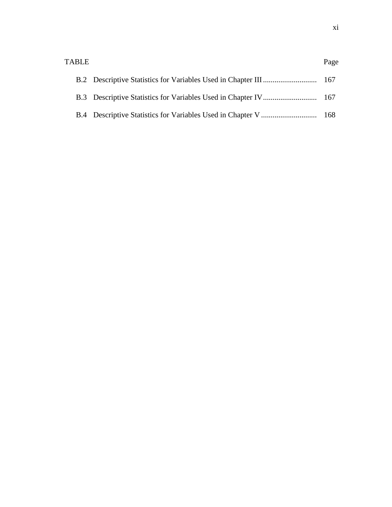| <b>TABLE</b> | Page |
|--------------|------|
|              |      |
|              |      |
|              |      |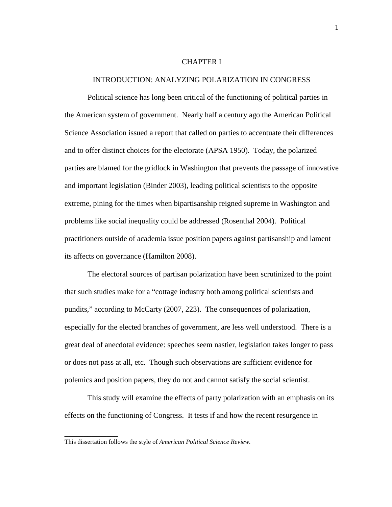#### CHAPTER I

#### INTRODUCTION: ANALYZING POLARIZATION IN CONGRESS

 Political science has long been critical of the functioning of political parties in the American system of government. Nearly half a century ago the American Political Science Association issued a report that called on parties to accentuate their differences and to offer distinct choices for the electorate (APSA 1950). Today, the polarized parties are blamed for the gridlock in Washington that prevents the passage of innovative and important legislation (Binder 2003), leading political scientists to the opposite extreme, pining for the times when bipartisanship reigned supreme in Washington and problems like social inequality could be addressed (Rosenthal 2004). Political practitioners outside of academia issue position papers against partisanship and lament its affects on governance (Hamilton 2008).

 The electoral sources of partisan polarization have been scrutinized to the point that such studies make for a "cottage industry both among political scientists and pundits," according to McCarty (2007, 223). The consequences of polarization, especially for the elected branches of government, are less well understood. There is a great deal of anecdotal evidence: speeches seem nastier, legislation takes longer to pass or does not pass at all, etc. Though such observations are sufficient evidence for polemics and position papers, they do not and cannot satisfy the social scientist.

 This study will examine the effects of party polarization with an emphasis on its effects on the functioning of Congress. It tests if and how the recent resurgence in

\_\_\_\_\_\_\_\_\_\_\_\_\_\_

This dissertation follows the style of *American Political Science Review.*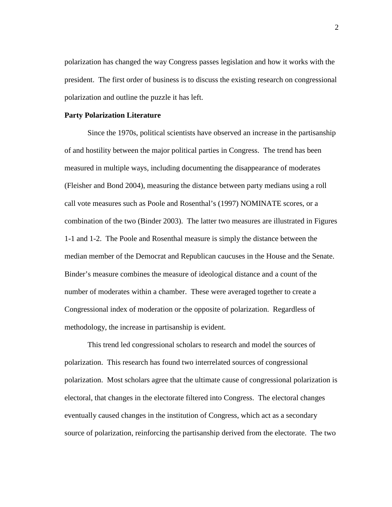polarization has changed the way Congress passes legislation and how it works with the president. The first order of business is to discuss the existing research on congressional polarization and outline the puzzle it has left.

#### **Party Polarization Literature**

 Since the 1970s, political scientists have observed an increase in the partisanship of and hostility between the major political parties in Congress. The trend has been measured in multiple ways, including documenting the disappearance of moderates (Fleisher and Bond 2004), measuring the distance between party medians using a roll call vote measures such as Poole and Rosenthal's (1997) NOMINATE scores, or a combination of the two (Binder 2003). The latter two measures are illustrated in Figures 1-1 and 1-2. The Poole and Rosenthal measure is simply the distance between the median member of the Democrat and Republican caucuses in the House and the Senate. Binder's measure combines the measure of ideological distance and a count of the number of moderates within a chamber. These were averaged together to create a Congressional index of moderation or the opposite of polarization. Regardless of methodology, the increase in partisanship is evident.

 This trend led congressional scholars to research and model the sources of polarization. This research has found two interrelated sources of congressional polarization. Most scholars agree that the ultimate cause of congressional polarization is electoral, that changes in the electorate filtered into Congress. The electoral changes eventually caused changes in the institution of Congress, which act as a secondary source of polarization, reinforcing the partisanship derived from the electorate. The two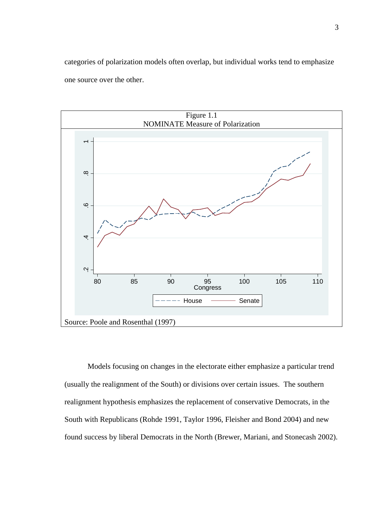categories of polarization models often overlap, but individual works tend to emphasize one source over the other.



Models focusing on changes in the electorate either emphasize a particular trend (usually the realignment of the South) or divisions over certain issues. The southern realignment hypothesis emphasizes the replacement of conservative Democrats, in the South with Republicans (Rohde 1991, Taylor 1996, Fleisher and Bond 2004) and new found success by liberal Democrats in the North (Brewer, Mariani, and Stonecash 2002).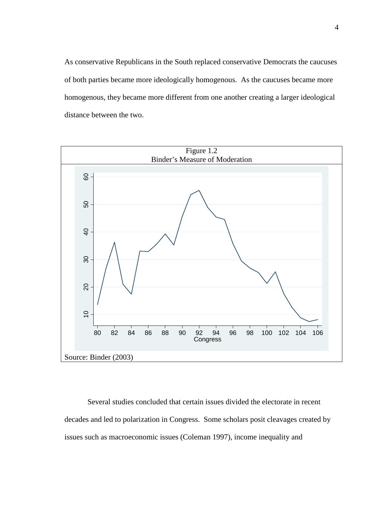As conservative Republicans in the South replaced conservative Democrats the caucuses of both parties became more ideologically homogenous. As the caucuses became more homogenous, they became more different from one another creating a larger ideological distance between the two.



Several studies concluded that certain issues divided the electorate in recent decades and led to polarization in Congress. Some scholars posit cleavages created by issues such as macroeconomic issues (Coleman 1997), income inequality and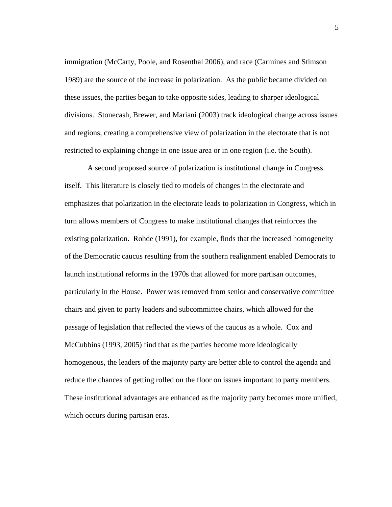immigration (McCarty, Poole, and Rosenthal 2006), and race (Carmines and Stimson 1989) are the source of the increase in polarization. As the public became divided on these issues, the parties began to take opposite sides, leading to sharper ideological divisions. Stonecash, Brewer, and Mariani (2003) track ideological change across issues and regions, creating a comprehensive view of polarization in the electorate that is not restricted to explaining change in one issue area or in one region (i.e. the South).

 A second proposed source of polarization is institutional change in Congress itself. This literature is closely tied to models of changes in the electorate and emphasizes that polarization in the electorate leads to polarization in Congress, which in turn allows members of Congress to make institutional changes that reinforces the existing polarization. Rohde (1991), for example, finds that the increased homogeneity of the Democratic caucus resulting from the southern realignment enabled Democrats to launch institutional reforms in the 1970s that allowed for more partisan outcomes, particularly in the House. Power was removed from senior and conservative committee chairs and given to party leaders and subcommittee chairs, which allowed for the passage of legislation that reflected the views of the caucus as a whole. Cox and McCubbins (1993, 2005) find that as the parties become more ideologically homogenous, the leaders of the majority party are better able to control the agenda and reduce the chances of getting rolled on the floor on issues important to party members. These institutional advantages are enhanced as the majority party becomes more unified, which occurs during partisan eras.

5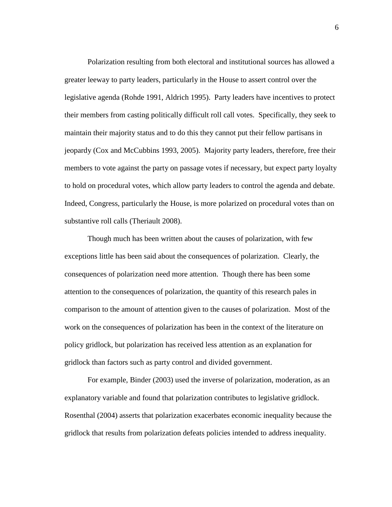Polarization resulting from both electoral and institutional sources has allowed a greater leeway to party leaders, particularly in the House to assert control over the legislative agenda (Rohde 1991, Aldrich 1995). Party leaders have incentives to protect their members from casting politically difficult roll call votes. Specifically, they seek to maintain their majority status and to do this they cannot put their fellow partisans in jeopardy (Cox and McCubbins 1993, 2005). Majority party leaders, therefore, free their members to vote against the party on passage votes if necessary, but expect party loyalty to hold on procedural votes, which allow party leaders to control the agenda and debate. Indeed, Congress, particularly the House, is more polarized on procedural votes than on substantive roll calls (Theriault 2008).

 Though much has been written about the causes of polarization, with few exceptions little has been said about the consequences of polarization. Clearly, the consequences of polarization need more attention. Though there has been some attention to the consequences of polarization, the quantity of this research pales in comparison to the amount of attention given to the causes of polarization. Most of the work on the consequences of polarization has been in the context of the literature on policy gridlock, but polarization has received less attention as an explanation for gridlock than factors such as party control and divided government.

 For example, Binder (2003) used the inverse of polarization, moderation, as an explanatory variable and found that polarization contributes to legislative gridlock. Rosenthal (2004) asserts that polarization exacerbates economic inequality because the gridlock that results from polarization defeats policies intended to address inequality.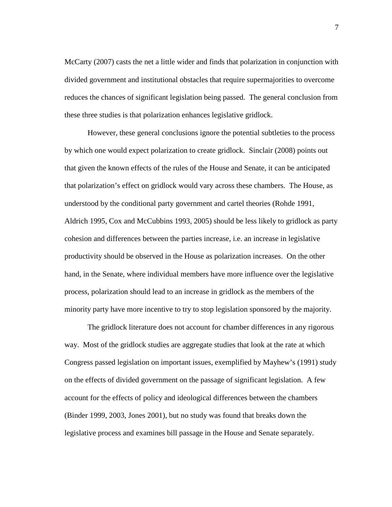McCarty (2007) casts the net a little wider and finds that polarization in conjunction with divided government and institutional obstacles that require supermajorities to overcome reduces the chances of significant legislation being passed. The general conclusion from these three studies is that polarization enhances legislative gridlock.

 However, these general conclusions ignore the potential subtleties to the process by which one would expect polarization to create gridlock. Sinclair (2008) points out that given the known effects of the rules of the House and Senate, it can be anticipated that polarization's effect on gridlock would vary across these chambers. The House, as understood by the conditional party government and cartel theories (Rohde 1991, Aldrich 1995, Cox and McCubbins 1993, 2005) should be less likely to gridlock as party cohesion and differences between the parties increase, i.e. an increase in legislative productivity should be observed in the House as polarization increases. On the other hand, in the Senate, where individual members have more influence over the legislative process, polarization should lead to an increase in gridlock as the members of the minority party have more incentive to try to stop legislation sponsored by the majority.

 The gridlock literature does not account for chamber differences in any rigorous way. Most of the gridlock studies are aggregate studies that look at the rate at which Congress passed legislation on important issues, exemplified by Mayhew's (1991) study on the effects of divided government on the passage of significant legislation. A few account for the effects of policy and ideological differences between the chambers (Binder 1999, 2003, Jones 2001), but no study was found that breaks down the legislative process and examines bill passage in the House and Senate separately.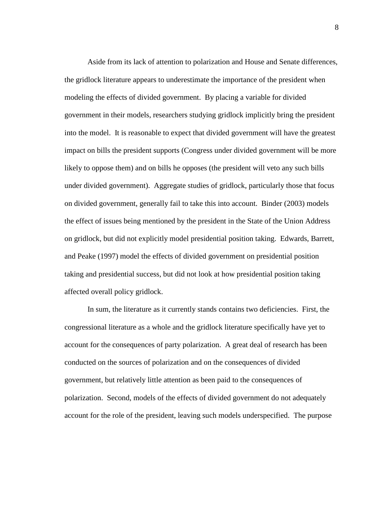Aside from its lack of attention to polarization and House and Senate differences, the gridlock literature appears to underestimate the importance of the president when modeling the effects of divided government. By placing a variable for divided government in their models, researchers studying gridlock implicitly bring the president into the model. It is reasonable to expect that divided government will have the greatest impact on bills the president supports (Congress under divided government will be more likely to oppose them) and on bills he opposes (the president will veto any such bills under divided government). Aggregate studies of gridlock, particularly those that focus on divided government, generally fail to take this into account. Binder (2003) models the effect of issues being mentioned by the president in the State of the Union Address on gridlock, but did not explicitly model presidential position taking. Edwards, Barrett, and Peake (1997) model the effects of divided government on presidential position taking and presidential success, but did not look at how presidential position taking affected overall policy gridlock.

 In sum, the literature as it currently stands contains two deficiencies. First, the congressional literature as a whole and the gridlock literature specifically have yet to account for the consequences of party polarization. A great deal of research has been conducted on the sources of polarization and on the consequences of divided government, but relatively little attention as been paid to the consequences of polarization. Second, models of the effects of divided government do not adequately account for the role of the president, leaving such models underspecified. The purpose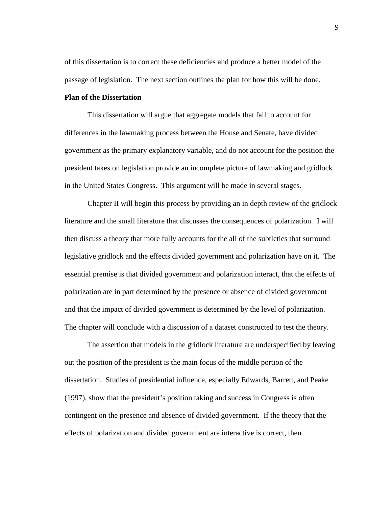of this dissertation is to correct these deficiencies and produce a better model of the passage of legislation. The next section outlines the plan for how this will be done.

### **Plan of the Dissertation**

This dissertation will argue that aggregate models that fail to account for differences in the lawmaking process between the House and Senate, have divided government as the primary explanatory variable, and do not account for the position the president takes on legislation provide an incomplete picture of lawmaking and gridlock in the United States Congress. This argument will be made in several stages.

 Chapter II will begin this process by providing an in depth review of the gridlock literature and the small literature that discusses the consequences of polarization. I will then discuss a theory that more fully accounts for the all of the subtleties that surround legislative gridlock and the effects divided government and polarization have on it. The essential premise is that divided government and polarization interact, that the effects of polarization are in part determined by the presence or absence of divided government and that the impact of divided government is determined by the level of polarization. The chapter will conclude with a discussion of a dataset constructed to test the theory.

 The assertion that models in the gridlock literature are underspecified by leaving out the position of the president is the main focus of the middle portion of the dissertation. Studies of presidential influence, especially Edwards, Barrett, and Peake (1997), show that the president's position taking and success in Congress is often contingent on the presence and absence of divided government. If the theory that the effects of polarization and divided government are interactive is correct, then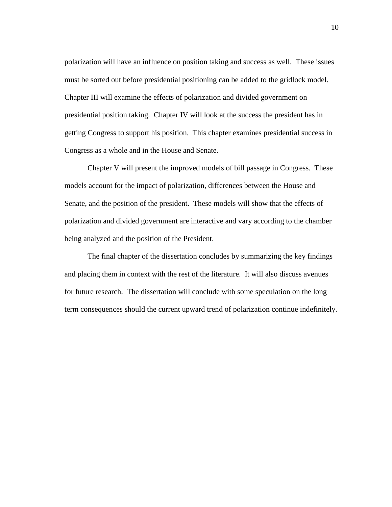polarization will have an influence on position taking and success as well. These issues must be sorted out before presidential positioning can be added to the gridlock model. Chapter III will examine the effects of polarization and divided government on presidential position taking. Chapter IV will look at the success the president has in getting Congress to support his position. This chapter examines presidential success in Congress as a whole and in the House and Senate.

 Chapter V will present the improved models of bill passage in Congress. These models account for the impact of polarization, differences between the House and Senate, and the position of the president. These models will show that the effects of polarization and divided government are interactive and vary according to the chamber being analyzed and the position of the President.

 The final chapter of the dissertation concludes by summarizing the key findings and placing them in context with the rest of the literature. It will also discuss avenues for future research. The dissertation will conclude with some speculation on the long term consequences should the current upward trend of polarization continue indefinitely.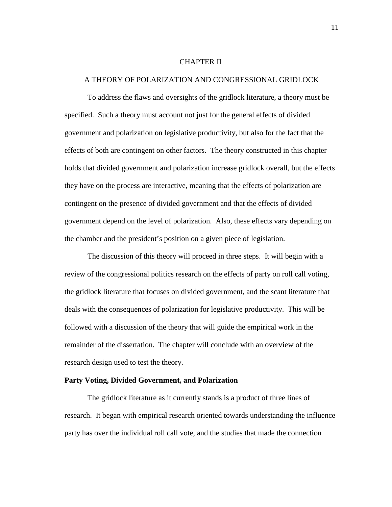#### CHAPTER II

#### A THEORY OF POLARIZATION AND CONGRESSIONAL GRIDLOCK

 To address the flaws and oversights of the gridlock literature, a theory must be specified. Such a theory must account not just for the general effects of divided government and polarization on legislative productivity, but also for the fact that the effects of both are contingent on other factors. The theory constructed in this chapter holds that divided government and polarization increase gridlock overall, but the effects they have on the process are interactive, meaning that the effects of polarization are contingent on the presence of divided government and that the effects of divided government depend on the level of polarization. Also, these effects vary depending on the chamber and the president's position on a given piece of legislation.

 The discussion of this theory will proceed in three steps. It will begin with a review of the congressional politics research on the effects of party on roll call voting, the gridlock literature that focuses on divided government, and the scant literature that deals with the consequences of polarization for legislative productivity. This will be followed with a discussion of the theory that will guide the empirical work in the remainder of the dissertation. The chapter will conclude with an overview of the research design used to test the theory.

### **Party Voting, Divided Government, and Polarization**

 The gridlock literature as it currently stands is a product of three lines of research. It began with empirical research oriented towards understanding the influence party has over the individual roll call vote, and the studies that made the connection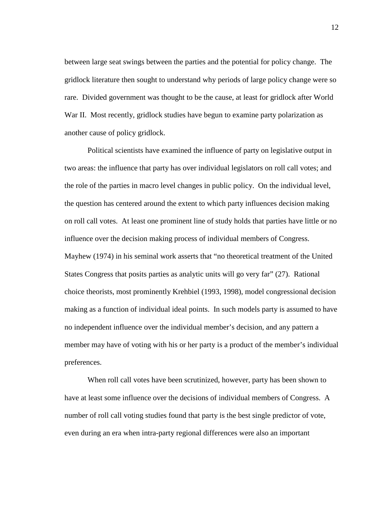between large seat swings between the parties and the potential for policy change. The gridlock literature then sought to understand why periods of large policy change were so rare. Divided government was thought to be the cause, at least for gridlock after World War II. Most recently, gridlock studies have begun to examine party polarization as another cause of policy gridlock.

 Political scientists have examined the influence of party on legislative output in two areas: the influence that party has over individual legislators on roll call votes; and the role of the parties in macro level changes in public policy. On the individual level, the question has centered around the extent to which party influences decision making on roll call votes. At least one prominent line of study holds that parties have little or no influence over the decision making process of individual members of Congress. Mayhew (1974) in his seminal work asserts that "no theoretical treatment of the United States Congress that posits parties as analytic units will go very far" (27). Rational choice theorists, most prominently Krehbiel (1993, 1998), model congressional decision making as a function of individual ideal points. In such models party is assumed to have no independent influence over the individual member's decision, and any pattern a member may have of voting with his or her party is a product of the member's individual preferences.

 When roll call votes have been scrutinized, however, party has been shown to have at least some influence over the decisions of individual members of Congress. A number of roll call voting studies found that party is the best single predictor of vote, even during an era when intra-party regional differences were also an important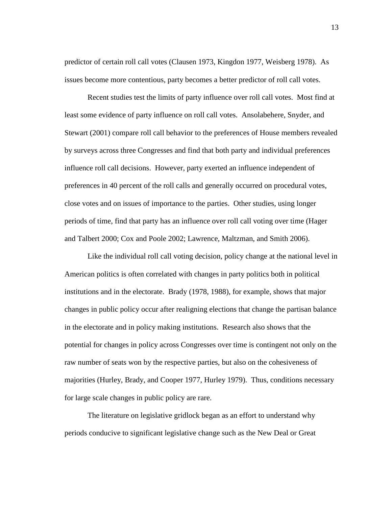predictor of certain roll call votes (Clausen 1973, Kingdon 1977, Weisberg 1978). As issues become more contentious, party becomes a better predictor of roll call votes.

 Recent studies test the limits of party influence over roll call votes. Most find at least some evidence of party influence on roll call votes. Ansolabehere, Snyder, and Stewart (2001) compare roll call behavior to the preferences of House members revealed by surveys across three Congresses and find that both party and individual preferences influence roll call decisions. However, party exerted an influence independent of preferences in 40 percent of the roll calls and generally occurred on procedural votes, close votes and on issues of importance to the parties. Other studies, using longer periods of time, find that party has an influence over roll call voting over time (Hager and Talbert 2000; Cox and Poole 2002; Lawrence, Maltzman, and Smith 2006).

 Like the individual roll call voting decision, policy change at the national level in American politics is often correlated with changes in party politics both in political institutions and in the electorate. Brady (1978, 1988), for example, shows that major changes in public policy occur after realigning elections that change the partisan balance in the electorate and in policy making institutions. Research also shows that the potential for changes in policy across Congresses over time is contingent not only on the raw number of seats won by the respective parties, but also on the cohesiveness of majorities (Hurley, Brady, and Cooper 1977, Hurley 1979). Thus, conditions necessary for large scale changes in public policy are rare.

 The literature on legislative gridlock began as an effort to understand why periods conducive to significant legislative change such as the New Deal or Great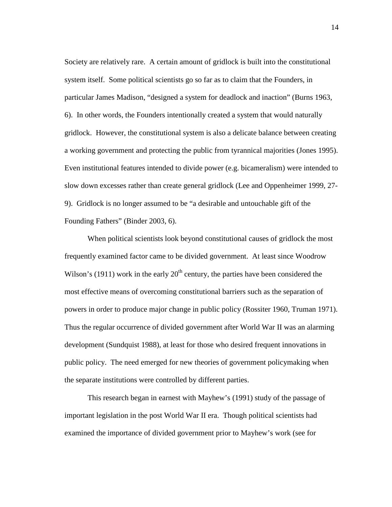Society are relatively rare. A certain amount of gridlock is built into the constitutional system itself. Some political scientists go so far as to claim that the Founders, in particular James Madison, "designed a system for deadlock and inaction" (Burns 1963, 6). In other words, the Founders intentionally created a system that would naturally gridlock. However, the constitutional system is also a delicate balance between creating a working government and protecting the public from tyrannical majorities (Jones 1995). Even institutional features intended to divide power (e.g. bicameralism) were intended to slow down excesses rather than create general gridlock (Lee and Oppenheimer 1999, 27- 9). Gridlock is no longer assumed to be "a desirable and untouchable gift of the Founding Fathers" (Binder 2003, 6).

 When political scientists look beyond constitutional causes of gridlock the most frequently examined factor came to be divided government. At least since Woodrow Wilson's (1911) work in the early  $20<sup>th</sup>$  century, the parties have been considered the most effective means of overcoming constitutional barriers such as the separation of powers in order to produce major change in public policy (Rossiter 1960, Truman 1971). Thus the regular occurrence of divided government after World War II was an alarming development (Sundquist 1988), at least for those who desired frequent innovations in public policy. The need emerged for new theories of government policymaking when the separate institutions were controlled by different parties.

 This research began in earnest with Mayhew's (1991) study of the passage of important legislation in the post World War II era. Though political scientists had examined the importance of divided government prior to Mayhew's work (see for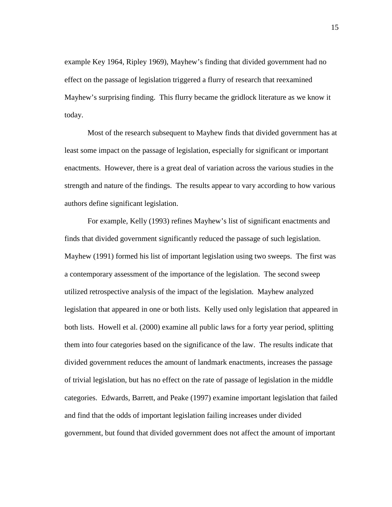example Key 1964, Ripley 1969), Mayhew's finding that divided government had no effect on the passage of legislation triggered a flurry of research that reexamined Mayhew's surprising finding. This flurry became the gridlock literature as we know it today.

 Most of the research subsequent to Mayhew finds that divided government has at least some impact on the passage of legislation, especially for significant or important enactments. However, there is a great deal of variation across the various studies in the strength and nature of the findings. The results appear to vary according to how various authors define significant legislation.

For example, Kelly (1993) refines Mayhew's list of significant enactments and finds that divided government significantly reduced the passage of such legislation. Mayhew (1991) formed his list of important legislation using two sweeps. The first was a contemporary assessment of the importance of the legislation. The second sweep utilized retrospective analysis of the impact of the legislation. Mayhew analyzed legislation that appeared in one or both lists. Kelly used only legislation that appeared in both lists. Howell et al. (2000) examine all public laws for a forty year period, splitting them into four categories based on the significance of the law. The results indicate that divided government reduces the amount of landmark enactments, increases the passage of trivial legislation, but has no effect on the rate of passage of legislation in the middle categories. Edwards, Barrett, and Peake (1997) examine important legislation that failed and find that the odds of important legislation failing increases under divided government, but found that divided government does not affect the amount of important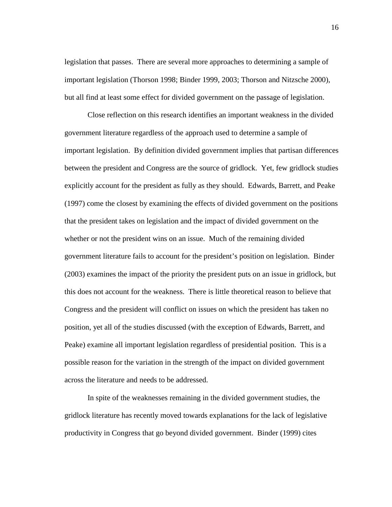legislation that passes. There are several more approaches to determining a sample of important legislation (Thorson 1998; Binder 1999, 2003; Thorson and Nitzsche 2000), but all find at least some effect for divided government on the passage of legislation.

 Close reflection on this research identifies an important weakness in the divided government literature regardless of the approach used to determine a sample of important legislation. By definition divided government implies that partisan differences between the president and Congress are the source of gridlock. Yet, few gridlock studies explicitly account for the president as fully as they should. Edwards, Barrett, and Peake (1997) come the closest by examining the effects of divided government on the positions that the president takes on legislation and the impact of divided government on the whether or not the president wins on an issue. Much of the remaining divided government literature fails to account for the president's position on legislation. Binder (2003) examines the impact of the priority the president puts on an issue in gridlock, but this does not account for the weakness. There is little theoretical reason to believe that Congress and the president will conflict on issues on which the president has taken no position, yet all of the studies discussed (with the exception of Edwards, Barrett, and Peake) examine all important legislation regardless of presidential position. This is a possible reason for the variation in the strength of the impact on divided government across the literature and needs to be addressed.

 In spite of the weaknesses remaining in the divided government studies, the gridlock literature has recently moved towards explanations for the lack of legislative productivity in Congress that go beyond divided government. Binder (1999) cites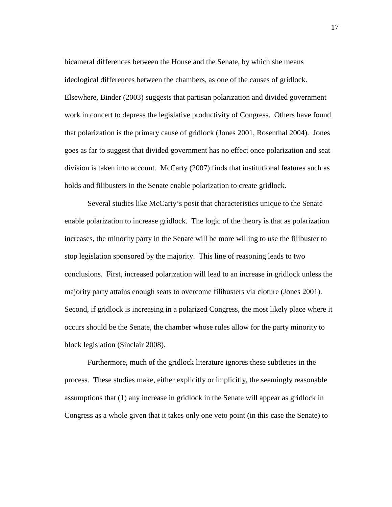bicameral differences between the House and the Senate, by which she means ideological differences between the chambers, as one of the causes of gridlock. Elsewhere, Binder (2003) suggests that partisan polarization and divided government work in concert to depress the legislative productivity of Congress. Others have found that polarization is the primary cause of gridlock (Jones 2001, Rosenthal 2004). Jones goes as far to suggest that divided government has no effect once polarization and seat division is taken into account. McCarty (2007) finds that institutional features such as holds and filibusters in the Senate enable polarization to create gridlock.

 Several studies like McCarty's posit that characteristics unique to the Senate enable polarization to increase gridlock. The logic of the theory is that as polarization increases, the minority party in the Senate will be more willing to use the filibuster to stop legislation sponsored by the majority. This line of reasoning leads to two conclusions. First, increased polarization will lead to an increase in gridlock unless the majority party attains enough seats to overcome filibusters via cloture (Jones 2001). Second, if gridlock is increasing in a polarized Congress, the most likely place where it occurs should be the Senate, the chamber whose rules allow for the party minority to block legislation (Sinclair 2008).

 Furthermore, much of the gridlock literature ignores these subtleties in the process. These studies make, either explicitly or implicitly, the seemingly reasonable assumptions that (1) any increase in gridlock in the Senate will appear as gridlock in Congress as a whole given that it takes only one veto point (in this case the Senate) to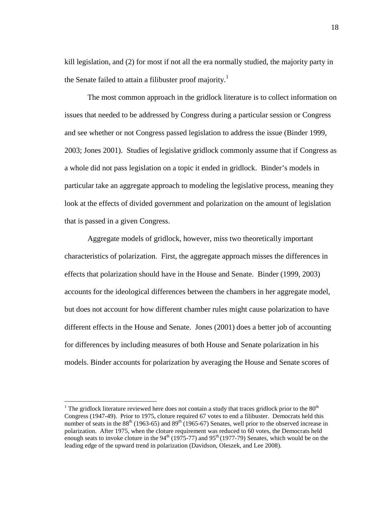kill legislation, and (2) for most if not all the era normally studied, the majority party in the Senate failed to attain a filibuster proof majority.<sup>1</sup>

 The most common approach in the gridlock literature is to collect information on issues that needed to be addressed by Congress during a particular session or Congress and see whether or not Congress passed legislation to address the issue (Binder 1999, 2003; Jones 2001). Studies of legislative gridlock commonly assume that if Congress as a whole did not pass legislation on a topic it ended in gridlock. Binder's models in particular take an aggregate approach to modeling the legislative process, meaning they look at the effects of divided government and polarization on the amount of legislation that is passed in a given Congress.

 Aggregate models of gridlock, however, miss two theoretically important characteristics of polarization. First, the aggregate approach misses the differences in effects that polarization should have in the House and Senate. Binder (1999, 2003) accounts for the ideological differences between the chambers in her aggregate model, but does not account for how different chamber rules might cause polarization to have different effects in the House and Senate. Jones (2001) does a better job of accounting for differences by including measures of both House and Senate polarization in his models. Binder accounts for polarization by averaging the House and Senate scores of

 $\overline{a}$ 

<sup>&</sup>lt;sup>1</sup> The gridlock literature reviewed here does not contain a study that traces gridlock prior to the  $80<sup>th</sup>$ Congress (1947-49). Prior to 1975, cloture required 67 votes to end a filibuster. Democrats held this number of seats in the  $88<sup>th</sup>$  (1963-65) and  $89<sup>th</sup>$  (1965-67) Senates, well prior to the observed increase in polarization. After 1975, when the cloture requirement was reduced to 60 votes, the Democrats held enough seats to invoke cloture in the  $94<sup>th</sup>$  (1975-77) and  $95<sup>th</sup>$  (1977-79) Senates, which would be on the leading edge of the upward trend in polarization (Davidson, Oleszek, and Lee 2008).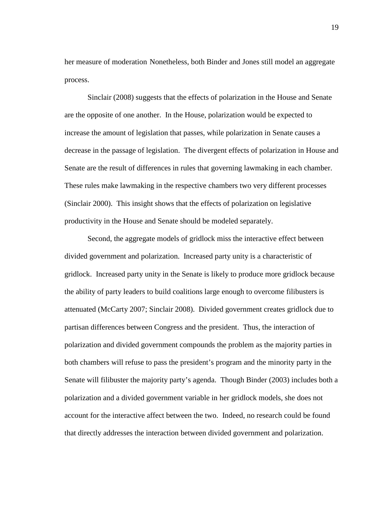her measure of moderation Nonetheless, both Binder and Jones still model an aggregate process.

Sinclair (2008) suggests that the effects of polarization in the House and Senate are the opposite of one another. In the House, polarization would be expected to increase the amount of legislation that passes, while polarization in Senate causes a decrease in the passage of legislation. The divergent effects of polarization in House and Senate are the result of differences in rules that governing lawmaking in each chamber. These rules make lawmaking in the respective chambers two very different processes (Sinclair 2000). This insight shows that the effects of polarization on legislative productivity in the House and Senate should be modeled separately.

 Second, the aggregate models of gridlock miss the interactive effect between divided government and polarization. Increased party unity is a characteristic of gridlock. Increased party unity in the Senate is likely to produce more gridlock because the ability of party leaders to build coalitions large enough to overcome filibusters is attenuated (McCarty 2007; Sinclair 2008). Divided government creates gridlock due to partisan differences between Congress and the president. Thus, the interaction of polarization and divided government compounds the problem as the majority parties in both chambers will refuse to pass the president's program and the minority party in the Senate will filibuster the majority party's agenda. Though Binder (2003) includes both a polarization and a divided government variable in her gridlock models, she does not account for the interactive affect between the two. Indeed, no research could be found that directly addresses the interaction between divided government and polarization.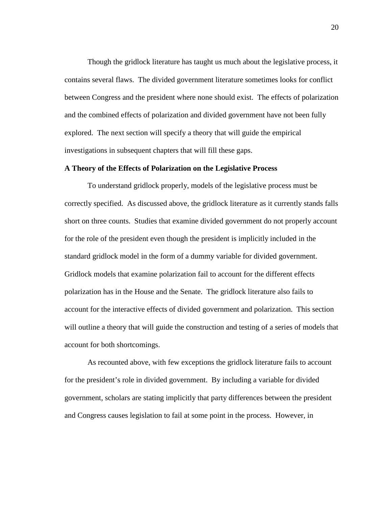Though the gridlock literature has taught us much about the legislative process, it contains several flaws. The divided government literature sometimes looks for conflict between Congress and the president where none should exist. The effects of polarization and the combined effects of polarization and divided government have not been fully explored. The next section will specify a theory that will guide the empirical investigations in subsequent chapters that will fill these gaps.

#### **A Theory of the Effects of Polarization on the Legislative Process**

To understand gridlock properly, models of the legislative process must be correctly specified. As discussed above, the gridlock literature as it currently stands falls short on three counts. Studies that examine divided government do not properly account for the role of the president even though the president is implicitly included in the standard gridlock model in the form of a dummy variable for divided government. Gridlock models that examine polarization fail to account for the different effects polarization has in the House and the Senate. The gridlock literature also fails to account for the interactive effects of divided government and polarization. This section will outline a theory that will guide the construction and testing of a series of models that account for both shortcomings.

 As recounted above, with few exceptions the gridlock literature fails to account for the president's role in divided government. By including a variable for divided government, scholars are stating implicitly that party differences between the president and Congress causes legislation to fail at some point in the process. However, in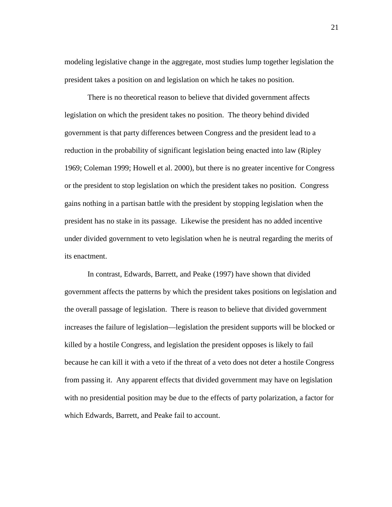modeling legislative change in the aggregate, most studies lump together legislation the president takes a position on and legislation on which he takes no position.

 There is no theoretical reason to believe that divided government affects legislation on which the president takes no position. The theory behind divided government is that party differences between Congress and the president lead to a reduction in the probability of significant legislation being enacted into law (Ripley 1969; Coleman 1999; Howell et al. 2000), but there is no greater incentive for Congress or the president to stop legislation on which the president takes no position. Congress gains nothing in a partisan battle with the president by stopping legislation when the president has no stake in its passage. Likewise the president has no added incentive under divided government to veto legislation when he is neutral regarding the merits of its enactment.

 In contrast, Edwards, Barrett, and Peake (1997) have shown that divided government affects the patterns by which the president takes positions on legislation and the overall passage of legislation. There is reason to believe that divided government increases the failure of legislation—legislation the president supports will be blocked or killed by a hostile Congress, and legislation the president opposes is likely to fail because he can kill it with a veto if the threat of a veto does not deter a hostile Congress from passing it. Any apparent effects that divided government may have on legislation with no presidential position may be due to the effects of party polarization, a factor for which Edwards, Barrett, and Peake fail to account.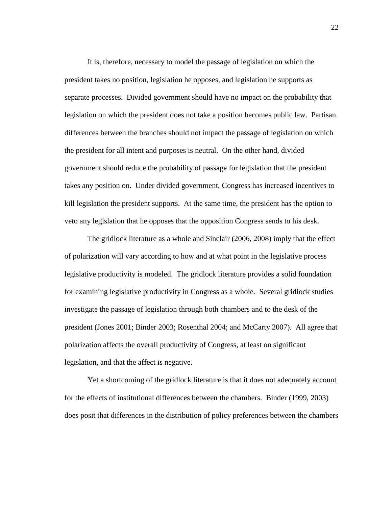It is, therefore, necessary to model the passage of legislation on which the president takes no position, legislation he opposes, and legislation he supports as separate processes. Divided government should have no impact on the probability that legislation on which the president does not take a position becomes public law. Partisan differences between the branches should not impact the passage of legislation on which the president for all intent and purposes is neutral. On the other hand, divided government should reduce the probability of passage for legislation that the president takes any position on. Under divided government, Congress has increased incentives to kill legislation the president supports. At the same time, the president has the option to veto any legislation that he opposes that the opposition Congress sends to his desk.

 The gridlock literature as a whole and Sinclair (2006, 2008) imply that the effect of polarization will vary according to how and at what point in the legislative process legislative productivity is modeled. The gridlock literature provides a solid foundation for examining legislative productivity in Congress as a whole. Several gridlock studies investigate the passage of legislation through both chambers and to the desk of the president (Jones 2001; Binder 2003; Rosenthal 2004; and McCarty 2007). All agree that polarization affects the overall productivity of Congress, at least on significant legislation, and that the affect is negative.

 Yet a shortcoming of the gridlock literature is that it does not adequately account for the effects of institutional differences between the chambers. Binder (1999, 2003) does posit that differences in the distribution of policy preferences between the chambers

22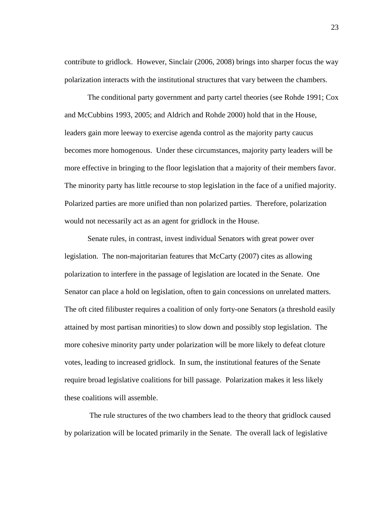contribute to gridlock. However, Sinclair (2006, 2008) brings into sharper focus the way polarization interacts with the institutional structures that vary between the chambers.

 The conditional party government and party cartel theories (see Rohde 1991; Cox and McCubbins 1993, 2005; and Aldrich and Rohde 2000) hold that in the House, leaders gain more leeway to exercise agenda control as the majority party caucus becomes more homogenous. Under these circumstances, majority party leaders will be more effective in bringing to the floor legislation that a majority of their members favor. The minority party has little recourse to stop legislation in the face of a unified majority. Polarized parties are more unified than non polarized parties. Therefore, polarization would not necessarily act as an agent for gridlock in the House.

 Senate rules, in contrast, invest individual Senators with great power over legislation. The non-majoritarian features that McCarty (2007) cites as allowing polarization to interfere in the passage of legislation are located in the Senate. One Senator can place a hold on legislation, often to gain concessions on unrelated matters. The oft cited filibuster requires a coalition of only forty-one Senators (a threshold easily attained by most partisan minorities) to slow down and possibly stop legislation. The more cohesive minority party under polarization will be more likely to defeat cloture votes, leading to increased gridlock. In sum, the institutional features of the Senate require broad legislative coalitions for bill passage. Polarization makes it less likely these coalitions will assemble.

 The rule structures of the two chambers lead to the theory that gridlock caused by polarization will be located primarily in the Senate. The overall lack of legislative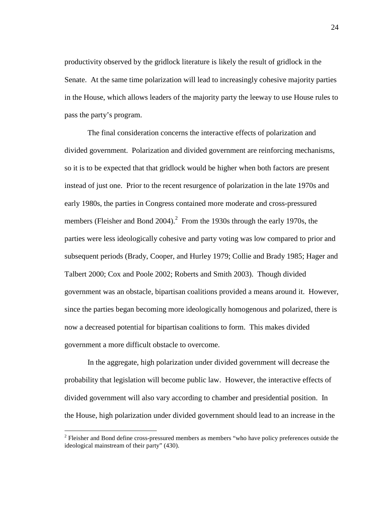productivity observed by the gridlock literature is likely the result of gridlock in the Senate. At the same time polarization will lead to increasingly cohesive majority parties in the House, which allows leaders of the majority party the leeway to use House rules to pass the party's program.

 The final consideration concerns the interactive effects of polarization and divided government. Polarization and divided government are reinforcing mechanisms, so it is to be expected that that gridlock would be higher when both factors are present instead of just one. Prior to the recent resurgence of polarization in the late 1970s and early 1980s, the parties in Congress contained more moderate and cross-pressured members (Fleisher and Bond  $2004$ ).<sup>2</sup> From the 1930s through the early 1970s, the parties were less ideologically cohesive and party voting was low compared to prior and subsequent periods (Brady, Cooper, and Hurley 1979; Collie and Brady 1985; Hager and Talbert 2000; Cox and Poole 2002; Roberts and Smith 2003). Though divided government was an obstacle, bipartisan coalitions provided a means around it. However, since the parties began becoming more ideologically homogenous and polarized, there is now a decreased potential for bipartisan coalitions to form. This makes divided government a more difficult obstacle to overcome.

 In the aggregate, high polarization under divided government will decrease the probability that legislation will become public law. However, the interactive effects of divided government will also vary according to chamber and presidential position. In the House, high polarization under divided government should lead to an increase in the

 $\overline{a}$ 

 $2^2$  Fleisher and Bond define cross-pressured members as members "who have policy preferences outside the ideological mainstream of their party" (430).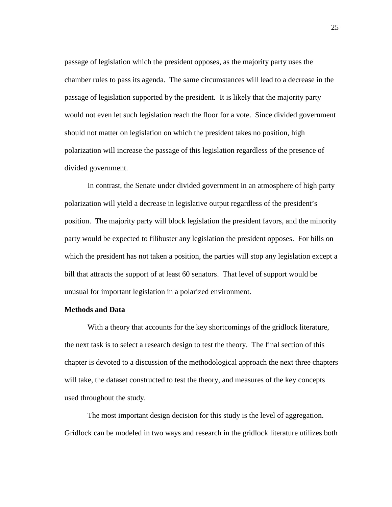passage of legislation which the president opposes, as the majority party uses the chamber rules to pass its agenda. The same circumstances will lead to a decrease in the passage of legislation supported by the president. It is likely that the majority party would not even let such legislation reach the floor for a vote. Since divided government should not matter on legislation on which the president takes no position, high polarization will increase the passage of this legislation regardless of the presence of divided government.

 In contrast, the Senate under divided government in an atmosphere of high party polarization will yield a decrease in legislative output regardless of the president's position. The majority party will block legislation the president favors, and the minority party would be expected to filibuster any legislation the president opposes. For bills on which the president has not taken a position, the parties will stop any legislation except a bill that attracts the support of at least 60 senators. That level of support would be unusual for important legislation in a polarized environment.

#### **Methods and Data**

 With a theory that accounts for the key shortcomings of the gridlock literature, the next task is to select a research design to test the theory. The final section of this chapter is devoted to a discussion of the methodological approach the next three chapters will take, the dataset constructed to test the theory, and measures of the key concepts used throughout the study.

 The most important design decision for this study is the level of aggregation. Gridlock can be modeled in two ways and research in the gridlock literature utilizes both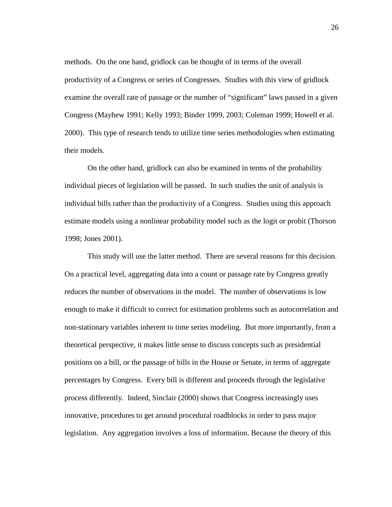methods. On the one hand, gridlock can be thought of in terms of the overall productivity of a Congress or series of Congresses. Studies with this view of gridlock examine the overall rate of passage or the number of "significant" laws passed in a given Congress (Mayhew 1991; Kelly 1993; Binder 1999, 2003; Coleman 1999; Howell et al. 2000). This type of research tends to utilize time series methodologies when estimating their models.

 On the other hand, gridlock can also be examined in terms of the probability individual pieces of legislation will be passed. In such studies the unit of analysis is individual bills rather than the productivity of a Congress. Studies using this approach estimate models using a nonlinear probability model such as the logit or probit (Thorson 1998; Jones 2001).

 This study will use the latter method. There are several reasons for this decision. On a practical level, aggregating data into a count or passage rate by Congress greatly reduces the number of observations in the model. The number of observations is low enough to make it difficult to correct for estimation problems such as autocorrelation and non-stationary variables inherent to time series modeling. But more importantly, from a theoretical perspective, it makes little sense to discuss concepts such as presidential positions on a bill, or the passage of bills in the House or Senate, in terms of aggregate percentages by Congress. Every bill is different and proceeds through the legislative process differently. Indeed, Sinclair (2000) shows that Congress increasingly uses innovative, procedures to get around procedural roadblocks in order to pass major legislation. Any aggregation involves a loss of information. Because the theory of this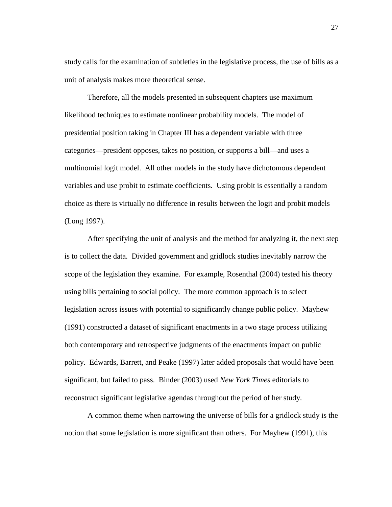study calls for the examination of subtleties in the legislative process, the use of bills as a unit of analysis makes more theoretical sense.

 Therefore, all the models presented in subsequent chapters use maximum likelihood techniques to estimate nonlinear probability models. The model of presidential position taking in Chapter III has a dependent variable with three categories—president opposes, takes no position, or supports a bill—and uses a multinomial logit model. All other models in the study have dichotomous dependent variables and use probit to estimate coefficients. Using probit is essentially a random choice as there is virtually no difference in results between the logit and probit models (Long 1997).

 After specifying the unit of analysis and the method for analyzing it, the next step is to collect the data. Divided government and gridlock studies inevitably narrow the scope of the legislation they examine. For example, Rosenthal (2004) tested his theory using bills pertaining to social policy. The more common approach is to select legislation across issues with potential to significantly change public policy. Mayhew (1991) constructed a dataset of significant enactments in a two stage process utilizing both contemporary and retrospective judgments of the enactments impact on public policy. Edwards, Barrett, and Peake (1997) later added proposals that would have been significant, but failed to pass. Binder (2003) used *New York Times* editorials to reconstruct significant legislative agendas throughout the period of her study.

 A common theme when narrowing the universe of bills for a gridlock study is the notion that some legislation is more significant than others. For Mayhew (1991), this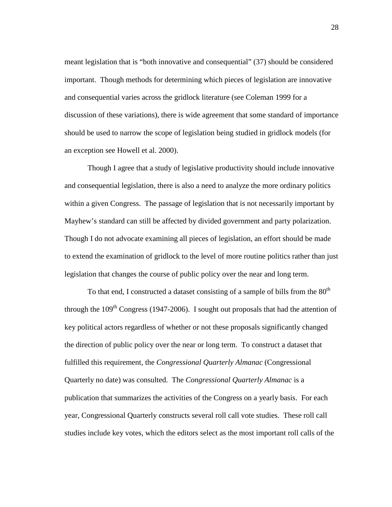meant legislation that is "both innovative and consequential" (37) should be considered important. Though methods for determining which pieces of legislation are innovative and consequential varies across the gridlock literature (see Coleman 1999 for a discussion of these variations), there is wide agreement that some standard of importance should be used to narrow the scope of legislation being studied in gridlock models (for an exception see Howell et al. 2000).

 Though I agree that a study of legislative productivity should include innovative and consequential legislation, there is also a need to analyze the more ordinary politics within a given Congress. The passage of legislation that is not necessarily important by Mayhew's standard can still be affected by divided government and party polarization. Though I do not advocate examining all pieces of legislation, an effort should be made to extend the examination of gridlock to the level of more routine politics rather than just legislation that changes the course of public policy over the near and long term.

To that end, I constructed a dataset consisting of a sample of bills from the  $80<sup>th</sup>$ through the  $109<sup>th</sup>$  Congress (1947-2006). I sought out proposals that had the attention of key political actors regardless of whether or not these proposals significantly changed the direction of public policy over the near or long term. To construct a dataset that fulfilled this requirement, the *Congressional Quarterly Almanac* (Congressional Quarterly no date) was consulted. The *Congressional Quarterly Almanac* is a publication that summarizes the activities of the Congress on a yearly basis. For each year, Congressional Quarterly constructs several roll call vote studies. These roll call studies include key votes, which the editors select as the most important roll calls of the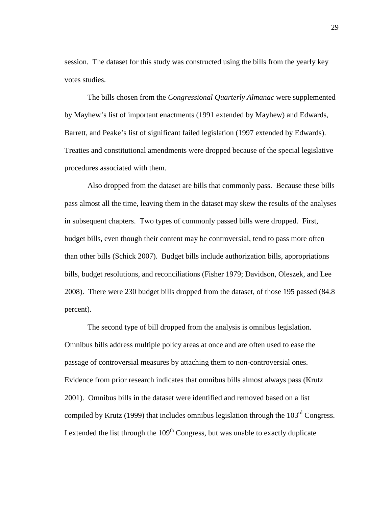session. The dataset for this study was constructed using the bills from the yearly key votes studies.

 The bills chosen from the *Congressional Quarterly Almanac* were supplemented by Mayhew's list of important enactments (1991 extended by Mayhew) and Edwards, Barrett, and Peake's list of significant failed legislation (1997 extended by Edwards). Treaties and constitutional amendments were dropped because of the special legislative procedures associated with them.

 Also dropped from the dataset are bills that commonly pass. Because these bills pass almost all the time, leaving them in the dataset may skew the results of the analyses in subsequent chapters. Two types of commonly passed bills were dropped. First, budget bills, even though their content may be controversial, tend to pass more often than other bills (Schick 2007). Budget bills include authorization bills, appropriations bills, budget resolutions, and reconciliations (Fisher 1979; Davidson, Oleszek, and Lee 2008). There were 230 budget bills dropped from the dataset, of those 195 passed (84.8 percent).

 The second type of bill dropped from the analysis is omnibus legislation. Omnibus bills address multiple policy areas at once and are often used to ease the passage of controversial measures by attaching them to non-controversial ones. Evidence from prior research indicates that omnibus bills almost always pass (Krutz 2001). Omnibus bills in the dataset were identified and removed based on a list compiled by Krutz (1999) that includes omnibus legislation through the  $103<sup>rd</sup>$  Congress. I extended the list through the  $109<sup>th</sup>$  Congress, but was unable to exactly duplicate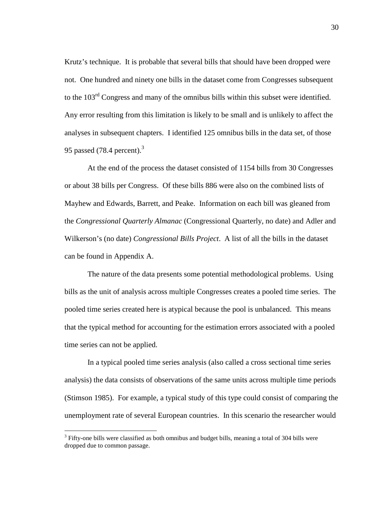Krutz's technique. It is probable that several bills that should have been dropped were not. One hundred and ninety one bills in the dataset come from Congresses subsequent to the 103<sup>rd</sup> Congress and many of the omnibus bills within this subset were identified. Any error resulting from this limitation is likely to be small and is unlikely to affect the analyses in subsequent chapters. I identified 125 omnibus bills in the data set, of those 95 passed (78.4 percent). $3$ 

 At the end of the process the dataset consisted of 1154 bills from 30 Congresses or about 38 bills per Congress. Of these bills 886 were also on the combined lists of Mayhew and Edwards, Barrett, and Peake. Information on each bill was gleaned from the *Congressional Quarterly Almanac* (Congressional Quarterly, no date) and Adler and Wilkerson's (no date) *Congressional Bills Project*. A list of all the bills in the dataset can be found in Appendix A.

 The nature of the data presents some potential methodological problems. Using bills as the unit of analysis across multiple Congresses creates a pooled time series. The pooled time series created here is atypical because the pool is unbalanced. This means that the typical method for accounting for the estimation errors associated with a pooled time series can not be applied.

 In a typical pooled time series analysis (also called a cross sectional time series analysis) the data consists of observations of the same units across multiple time periods (Stimson 1985). For example, a typical study of this type could consist of comparing the unemployment rate of several European countries. In this scenario the researcher would

 $\overline{a}$ 

 $3$  Fifty-one bills were classified as both omnibus and budget bills, meaning a total of 304 bills were dropped due to common passage.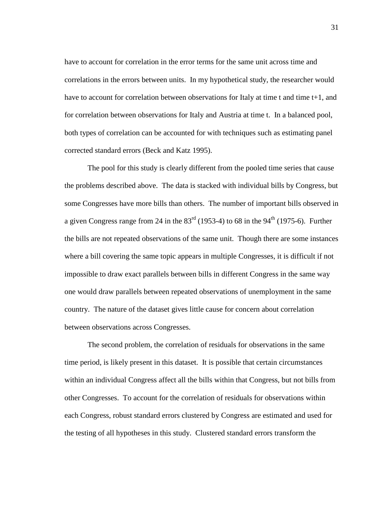have to account for correlation in the error terms for the same unit across time and correlations in the errors between units. In my hypothetical study, the researcher would have to account for correlation between observations for Italy at time t and time t+1, and for correlation between observations for Italy and Austria at time t. In a balanced pool, both types of correlation can be accounted for with techniques such as estimating panel corrected standard errors (Beck and Katz 1995).

 The pool for this study is clearly different from the pooled time series that cause the problems described above. The data is stacked with individual bills by Congress, but some Congresses have more bills than others. The number of important bills observed in a given Congress range from 24 in the  $83<sup>rd</sup>$  (1953-4) to 68 in the 94<sup>th</sup> (1975-6). Further the bills are not repeated observations of the same unit. Though there are some instances where a bill covering the same topic appears in multiple Congresses, it is difficult if not impossible to draw exact parallels between bills in different Congress in the same way one would draw parallels between repeated observations of unemployment in the same country. The nature of the dataset gives little cause for concern about correlation between observations across Congresses.

 The second problem, the correlation of residuals for observations in the same time period, is likely present in this dataset. It is possible that certain circumstances within an individual Congress affect all the bills within that Congress, but not bills from other Congresses. To account for the correlation of residuals for observations within each Congress, robust standard errors clustered by Congress are estimated and used for the testing of all hypotheses in this study. Clustered standard errors transform the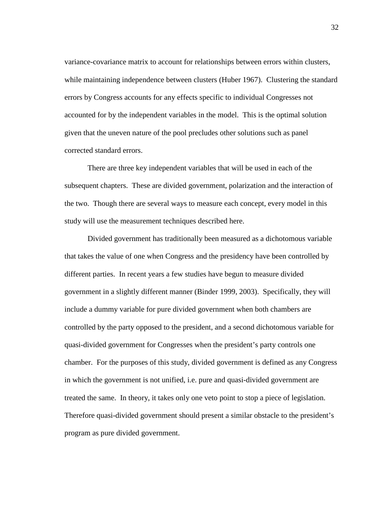variance-covariance matrix to account for relationships between errors within clusters, while maintaining independence between clusters (Huber 1967). Clustering the standard errors by Congress accounts for any effects specific to individual Congresses not accounted for by the independent variables in the model. This is the optimal solution given that the uneven nature of the pool precludes other solutions such as panel corrected standard errors.

 There are three key independent variables that will be used in each of the subsequent chapters. These are divided government, polarization and the interaction of the two. Though there are several ways to measure each concept, every model in this study will use the measurement techniques described here.

 Divided government has traditionally been measured as a dichotomous variable that takes the value of one when Congress and the presidency have been controlled by different parties. In recent years a few studies have begun to measure divided government in a slightly different manner (Binder 1999, 2003). Specifically, they will include a dummy variable for pure divided government when both chambers are controlled by the party opposed to the president, and a second dichotomous variable for quasi-divided government for Congresses when the president's party controls one chamber. For the purposes of this study, divided government is defined as any Congress in which the government is not unified, i.e. pure and quasi-divided government are treated the same. In theory, it takes only one veto point to stop a piece of legislation. Therefore quasi-divided government should present a similar obstacle to the president's program as pure divided government.

32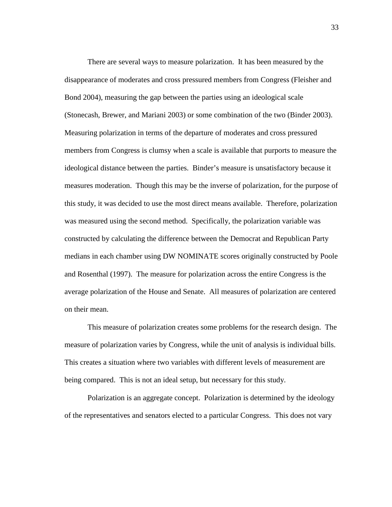There are several ways to measure polarization. It has been measured by the disappearance of moderates and cross pressured members from Congress (Fleisher and Bond 2004), measuring the gap between the parties using an ideological scale (Stonecash, Brewer, and Mariani 2003) or some combination of the two (Binder 2003). Measuring polarization in terms of the departure of moderates and cross pressured members from Congress is clumsy when a scale is available that purports to measure the ideological distance between the parties. Binder's measure is unsatisfactory because it measures moderation. Though this may be the inverse of polarization, for the purpose of this study, it was decided to use the most direct means available. Therefore, polarization was measured using the second method. Specifically, the polarization variable was constructed by calculating the difference between the Democrat and Republican Party medians in each chamber using DW NOMINATE scores originally constructed by Poole and Rosenthal (1997). The measure for polarization across the entire Congress is the average polarization of the House and Senate. All measures of polarization are centered on their mean.

 This measure of polarization creates some problems for the research design. The measure of polarization varies by Congress, while the unit of analysis is individual bills. This creates a situation where two variables with different levels of measurement are being compared. This is not an ideal setup, but necessary for this study.

 Polarization is an aggregate concept. Polarization is determined by the ideology of the representatives and senators elected to a particular Congress. This does not vary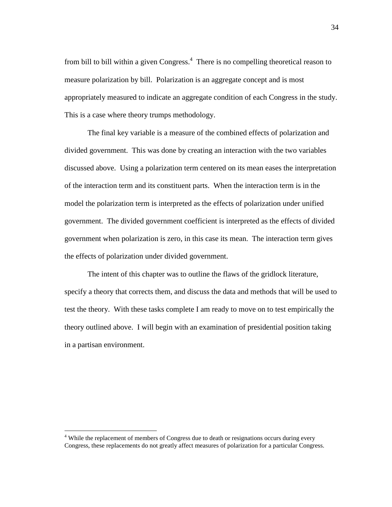from bill to bill within a given Congress. $<sup>4</sup>$  There is no compelling theoretical reason to</sup> measure polarization by bill. Polarization is an aggregate concept and is most appropriately measured to indicate an aggregate condition of each Congress in the study. This is a case where theory trumps methodology.

 The final key variable is a measure of the combined effects of polarization and divided government. This was done by creating an interaction with the two variables discussed above. Using a polarization term centered on its mean eases the interpretation of the interaction term and its constituent parts. When the interaction term is in the model the polarization term is interpreted as the effects of polarization under unified government. The divided government coefficient is interpreted as the effects of divided government when polarization is zero, in this case its mean. The interaction term gives the effects of polarization under divided government.

 The intent of this chapter was to outline the flaws of the gridlock literature, specify a theory that corrects them, and discuss the data and methods that will be used to test the theory. With these tasks complete I am ready to move on to test empirically the theory outlined above. I will begin with an examination of presidential position taking in a partisan environment.

 $\overline{a}$ 

<sup>&</sup>lt;sup>4</sup> While the replacement of members of Congress due to death or resignations occurs during every Congress, these replacements do not greatly affect measures of polarization for a particular Congress.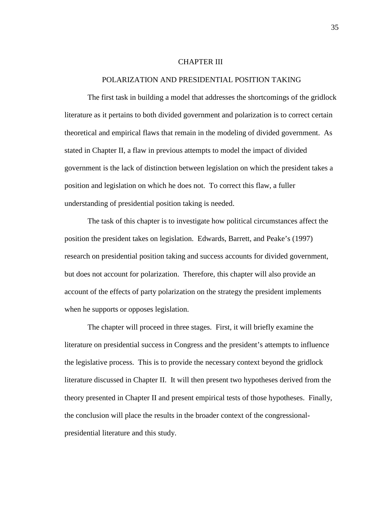#### CHAPTER III

#### POLARIZATION AND PRESIDENTIAL POSITION TAKING

 The first task in building a model that addresses the shortcomings of the gridlock literature as it pertains to both divided government and polarization is to correct certain theoretical and empirical flaws that remain in the modeling of divided government. As stated in Chapter II, a flaw in previous attempts to model the impact of divided government is the lack of distinction between legislation on which the president takes a position and legislation on which he does not. To correct this flaw, a fuller understanding of presidential position taking is needed.

 The task of this chapter is to investigate how political circumstances affect the position the president takes on legislation. Edwards, Barrett, and Peake's (1997) research on presidential position taking and success accounts for divided government, but does not account for polarization. Therefore, this chapter will also provide an account of the effects of party polarization on the strategy the president implements when he supports or opposes legislation.

 The chapter will proceed in three stages. First, it will briefly examine the literature on presidential success in Congress and the president's attempts to influence the legislative process. This is to provide the necessary context beyond the gridlock literature discussed in Chapter II. It will then present two hypotheses derived from the theory presented in Chapter II and present empirical tests of those hypotheses. Finally, the conclusion will place the results in the broader context of the congressionalpresidential literature and this study.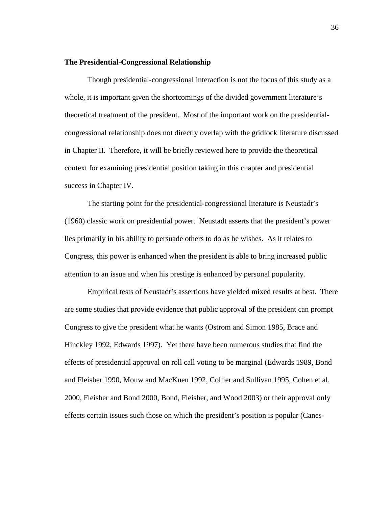## **The Presidential-Congressional Relationship**

 Though presidential-congressional interaction is not the focus of this study as a whole, it is important given the shortcomings of the divided government literature's theoretical treatment of the president. Most of the important work on the presidentialcongressional relationship does not directly overlap with the gridlock literature discussed in Chapter II. Therefore, it will be briefly reviewed here to provide the theoretical context for examining presidential position taking in this chapter and presidential success in Chapter IV.

 The starting point for the presidential-congressional literature is Neustadt's (1960) classic work on presidential power. Neustadt asserts that the president's power lies primarily in his ability to persuade others to do as he wishes. As it relates to Congress, this power is enhanced when the president is able to bring increased public attention to an issue and when his prestige is enhanced by personal popularity.

 Empirical tests of Neustadt's assertions have yielded mixed results at best. There are some studies that provide evidence that public approval of the president can prompt Congress to give the president what he wants (Ostrom and Simon 1985, Brace and Hinckley 1992, Edwards 1997). Yet there have been numerous studies that find the effects of presidential approval on roll call voting to be marginal (Edwards 1989, Bond and Fleisher 1990, Mouw and MacKuen 1992, Collier and Sullivan 1995, Cohen et al. 2000, Fleisher and Bond 2000, Bond, Fleisher, and Wood 2003) or their approval only effects certain issues such those on which the president's position is popular (Canes-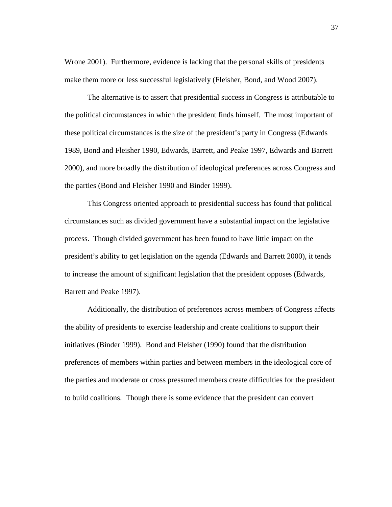Wrone 2001). Furthermore, evidence is lacking that the personal skills of presidents make them more or less successful legislatively (Fleisher, Bond, and Wood 2007).

 The alternative is to assert that presidential success in Congress is attributable to the political circumstances in which the president finds himself. The most important of these political circumstances is the size of the president's party in Congress (Edwards 1989, Bond and Fleisher 1990, Edwards, Barrett, and Peake 1997, Edwards and Barrett 2000), and more broadly the distribution of ideological preferences across Congress and the parties (Bond and Fleisher 1990 and Binder 1999).

 This Congress oriented approach to presidential success has found that political circumstances such as divided government have a substantial impact on the legislative process. Though divided government has been found to have little impact on the president's ability to get legislation on the agenda (Edwards and Barrett 2000), it tends to increase the amount of significant legislation that the president opposes (Edwards, Barrett and Peake 1997).

 Additionally, the distribution of preferences across members of Congress affects the ability of presidents to exercise leadership and create coalitions to support their initiatives (Binder 1999). Bond and Fleisher (1990) found that the distribution preferences of members within parties and between members in the ideological core of the parties and moderate or cross pressured members create difficulties for the president to build coalitions. Though there is some evidence that the president can convert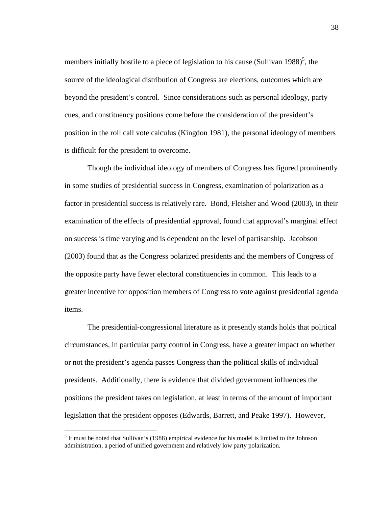members initially hostile to a piece of legislation to his cause (Sullivan 1988)<sup>5</sup>, the source of the ideological distribution of Congress are elections, outcomes which are beyond the president's control. Since considerations such as personal ideology, party cues, and constituency positions come before the consideration of the president's position in the roll call vote calculus (Kingdon 1981), the personal ideology of members is difficult for the president to overcome.

 Though the individual ideology of members of Congress has figured prominently in some studies of presidential success in Congress, examination of polarization as a factor in presidential success is relatively rare. Bond, Fleisher and Wood (2003), in their examination of the effects of presidential approval, found that approval's marginal effect on success is time varying and is dependent on the level of partisanship. Jacobson (2003) found that as the Congress polarized presidents and the members of Congress of the opposite party have fewer electoral constituencies in common. This leads to a greater incentive for opposition members of Congress to vote against presidential agenda items.

 The presidential-congressional literature as it presently stands holds that political circumstances, in particular party control in Congress, have a greater impact on whether or not the president's agenda passes Congress than the political skills of individual presidents. Additionally, there is evidence that divided government influences the positions the president takes on legislation, at least in terms of the amount of important legislation that the president opposes (Edwards, Barrett, and Peake 1997). However,

 $\overline{a}$ 

38

 $<sup>5</sup>$  It must be noted that Sullivan's (1988) empirical evidence for his model is limited to the Johnson</sup> administration, a period of unified government and relatively low party polarization.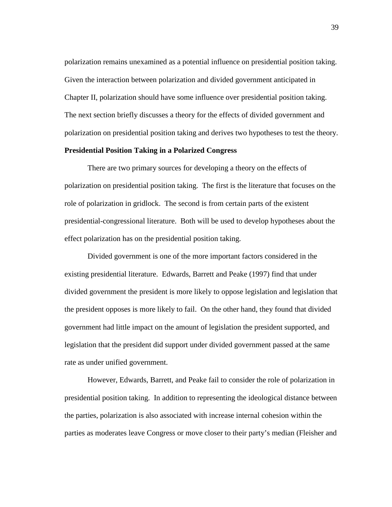polarization remains unexamined as a potential influence on presidential position taking. Given the interaction between polarization and divided government anticipated in Chapter II, polarization should have some influence over presidential position taking. The next section briefly discusses a theory for the effects of divided government and polarization on presidential position taking and derives two hypotheses to test the theory.

### **Presidential Position Taking in a Polarized Congress**

 There are two primary sources for developing a theory on the effects of polarization on presidential position taking. The first is the literature that focuses on the role of polarization in gridlock. The second is from certain parts of the existent presidential-congressional literature. Both will be used to develop hypotheses about the effect polarization has on the presidential position taking.

 Divided government is one of the more important factors considered in the existing presidential literature. Edwards, Barrett and Peake (1997) find that under divided government the president is more likely to oppose legislation and legislation that the president opposes is more likely to fail. On the other hand, they found that divided government had little impact on the amount of legislation the president supported, and legislation that the president did support under divided government passed at the same rate as under unified government.

 However, Edwards, Barrett, and Peake fail to consider the role of polarization in presidential position taking. In addition to representing the ideological distance between the parties, polarization is also associated with increase internal cohesion within the parties as moderates leave Congress or move closer to their party's median (Fleisher and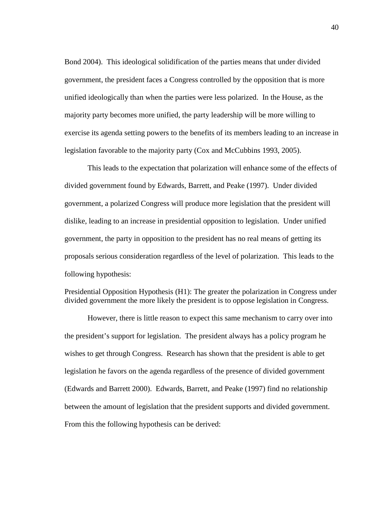Bond 2004). This ideological solidification of the parties means that under divided government, the president faces a Congress controlled by the opposition that is more unified ideologically than when the parties were less polarized. In the House, as the majority party becomes more unified, the party leadership will be more willing to exercise its agenda setting powers to the benefits of its members leading to an increase in legislation favorable to the majority party (Cox and McCubbins 1993, 2005).

 This leads to the expectation that polarization will enhance some of the effects of divided government found by Edwards, Barrett, and Peake (1997). Under divided government, a polarized Congress will produce more legislation that the president will dislike, leading to an increase in presidential opposition to legislation. Under unified government, the party in opposition to the president has no real means of getting its proposals serious consideration regardless of the level of polarization. This leads to the following hypothesis:

Presidential Opposition Hypothesis (H1): The greater the polarization in Congress under divided government the more likely the president is to oppose legislation in Congress.

 However, there is little reason to expect this same mechanism to carry over into the president's support for legislation. The president always has a policy program he wishes to get through Congress. Research has shown that the president is able to get legislation he favors on the agenda regardless of the presence of divided government (Edwards and Barrett 2000). Edwards, Barrett, and Peake (1997) find no relationship between the amount of legislation that the president supports and divided government. From this the following hypothesis can be derived: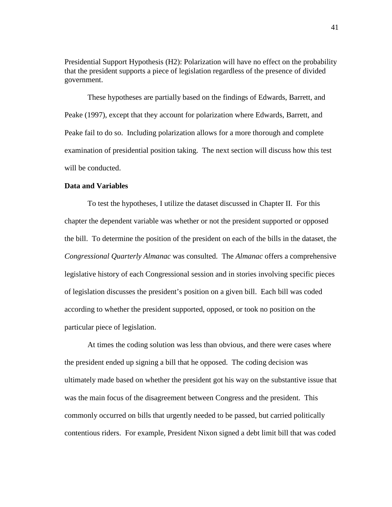Presidential Support Hypothesis (H2): Polarization will have no effect on the probability that the president supports a piece of legislation regardless of the presence of divided government.

 These hypotheses are partially based on the findings of Edwards, Barrett, and Peake (1997), except that they account for polarization where Edwards, Barrett, and Peake fail to do so. Including polarization allows for a more thorough and complete examination of presidential position taking. The next section will discuss how this test will be conducted.

#### **Data and Variables**

To test the hypotheses, I utilize the dataset discussed in Chapter II. For this chapter the dependent variable was whether or not the president supported or opposed the bill. To determine the position of the president on each of the bills in the dataset, the *Congressional Quarterly Almanac* was consulted. The *Almanac* offers a comprehensive legislative history of each Congressional session and in stories involving specific pieces of legislation discusses the president's position on a given bill. Each bill was coded according to whether the president supported, opposed, or took no position on the particular piece of legislation.

At times the coding solution was less than obvious, and there were cases where the president ended up signing a bill that he opposed. The coding decision was ultimately made based on whether the president got his way on the substantive issue that was the main focus of the disagreement between Congress and the president. This commonly occurred on bills that urgently needed to be passed, but carried politically contentious riders. For example, President Nixon signed a debt limit bill that was coded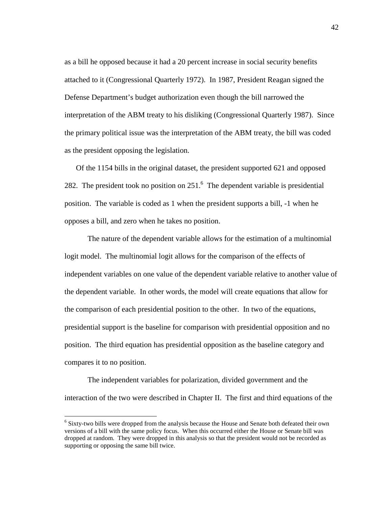as a bill he opposed because it had a 20 percent increase in social security benefits attached to it (Congressional Quarterly 1972). In 1987, President Reagan signed the Defense Department's budget authorization even though the bill narrowed the interpretation of the ABM treaty to his disliking (Congressional Quarterly 1987). Since the primary political issue was the interpretation of the ABM treaty, the bill was coded as the president opposing the legislation.

 Of the 1154 bills in the original dataset, the president supported 621 and opposed 282. The president took no position on  $251<sup>6</sup>$  The dependent variable is presidential position. The variable is coded as 1 when the president supports a bill, -1 when he opposes a bill, and zero when he takes no position.

The nature of the dependent variable allows for the estimation of a multinomial logit model. The multinomial logit allows for the comparison of the effects of independent variables on one value of the dependent variable relative to another value of the dependent variable. In other words, the model will create equations that allow for the comparison of each presidential position to the other. In two of the equations, presidential support is the baseline for comparison with presidential opposition and no position. The third equation has presidential opposition as the baseline category and compares it to no position.

 The independent variables for polarization, divided government and the interaction of the two were described in Chapter II. The first and third equations of the

 $\overline{a}$ 

<sup>&</sup>lt;sup>6</sup> Sixty-two bills were dropped from the analysis because the House and Senate both defeated their own versions of a bill with the same policy focus. When this occurred either the House or Senate bill was dropped at random. They were dropped in this analysis so that the president would not be recorded as supporting or opposing the same bill twice.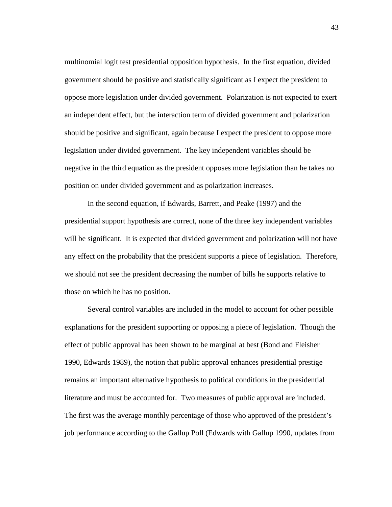multinomial logit test presidential opposition hypothesis. In the first equation, divided government should be positive and statistically significant as I expect the president to oppose more legislation under divided government. Polarization is not expected to exert an independent effect, but the interaction term of divided government and polarization should be positive and significant, again because I expect the president to oppose more legislation under divided government. The key independent variables should be negative in the third equation as the president opposes more legislation than he takes no position on under divided government and as polarization increases.

 In the second equation, if Edwards, Barrett, and Peake (1997) and the presidential support hypothesis are correct, none of the three key independent variables will be significant. It is expected that divided government and polarization will not have any effect on the probability that the president supports a piece of legislation. Therefore, we should not see the president decreasing the number of bills he supports relative to those on which he has no position.

 Several control variables are included in the model to account for other possible explanations for the president supporting or opposing a piece of legislation. Though the effect of public approval has been shown to be marginal at best (Bond and Fleisher 1990, Edwards 1989), the notion that public approval enhances presidential prestige remains an important alternative hypothesis to political conditions in the presidential literature and must be accounted for. Two measures of public approval are included. The first was the average monthly percentage of those who approved of the president's job performance according to the Gallup Poll (Edwards with Gallup 1990, updates from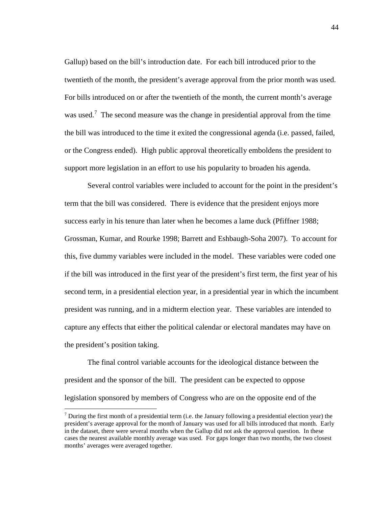Gallup) based on the bill's introduction date. For each bill introduced prior to the twentieth of the month, the president's average approval from the prior month was used. For bills introduced on or after the twentieth of the month, the current month's average was used.<sup>7</sup> The second measure was the change in presidential approval from the time the bill was introduced to the time it exited the congressional agenda (i.e. passed, failed, or the Congress ended). High public approval theoretically emboldens the president to support more legislation in an effort to use his popularity to broaden his agenda.

 Several control variables were included to account for the point in the president's term that the bill was considered. There is evidence that the president enjoys more success early in his tenure than later when he becomes a lame duck (Pfiffner 1988; Grossman, Kumar, and Rourke 1998; Barrett and Eshbaugh-Soha 2007). To account for this, five dummy variables were included in the model. These variables were coded one if the bill was introduced in the first year of the president's first term, the first year of his second term, in a presidential election year, in a presidential year in which the incumbent president was running, and in a midterm election year. These variables are intended to capture any effects that either the political calendar or electoral mandates may have on the president's position taking.

 The final control variable accounts for the ideological distance between the president and the sponsor of the bill. The president can be expected to oppose legislation sponsored by members of Congress who are on the opposite end of the

 $\overline{a}$ 

 $<sup>7</sup>$  During the first month of a presidential term (i.e. the January following a presidential election year) the</sup> president's average approval for the month of January was used for all bills introduced that month. Early in the dataset, there were several months when the Gallup did not ask the approval question. In these cases the nearest available monthly average was used. For gaps longer than two months, the two closest months' averages were averaged together.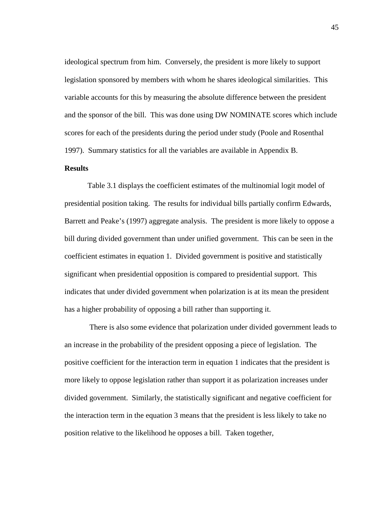ideological spectrum from him. Conversely, the president is more likely to support legislation sponsored by members with whom he shares ideological similarities. This variable accounts for this by measuring the absolute difference between the president and the sponsor of the bill. This was done using DW NOMINATE scores which include scores for each of the presidents during the period under study (Poole and Rosenthal 1997). Summary statistics for all the variables are available in Appendix B.

# **Results**

 Table 3.1 displays the coefficient estimates of the multinomial logit model of presidential position taking. The results for individual bills partially confirm Edwards, Barrett and Peake's (1997) aggregate analysis. The president is more likely to oppose a bill during divided government than under unified government. This can be seen in the coefficient estimates in equation 1. Divided government is positive and statistically significant when presidential opposition is compared to presidential support. This indicates that under divided government when polarization is at its mean the president has a higher probability of opposing a bill rather than supporting it.

 There is also some evidence that polarization under divided government leads to an increase in the probability of the president opposing a piece of legislation. The positive coefficient for the interaction term in equation 1 indicates that the president is more likely to oppose legislation rather than support it as polarization increases under divided government. Similarly, the statistically significant and negative coefficient for the interaction term in the equation 3 means that the president is less likely to take no position relative to the likelihood he opposes a bill. Taken together,

45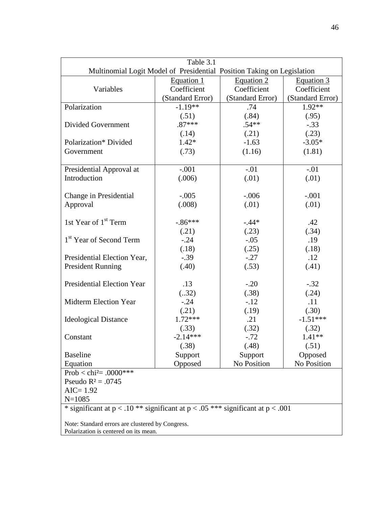| Table 3.1                                                                            |                  |                  |                  |  |  |
|--------------------------------------------------------------------------------------|------------------|------------------|------------------|--|--|
| Multinomial Logit Model of Presidential Position Taking on Legislation               |                  |                  |                  |  |  |
|                                                                                      | Equation 1       | Equation 2       | Equation 3       |  |  |
| Variables                                                                            | Coefficient      | Coefficient      | Coefficient      |  |  |
|                                                                                      | (Standard Error) | (Standard Error) | (Standard Error) |  |  |
| Polarization                                                                         | $-1.19**$        | .74              | $1.92**$         |  |  |
|                                                                                      | (.51)            | (.84)            | (.95)            |  |  |
| Divided Government                                                                   | $.87***$         | $.54**$          | $-.33$           |  |  |
|                                                                                      | (.14)            | (.21)            | (.23)            |  |  |
| Polarization* Divided                                                                | $1.42*$          | $-1.63$          | $-3.05*$         |  |  |
| Government                                                                           | (.73)            | (1.16)           | (1.81)           |  |  |
|                                                                                      |                  |                  |                  |  |  |
| Presidential Approval at                                                             | $-.001$          | $-.01$           | $-.01$           |  |  |
| Introduction                                                                         | (.006)           | (.01)            | (.01)            |  |  |
|                                                                                      |                  |                  |                  |  |  |
| Change in Presidential                                                               | $-.005$          | $-.006$          | $-.001$          |  |  |
| Approval                                                                             | (.008)           | (.01)            | (.01)            |  |  |
|                                                                                      |                  |                  |                  |  |  |
| 1st Year of 1 <sup>st</sup> Term                                                     | $-.86***$        | $-.44*$          | .42              |  |  |
|                                                                                      | (.21)            | (.23)            | (.34)            |  |  |
| 1 <sup>st</sup> Year of Second Term                                                  | $-.24$           | $-.05$           | .19              |  |  |
|                                                                                      | (.18)            | (.25)            | (.18)            |  |  |
| Presidential Election Year,                                                          | $-.39$           | $-.27$           | .12              |  |  |
| <b>President Running</b>                                                             | (.40)            | (.53)            | (.41)            |  |  |
|                                                                                      |                  |                  |                  |  |  |
| <b>Presidential Election Year</b>                                                    | .13              | $-.20$           | $-.32$           |  |  |
|                                                                                      | (.32)            | (.38)            | (.24)            |  |  |
| <b>Midterm Election Year</b>                                                         | $-.24$           | $-.12$           | .11              |  |  |
|                                                                                      | (.21)            | (.19)            | (.30)            |  |  |
| <b>Ideological Distance</b>                                                          | $1.72***$        | .21              | $-1.51***$       |  |  |
|                                                                                      | (.33)            | (.32)            | (.32)            |  |  |
| Constant                                                                             | $-2.14***$       | $-.72$           | $1.41**$         |  |  |
|                                                                                      | (.38)            | (.48)            | (.51)            |  |  |
| <b>Baseline</b>                                                                      | Support          | Support          | Opposed          |  |  |
| Equation                                                                             | Opposed          | No Position      | No Position      |  |  |
| Prob < chi <sup>2</sup> = .0000***                                                   |                  |                  |                  |  |  |
| Pseudo $R^2 = .0745$                                                                 |                  |                  |                  |  |  |
| $AIC = 1.92$                                                                         |                  |                  |                  |  |  |
|                                                                                      |                  |                  |                  |  |  |
| $N = 1085$                                                                           |                  |                  |                  |  |  |
| * significant at $p < .10$ ** significant at $p < .05$ *** significant at $p < .001$ |                  |                  |                  |  |  |
| Note: Standard errors are clustered by Congress.                                     |                  |                  |                  |  |  |
| Polarization is centered on its mean.                                                |                  |                  |                  |  |  |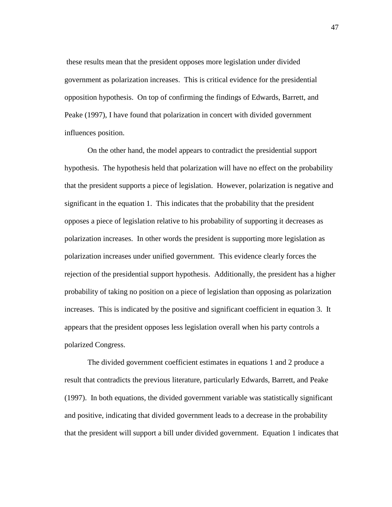these results mean that the president opposes more legislation under divided government as polarization increases. This is critical evidence for the presidential opposition hypothesis. On top of confirming the findings of Edwards, Barrett, and Peake (1997), I have found that polarization in concert with divided government influences position.

 On the other hand, the model appears to contradict the presidential support hypothesis. The hypothesis held that polarization will have no effect on the probability that the president supports a piece of legislation. However, polarization is negative and significant in the equation 1. This indicates that the probability that the president opposes a piece of legislation relative to his probability of supporting it decreases as polarization increases. In other words the president is supporting more legislation as polarization increases under unified government. This evidence clearly forces the rejection of the presidential support hypothesis. Additionally, the president has a higher probability of taking no position on a piece of legislation than opposing as polarization increases. This is indicated by the positive and significant coefficient in equation 3. It appears that the president opposes less legislation overall when his party controls a polarized Congress.

 The divided government coefficient estimates in equations 1 and 2 produce a result that contradicts the previous literature, particularly Edwards, Barrett, and Peake (1997). In both equations, the divided government variable was statistically significant and positive, indicating that divided government leads to a decrease in the probability that the president will support a bill under divided government. Equation 1 indicates that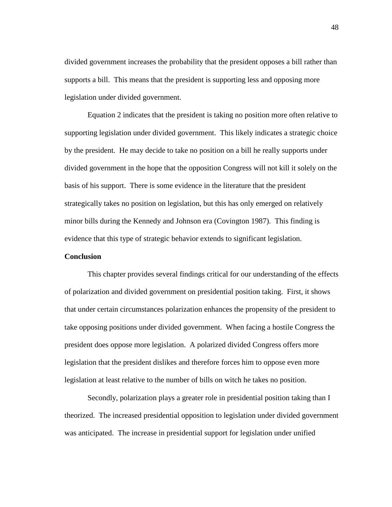divided government increases the probability that the president opposes a bill rather than supports a bill. This means that the president is supporting less and opposing more legislation under divided government.

 Equation 2 indicates that the president is taking no position more often relative to supporting legislation under divided government. This likely indicates a strategic choice by the president. He may decide to take no position on a bill he really supports under divided government in the hope that the opposition Congress will not kill it solely on the basis of his support. There is some evidence in the literature that the president strategically takes no position on legislation, but this has only emerged on relatively minor bills during the Kennedy and Johnson era (Covington 1987). This finding is evidence that this type of strategic behavior extends to significant legislation.

# **Conclusion**

 This chapter provides several findings critical for our understanding of the effects of polarization and divided government on presidential position taking. First, it shows that under certain circumstances polarization enhances the propensity of the president to take opposing positions under divided government. When facing a hostile Congress the president does oppose more legislation. A polarized divided Congress offers more legislation that the president dislikes and therefore forces him to oppose even more legislation at least relative to the number of bills on witch he takes no position.

 Secondly, polarization plays a greater role in presidential position taking than I theorized. The increased presidential opposition to legislation under divided government was anticipated. The increase in presidential support for legislation under unified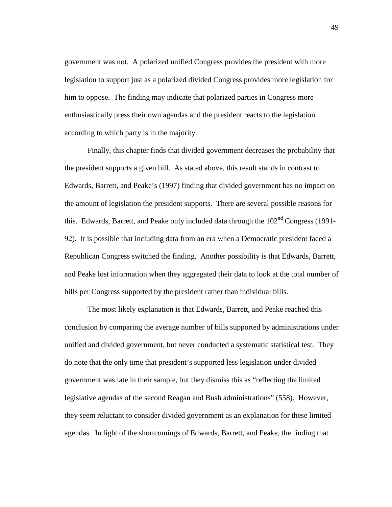government was not. A polarized unified Congress provides the president with more legislation to support just as a polarized divided Congress provides more legislation for him to oppose. The finding may indicate that polarized parties in Congress more enthusiastically press their own agendas and the president reacts to the legislation according to which party is in the majority.

 Finally, this chapter finds that divided government decreases the probability that the president supports a given bill. As stated above, this result stands in contrast to Edwards, Barrett, and Peake's (1997) finding that divided government has no impact on the amount of legislation the president supports. There are several possible reasons for this. Edwards, Barrett, and Peake only included data through the  $102<sup>nd</sup>$  Congress (1991-92). It is possible that including data from an era when a Democratic president faced a Republican Congress switched the finding. Another possibility is that Edwards, Barrett, and Peake lost information when they aggregated their data to look at the total number of bills per Congress supported by the president rather than individual bills.

 The most likely explanation is that Edwards, Barrett, and Peake reached this conclusion by comparing the average number of bills supported by administrations under unified and divided government, but never conducted a systematic statistical test. They do note that the only time that president's supported less legislation under divided government was late in their sample, but they dismiss this as "reflecting the limited legislative agendas of the second Reagan and Bush administrations" (558). However, they seem reluctant to consider divided government as an explanation for these limited agendas. In light of the shortcomings of Edwards, Barrett, and Peake, the finding that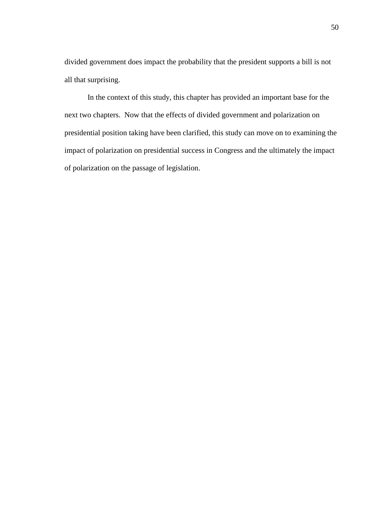divided government does impact the probability that the president supports a bill is not all that surprising.

 In the context of this study, this chapter has provided an important base for the next two chapters. Now that the effects of divided government and polarization on presidential position taking have been clarified, this study can move on to examining the impact of polarization on presidential success in Congress and the ultimately the impact of polarization on the passage of legislation.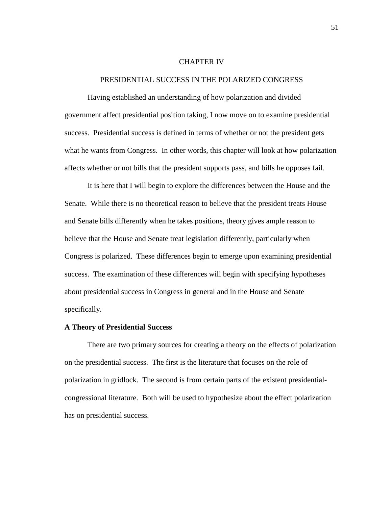#### CHAPTER IV

## PRESIDENTIAL SUCCESS IN THE POLARIZED CONGRESS

 Having established an understanding of how polarization and divided government affect presidential position taking, I now move on to examine presidential success. Presidential success is defined in terms of whether or not the president gets what he wants from Congress. In other words, this chapter will look at how polarization affects whether or not bills that the president supports pass, and bills he opposes fail.

 It is here that I will begin to explore the differences between the House and the Senate. While there is no theoretical reason to believe that the president treats House and Senate bills differently when he takes positions, theory gives ample reason to believe that the House and Senate treat legislation differently, particularly when Congress is polarized. These differences begin to emerge upon examining presidential success. The examination of these differences will begin with specifying hypotheses about presidential success in Congress in general and in the House and Senate specifically.

# **A Theory of Presidential Success**

 There are two primary sources for creating a theory on the effects of polarization on the presidential success. The first is the literature that focuses on the role of polarization in gridlock. The second is from certain parts of the existent presidentialcongressional literature. Both will be used to hypothesize about the effect polarization has on presidential success.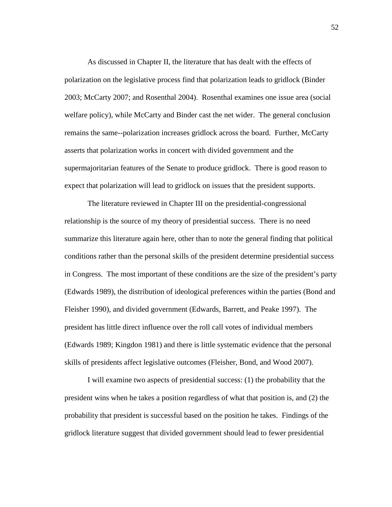As discussed in Chapter II, the literature that has dealt with the effects of polarization on the legislative process find that polarization leads to gridlock (Binder 2003; McCarty 2007; and Rosenthal 2004). Rosenthal examines one issue area (social welfare policy), while McCarty and Binder cast the net wider. The general conclusion remains the same--polarization increases gridlock across the board. Further, McCarty asserts that polarization works in concert with divided government and the supermajoritarian features of the Senate to produce gridlock. There is good reason to expect that polarization will lead to gridlock on issues that the president supports.

 The literature reviewed in Chapter III on the presidential-congressional relationship is the source of my theory of presidential success. There is no need summarize this literature again here, other than to note the general finding that political conditions rather than the personal skills of the president determine presidential success in Congress. The most important of these conditions are the size of the president's party (Edwards 1989), the distribution of ideological preferences within the parties (Bond and Fleisher 1990), and divided government (Edwards, Barrett, and Peake 1997). The president has little direct influence over the roll call votes of individual members (Edwards 1989; Kingdon 1981) and there is little systematic evidence that the personal skills of presidents affect legislative outcomes (Fleisher, Bond, and Wood 2007).

 I will examine two aspects of presidential success: (1) the probability that the president wins when he takes a position regardless of what that position is, and (2) the probability that president is successful based on the position he takes. Findings of the gridlock literature suggest that divided government should lead to fewer presidential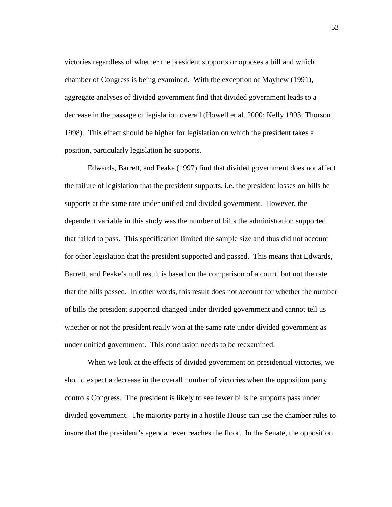victories regardless of whether the president supports or opposes a bill and which chamber of Congress is being examined. With the exception of Mayhew (1991), aggregate analyses of divided government find that divided government leads to a decrease in the passage of legislation overall (Howell et al. 2000; Kelly 1993; Thorson 1998). This effect should be higher for legislation on which the president takes a position, particularly legislation he supports.

 Edwards, Barrett, and Peake (1997) find that divided government does not affect the failure of legislation that the president supports, i.e. the president losses on bills he supports at the same rate under unified and divided government. However, the dependent variable in this study was the number of bills the administration supported that failed to pass. This specification limited the sample size and thus did not account for other legislation that the president supported and passed. This means that Edwards, Barrett, and Peake's null result is based on the comparison of a count, but not the rate that the bills passed. In other words, this result does not account for whether the number of bills the president supported changed under divided government and cannot tell us whether or not the president really won at the same rate under divided government as under unified government. This conclusion needs to be reexamined.

 When we look at the effects of divided government on presidential victories, we should expect a decrease in the overall number of victories when the opposition party controls Congress. The president is likely to see fewer bills he supports pass under divided government. The majority party in a hostile House can use the chamber rules to insure that the president's agenda never reaches the floor. In the Senate, the opposition

53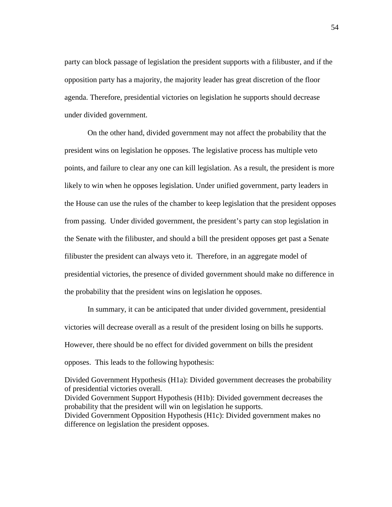party can block passage of legislation the president supports with a filibuster, and if the opposition party has a majority, the majority leader has great discretion of the floor agenda. Therefore, presidential victories on legislation he supports should decrease under divided government.

 On the other hand, divided government may not affect the probability that the president wins on legislation he opposes. The legislative process has multiple veto points, and failure to clear any one can kill legislation. As a result, the president is more likely to win when he opposes legislation. Under unified government, party leaders in the House can use the rules of the chamber to keep legislation that the president opposes from passing. Under divided government, the president's party can stop legislation in the Senate with the filibuster, and should a bill the president opposes get past a Senate filibuster the president can always veto it. Therefore, in an aggregate model of presidential victories, the presence of divided government should make no difference in the probability that the president wins on legislation he opposes.

 In summary, it can be anticipated that under divided government, presidential victories will decrease overall as a result of the president losing on bills he supports. However, there should be no effect for divided government on bills the president opposes. This leads to the following hypothesis:

Divided Government Hypothesis (H1a): Divided government decreases the probability of presidential victories overall. Divided Government Support Hypothesis (H1b): Divided government decreases the probability that the president will win on legislation he supports. Divided Government Opposition Hypothesis (H1c): Divided government makes no difference on legislation the president opposes.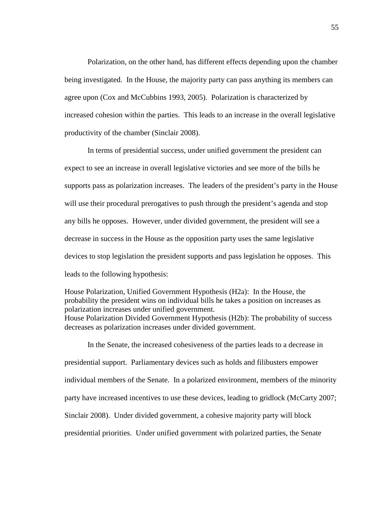Polarization, on the other hand, has different effects depending upon the chamber being investigated. In the House, the majority party can pass anything its members can agree upon (Cox and McCubbins 1993, 2005). Polarization is characterized by increased cohesion within the parties. This leads to an increase in the overall legislative productivity of the chamber (Sinclair 2008).

 In terms of presidential success, under unified government the president can expect to see an increase in overall legislative victories and see more of the bills he supports pass as polarization increases. The leaders of the president's party in the House will use their procedural prerogatives to push through the president's agenda and stop any bills he opposes. However, under divided government, the president will see a decrease in success in the House as the opposition party uses the same legislative devices to stop legislation the president supports and pass legislation he opposes. This leads to the following hypothesis:

House Polarization, Unified Government Hypothesis (H2a): In the House, the probability the president wins on individual bills he takes a position on increases as polarization increases under unified government. House Polarization Divided Government Hypothesis (H2b): The probability of success decreases as polarization increases under divided government.

 In the Senate, the increased cohesiveness of the parties leads to a decrease in presidential support. Parliamentary devices such as holds and filibusters empower individual members of the Senate. In a polarized environment, members of the minority party have increased incentives to use these devices, leading to gridlock (McCarty 2007; Sinclair 2008). Under divided government, a cohesive majority party will block presidential priorities. Under unified government with polarized parties, the Senate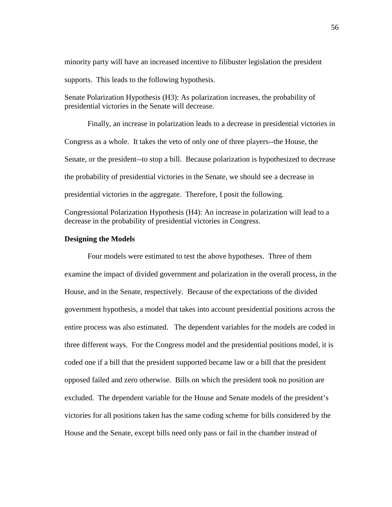minority party will have an increased incentive to filibuster legislation the president supports. This leads to the following hypothesis.

Senate Polarization Hypothesis (H3): As polarization increases, the probability of presidential victories in the Senate will decrease.

 Finally, an increase in polarization leads to a decrease in presidential victories in Congress as a whole. It takes the veto of only one of three players--the House, the Senate, or the president--to stop a bill. Because polarization is hypothesized to decrease the probability of presidential victories in the Senate, we should see a decrease in presidential victories in the aggregate. Therefore, I posit the following.

Congressional Polarization Hypothesis (H4): An increase in polarization will lead to a decrease in the probability of presidential victories in Congress.

# **Designing the Models**

 Four models were estimated to test the above hypotheses. Three of them examine the impact of divided government and polarization in the overall process, in the House, and in the Senate, respectively. Because of the expectations of the divided government hypothesis, a model that takes into account presidential positions across the entire process was also estimated. The dependent variables for the models are coded in three different ways. For the Congress model and the presidential positions model, it is coded one if a bill that the president supported became law or a bill that the president opposed failed and zero otherwise. Bills on which the president took no position are excluded. The dependent variable for the House and Senate models of the president's victories for all positions taken has the same coding scheme for bills considered by the House and the Senate, except bills need only pass or fail in the chamber instead of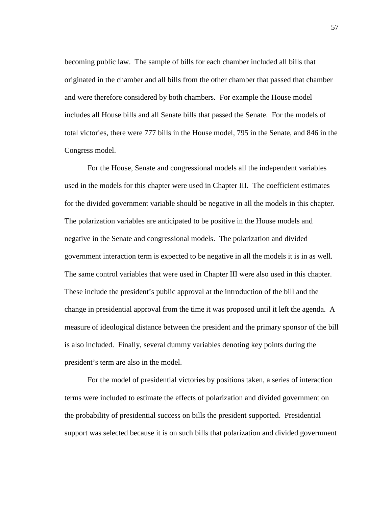becoming public law. The sample of bills for each chamber included all bills that originated in the chamber and all bills from the other chamber that passed that chamber and were therefore considered by both chambers. For example the House model includes all House bills and all Senate bills that passed the Senate. For the models of total victories, there were 777 bills in the House model, 795 in the Senate, and 846 in the Congress model.

 For the House, Senate and congressional models all the independent variables used in the models for this chapter were used in Chapter III. The coefficient estimates for the divided government variable should be negative in all the models in this chapter. The polarization variables are anticipated to be positive in the House models and negative in the Senate and congressional models. The polarization and divided government interaction term is expected to be negative in all the models it is in as well. The same control variables that were used in Chapter III were also used in this chapter. These include the president's public approval at the introduction of the bill and the change in presidential approval from the time it was proposed until it left the agenda. A measure of ideological distance between the president and the primary sponsor of the bill is also included. Finally, several dummy variables denoting key points during the president's term are also in the model.

 For the model of presidential victories by positions taken, a series of interaction terms were included to estimate the effects of polarization and divided government on the probability of presidential success on bills the president supported. Presidential support was selected because it is on such bills that polarization and divided government

57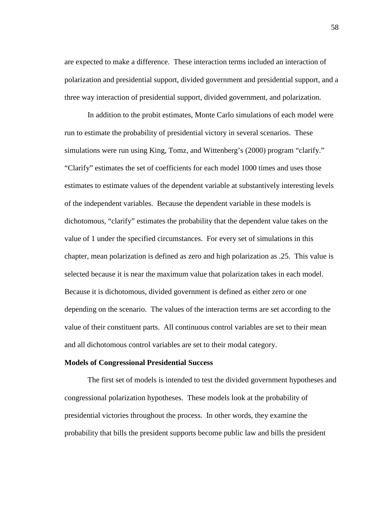are expected to make a difference. These interaction terms included an interaction of polarization and presidential support, divided government and presidential support, and a three way interaction of presidential support, divided government, and polarization.

 In addition to the probit estimates, Monte Carlo simulations of each model were run to estimate the probability of presidential victory in several scenarios. These simulations were run using King, Tomz, and Wittenberg's (2000) program "clarify." "Clarify" estimates the set of coefficients for each model 1000 times and uses those estimates to estimate values of the dependent variable at substantively interesting levels of the independent variables. Because the dependent variable in these models is dichotomous, "clarify" estimates the probability that the dependent value takes on the value of 1 under the specified circumstances. For every set of simulations in this chapter, mean polarization is defined as zero and high polarization as .25. This value is selected because it is near the maximum value that polarization takes in each model. Because it is dichotomous, divided government is defined as either zero or one depending on the scenario. The values of the interaction terms are set according to the value of their constituent parts. All continuous control variables are set to their mean and all dichotomous control variables are set to their modal category.

## **Models of Congressional Presidential Success**

 The first set of models is intended to test the divided government hypotheses and congressional polarization hypotheses. These models look at the probability of presidential victories throughout the process. In other words, they examine the probability that bills the president supports become public law and bills the president

58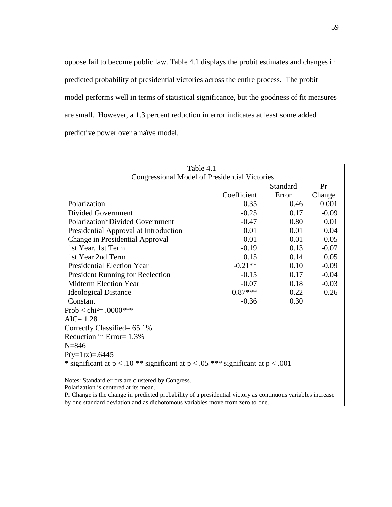oppose fail to become public law. Table 4.1 displays the probit estimates and changes in predicted probability of presidential victories across the entire process. The probit model performs well in terms of statistical significance, but the goodness of fit measures are small. However, a 1.3 percent reduction in error indicates at least some added predictive power over a naïve model.

| Table 4.1                                                                                                   |             |          |         |  |  |
|-------------------------------------------------------------------------------------------------------------|-------------|----------|---------|--|--|
| <b>Congressional Model of Presidential Victories</b>                                                        |             |          |         |  |  |
|                                                                                                             |             | Standard | Pr      |  |  |
|                                                                                                             | Coefficient | Error    | Change  |  |  |
| Polarization                                                                                                | 0.35        | 0.46     | 0.001   |  |  |
| Divided Government                                                                                          | $-0.25$     | 0.17     | $-0.09$ |  |  |
| <b>Polarization*Divided Government</b>                                                                      | $-0.47$     | 0.80     | 0.01    |  |  |
| Presidential Approval at Introduction                                                                       | 0.01        | 0.01     | 0.04    |  |  |
| Change in Presidential Approval                                                                             | 0.01        | 0.01     | 0.05    |  |  |
| 1st Year, 1st Term                                                                                          | $-0.19$     | 0.13     | $-0.07$ |  |  |
| 1st Year 2nd Term                                                                                           | 0.15        | 0.14     | 0.05    |  |  |
| <b>Presidential Election Year</b>                                                                           | $-0.21**$   | 0.10     | $-0.09$ |  |  |
| <b>President Running for Reelection</b>                                                                     | $-0.15$     | 0.17     | $-0.04$ |  |  |
| <b>Midterm Election Year</b>                                                                                | $-0.07$     | 0.18     | $-0.03$ |  |  |
| <b>Ideological Distance</b>                                                                                 | $0.87***$   | 0.22     | 0.26    |  |  |
| Constant                                                                                                    | $-0.36$     | 0.30     |         |  |  |
| Prob < chi <sup>2</sup> = .0000***                                                                          |             |          |         |  |  |
| $AIC = 1.28$                                                                                                |             |          |         |  |  |
| Correctly Classified= 65.1%                                                                                 |             |          |         |  |  |
| Reduction in Error= 1.3%                                                                                    |             |          |         |  |  |
| $N = 846$                                                                                                   |             |          |         |  |  |
| $P(y=1 x)=0.6445$                                                                                           |             |          |         |  |  |
| * significant at $p < .10$ ** significant at $p < .05$ *** significant at $p < .001$                        |             |          |         |  |  |
| Notes: Standard errors are clustered by Congress.                                                           |             |          |         |  |  |
| Polarization is centered at its mean.                                                                       |             |          |         |  |  |
| Pr Change is the change in predicted probability of a presidential victory as continuous variables increase |             |          |         |  |  |
| by one standard deviation and as dichotomous variables move from zero to one.                               |             |          |         |  |  |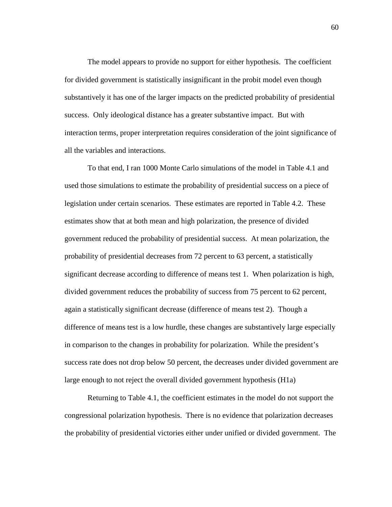The model appears to provide no support for either hypothesis. The coefficient for divided government is statistically insignificant in the probit model even though substantively it has one of the larger impacts on the predicted probability of presidential success. Only ideological distance has a greater substantive impact. But with interaction terms, proper interpretation requires consideration of the joint significance of all the variables and interactions.

 To that end, I ran 1000 Monte Carlo simulations of the model in Table 4.1 and used those simulations to estimate the probability of presidential success on a piece of legislation under certain scenarios. These estimates are reported in Table 4.2. These estimates show that at both mean and high polarization, the presence of divided government reduced the probability of presidential success. At mean polarization, the probability of presidential decreases from 72 percent to 63 percent, a statistically significant decrease according to difference of means test 1. When polarization is high, divided government reduces the probability of success from 75 percent to 62 percent, again a statistically significant decrease (difference of means test 2). Though a difference of means test is a low hurdle, these changes are substantively large especially in comparison to the changes in probability for polarization. While the president's success rate does not drop below 50 percent, the decreases under divided government are large enough to not reject the overall divided government hypothesis (H1a)

 Returning to Table 4.1, the coefficient estimates in the model do not support the congressional polarization hypothesis. There is no evidence that polarization decreases the probability of presidential victories either under unified or divided government. The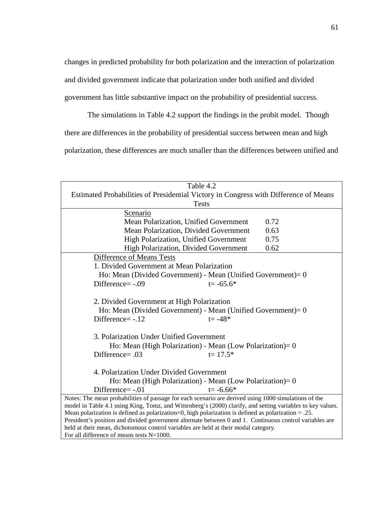changes in predicted probability for both polarization and the interaction of polarization and divided government indicate that polarization under both unified and divided government has little substantive impact on the probability of presidential success.

 The simulations in Table 4.2 support the findings in the probit model. Though there are differences in the probability of presidential success between mean and high polarization, these differences are much smaller than the differences between unified and

| Table 4.2                                                                                                                                                                                                         |  |  |  |  |
|-------------------------------------------------------------------------------------------------------------------------------------------------------------------------------------------------------------------|--|--|--|--|
| Estimated Probabilities of Presidential Victory in Congress with Difference of Means                                                                                                                              |  |  |  |  |
| <b>Tests</b>                                                                                                                                                                                                      |  |  |  |  |
| Scenario                                                                                                                                                                                                          |  |  |  |  |
| 0.72<br>Mean Polarization, Unified Government                                                                                                                                                                     |  |  |  |  |
| 0.63<br>Mean Polarization, Divided Government                                                                                                                                                                     |  |  |  |  |
| High Polarization, Unified Government<br>0.75                                                                                                                                                                     |  |  |  |  |
| 0.62<br>High Polarization, Divided Government                                                                                                                                                                     |  |  |  |  |
| Difference of Means Tests                                                                                                                                                                                         |  |  |  |  |
| 1. Divided Government at Mean Polarization                                                                                                                                                                        |  |  |  |  |
| Ho: Mean (Divided Government) - Mean (Unified Government) = $0$                                                                                                                                                   |  |  |  |  |
| Difference=-.09<br>$t = -65.6*$                                                                                                                                                                                   |  |  |  |  |
|                                                                                                                                                                                                                   |  |  |  |  |
| 2. Divided Government at High Polarization                                                                                                                                                                        |  |  |  |  |
| Ho: Mean (Divided Government) - Mean (Unified Government) = $0$                                                                                                                                                   |  |  |  |  |
| Difference=-.12<br>$t = -48*$                                                                                                                                                                                     |  |  |  |  |
|                                                                                                                                                                                                                   |  |  |  |  |
| 3. Polarization Under Unified Government                                                                                                                                                                          |  |  |  |  |
| Ho: Mean (High Polarization) - Mean (Low Polarization) = $0$                                                                                                                                                      |  |  |  |  |
| Difference= .03<br>$t = 17.5*$                                                                                                                                                                                    |  |  |  |  |
|                                                                                                                                                                                                                   |  |  |  |  |
| 4. Polarization Under Divided Government                                                                                                                                                                          |  |  |  |  |
| Ho: Mean (High Polarization) - Mean (Low Polarization) = $0$                                                                                                                                                      |  |  |  |  |
| Difference=-.01<br>$t = -6.66*$                                                                                                                                                                                   |  |  |  |  |
| Notes: The mean probabilities of passage for each scenario are derived using 1000 simulations of the                                                                                                              |  |  |  |  |
| model in Table 4.1 using King, Tomz, and Wittenberg's (2000) clarify, and setting variables to key values.                                                                                                        |  |  |  |  |
| Mean polarization is defined as polarization=0, high polarization is defined as polarization $= .25$ .<br>President's position and divided government alternate between 0 and 1. Continuous control variables are |  |  |  |  |
| held at their mean, dichotomous control variables are held at their modal category.                                                                                                                               |  |  |  |  |
| For all difference of means tests $N=1000$ .                                                                                                                                                                      |  |  |  |  |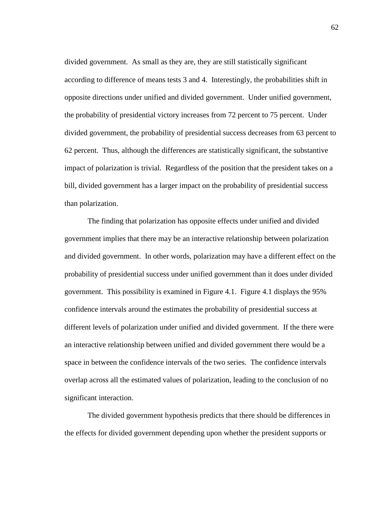divided government. As small as they are, they are still statistically significant according to difference of means tests 3 and 4. Interestingly, the probabilities shift in opposite directions under unified and divided government. Under unified government, the probability of presidential victory increases from 72 percent to 75 percent. Under divided government, the probability of presidential success decreases from 63 percent to 62 percent. Thus, although the differences are statistically significant, the substantive impact of polarization is trivial. Regardless of the position that the president takes on a bill, divided government has a larger impact on the probability of presidential success than polarization.

 The finding that polarization has opposite effects under unified and divided government implies that there may be an interactive relationship between polarization and divided government. In other words, polarization may have a different effect on the probability of presidential success under unified government than it does under divided government. This possibility is examined in Figure 4.1. Figure 4.1 displays the 95% confidence intervals around the estimates the probability of presidential success at different levels of polarization under unified and divided government. If the there were an interactive relationship between unified and divided government there would be a space in between the confidence intervals of the two series. The confidence intervals overlap across all the estimated values of polarization, leading to the conclusion of no significant interaction.

 The divided government hypothesis predicts that there should be differences in the effects for divided government depending upon whether the president supports or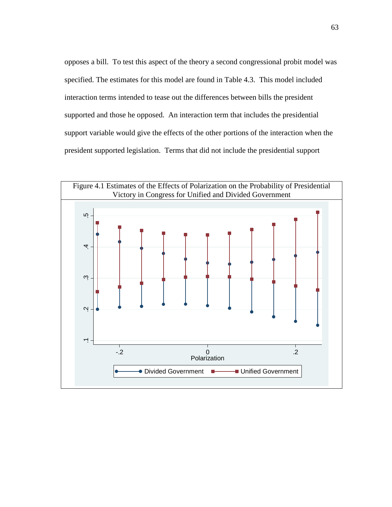opposes a bill. To test this aspect of the theory a second congressional probit model was specified. The estimates for this model are found in Table 4.3. This model included interaction terms intended to tease out the differences between bills the president supported and those he opposed. An interaction term that includes the presidential support variable would give the effects of the other portions of the interaction when the president supported legislation. Terms that did not include the presidential support

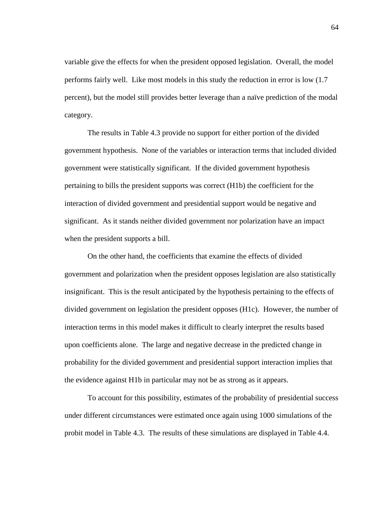variable give the effects for when the president opposed legislation. Overall, the model performs fairly well. Like most models in this study the reduction in error is low (1.7 percent), but the model still provides better leverage than a naïve prediction of the modal category.

 The results in Table 4.3 provide no support for either portion of the divided government hypothesis. None of the variables or interaction terms that included divided government were statistically significant. If the divided government hypothesis pertaining to bills the president supports was correct (H1b) the coefficient for the interaction of divided government and presidential support would be negative and significant. As it stands neither divided government nor polarization have an impact when the president supports a bill.

 On the other hand, the coefficients that examine the effects of divided government and polarization when the president opposes legislation are also statistically insignificant. This is the result anticipated by the hypothesis pertaining to the effects of divided government on legislation the president opposes (H1c). However, the number of interaction terms in this model makes it difficult to clearly interpret the results based upon coefficients alone. The large and negative decrease in the predicted change in probability for the divided government and presidential support interaction implies that the evidence against H1b in particular may not be as strong as it appears.

 To account for this possibility, estimates of the probability of presidential success under different circumstances were estimated once again using 1000 simulations of the probit model in Table 4.3. The results of these simulations are displayed in Table 4.4.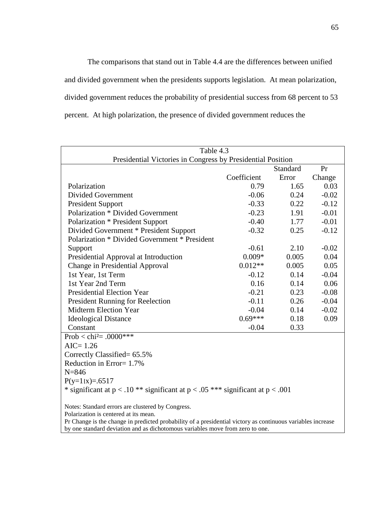The comparisons that stand out in Table 4.4 are the differences between unified and divided government when the presidents supports legislation. At mean polarization, divided government reduces the probability of presidential success from 68 percent to 53 percent. At high polarization, the presence of divided government reduces the

| Table 4.3                                                                                                                                                                                                                                                                                |             |          |         |
|------------------------------------------------------------------------------------------------------------------------------------------------------------------------------------------------------------------------------------------------------------------------------------------|-------------|----------|---------|
| Presidential Victories in Congress by Presidential Position                                                                                                                                                                                                                              |             |          |         |
|                                                                                                                                                                                                                                                                                          |             | Standard | Pr      |
|                                                                                                                                                                                                                                                                                          | Coefficient | Error    | Change  |
| Polarization                                                                                                                                                                                                                                                                             | 0.79        | 1.65     | 0.03    |
| <b>Divided Government</b>                                                                                                                                                                                                                                                                | $-0.06$     | 0.24     | $-0.02$ |
| <b>President Support</b>                                                                                                                                                                                                                                                                 | $-0.33$     | 0.22     | $-0.12$ |
| <b>Polarization * Divided Government</b>                                                                                                                                                                                                                                                 | $-0.23$     | 1.91     | $-0.01$ |
| <b>Polarization * President Support</b>                                                                                                                                                                                                                                                  | $-0.40$     | 1.77     | $-0.01$ |
| Divided Government * President Support                                                                                                                                                                                                                                                   | $-0.32$     | 0.25     | $-0.12$ |
| Polarization * Divided Government * President                                                                                                                                                                                                                                            |             |          |         |
| Support                                                                                                                                                                                                                                                                                  | $-0.61$     | 2.10     | $-0.02$ |
| Presidential Approval at Introduction                                                                                                                                                                                                                                                    | $0.009*$    | 0.005    | 0.04    |
| Change in Presidential Approval                                                                                                                                                                                                                                                          | $0.012**$   | 0.005    | 0.05    |
| 1st Year, 1st Term                                                                                                                                                                                                                                                                       | $-0.12$     | 0.14     | $-0.04$ |
| 1st Year 2nd Term                                                                                                                                                                                                                                                                        | 0.16        | 0.14     | 0.06    |
| <b>Presidential Election Year</b>                                                                                                                                                                                                                                                        | $-0.21$     | 0.23     | $-0.08$ |
| <b>President Running for Reelection</b>                                                                                                                                                                                                                                                  | $-0.11$     | 0.26     | $-0.04$ |
| <b>Midterm Election Year</b>                                                                                                                                                                                                                                                             | $-0.04$     | 0.14     | $-0.02$ |
| <b>Ideological Distance</b>                                                                                                                                                                                                                                                              | $0.69***$   | 0.18     | 0.09    |
| Constant                                                                                                                                                                                                                                                                                 | $-0.04$     | 0.33     |         |
| Prob < chi <sup>2</sup> = .0000***                                                                                                                                                                                                                                                       |             |          |         |
| $AIC = 1.26$                                                                                                                                                                                                                                                                             |             |          |         |
| Correctly Classified= 65.5%                                                                                                                                                                                                                                                              |             |          |         |
| Reduction in Error= 1.7%                                                                                                                                                                                                                                                                 |             |          |         |
| $N = 846$                                                                                                                                                                                                                                                                                |             |          |         |
| $P(y=1 x)=0.6517$                                                                                                                                                                                                                                                                        |             |          |         |
| * significant at $p < .10$ ** significant at $p < .05$ *** significant at $p < .001$                                                                                                                                                                                                     |             |          |         |
|                                                                                                                                                                                                                                                                                          |             |          |         |
| Notes: Standard errors are clustered by Congress.                                                                                                                                                                                                                                        |             |          |         |
| Polarization is centered at its mean.<br>$\mathbf{D}_n$ $\mathbf{C}$ becomes the distribution of the contract of the state of the second distribution of the second second second second second second second second second second second second second second second second se<br>2.111 |             |          |         |

Pr Change is the change in predicted probability of a presidential victory as continuous variables increase by one standard deviation and as dichotomous variables move from zero to one.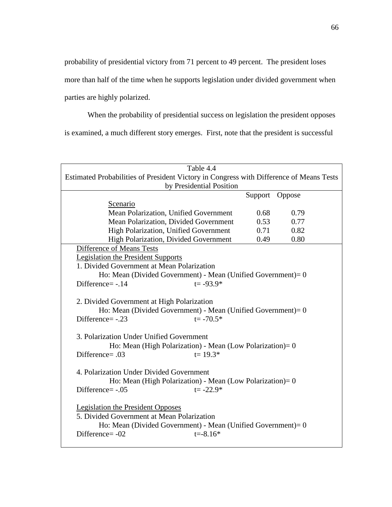probability of presidential victory from 71 percent to 49 percent. The president loses

more than half of the time when he supports legislation under divided government when

parties are highly polarized.

When the probability of presidential success on legislation the president opposes

is examined, a much different story emerges. First, note that the president is successful

| Table 4.4                                                                                                                                                                                   |         |        |  |
|---------------------------------------------------------------------------------------------------------------------------------------------------------------------------------------------|---------|--------|--|
| Estimated Probabilities of President Victory in Congress with Difference of Means Tests                                                                                                     |         |        |  |
| by Presidential Position                                                                                                                                                                    |         |        |  |
|                                                                                                                                                                                             | Support | Oppose |  |
| Scenario                                                                                                                                                                                    |         |        |  |
| Mean Polarization, Unified Government                                                                                                                                                       | 0.68    | 0.79   |  |
| Mean Polarization, Divided Government                                                                                                                                                       | 0.53    | 0.77   |  |
| High Polarization, Unified Government                                                                                                                                                       | 0.71    | 0.82   |  |
| High Polarization, Divided Government                                                                                                                                                       | 0.49    | 0.80   |  |
| Difference of Means Tests                                                                                                                                                                   |         |        |  |
| <b>Legislation the President Supports</b>                                                                                                                                                   |         |        |  |
| 1. Divided Government at Mean Polarization                                                                                                                                                  |         |        |  |
| Ho: Mean (Divided Government) - Mean (Unified Government) = $0$                                                                                                                             |         |        |  |
| Difference=-.14<br>$t = -93.9*$                                                                                                                                                             |         |        |  |
| 2. Divided Government at High Polarization<br>Ho: Mean (Divided Government) - Mean (Unified Government) = $0$<br>$t = -70.5*$<br>Difference=-.23                                            |         |        |  |
| 3. Polarization Under Unified Government<br>Ho: Mean (High Polarization) - Mean (Low Polarization) = $0$<br>Difference= $.03$<br>$t = 19.3*$                                                |         |        |  |
| 4. Polarization Under Divided Government<br>Ho: Mean (High Polarization) - Mean (Low Polarization) = $0$<br>Difference=-.05<br>$t = -22.9*$                                                 |         |        |  |
| <b>Legislation the President Opposes</b><br>5. Divided Government at Mean Polarization<br>Ho: Mean (Divided Government) - Mean (Unified Government) = $0$<br>Difference=-02<br>$t = -8.16*$ |         |        |  |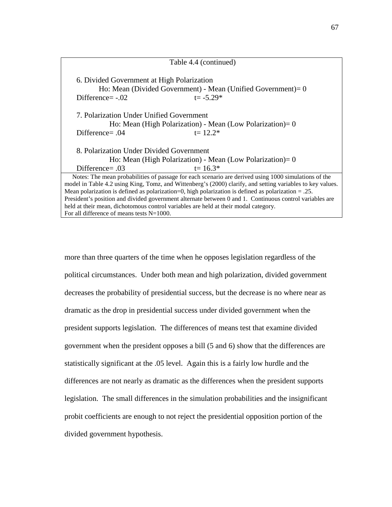| Table 4.4 (continued)                                                                                                                               |  |  |  |
|-----------------------------------------------------------------------------------------------------------------------------------------------------|--|--|--|
| 6. Divided Government at High Polarization<br>Ho: Mean (Divided Government) - Mean (Unified Government) = $0$<br>Difference= $-.02$<br>$t = -5.29*$ |  |  |  |
| 7. Polarization Under Unified Government                                                                                                            |  |  |  |
| Ho: Mean (High Polarization) - Mean (Low Polarization) = $0$                                                                                        |  |  |  |
| Difference= $.04$<br>$t = 12.2*$                                                                                                                    |  |  |  |
| 8. Polarization Under Divided Government                                                                                                            |  |  |  |
| Ho: Mean (High Polarization) - Mean (Low Polarization) = $0$                                                                                        |  |  |  |
| Difference= $.03$<br>$t = 16.3*$                                                                                                                    |  |  |  |
| Notes: The mean probabilities of passage for each scenario are derived using 1000 simulations of the                                                |  |  |  |
| model in Table 4.2 using King, Tomz, and Wittenberg's (2000) clarify, and setting variables to key values.                                          |  |  |  |
| Mean polarization is defined as polarization=0, high polarization is defined as polarization $= .25$ .                                              |  |  |  |
| President's position and divided government alternate between 0 and 1. Continuous control variables are                                             |  |  |  |
| held at their mean, dichotomous control variables are held at their modal category.                                                                 |  |  |  |
| For all difference of means tests $N=1000$ .                                                                                                        |  |  |  |

more than three quarters of the time when he opposes legislation regardless of the political circumstances. Under both mean and high polarization, divided government decreases the probability of presidential success, but the decrease is no where near as dramatic as the drop in presidential success under divided government when the president supports legislation. The differences of means test that examine divided government when the president opposes a bill (5 and 6) show that the differences are statistically significant at the .05 level. Again this is a fairly low hurdle and the differences are not nearly as dramatic as the differences when the president supports legislation. The small differences in the simulation probabilities and the insignificant probit coefficients are enough to not reject the presidential opposition portion of the divided government hypothesis.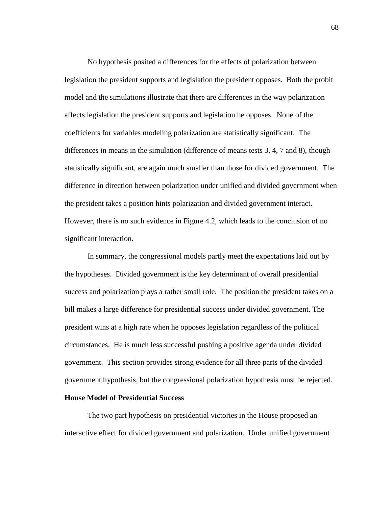No hypothesis posited a differences for the effects of polarization between legislation the president supports and legislation the president opposes. Both the probit model and the simulations illustrate that there are differences in the way polarization affects legislation the president supports and legislation he opposes. None of the coefficients for variables modeling polarization are statistically significant. The differences in means in the simulation (difference of means tests 3, 4, 7 and 8), though statistically significant, are again much smaller than those for divided government. The difference in direction between polarization under unified and divided government when the president takes a position hints polarization and divided government interact. However, there is no such evidence in Figure 4.2, which leads to the conclusion of no significant interaction.

 In summary, the congressional models partly meet the expectations laid out by the hypotheses. Divided government is the key determinant of overall presidential success and polarization plays a rather small role. The position the president takes on a bill makes a large difference for presidential success under divided government. The president wins at a high rate when he opposes legislation regardless of the political circumstances. He is much less successful pushing a positive agenda under divided government. This section provides strong evidence for all three parts of the divided government hypothesis, but the congressional polarization hypothesis must be rejected.

# **House Model of Presidential Success**

 The two part hypothesis on presidential victories in the House proposed an interactive effect for divided government and polarization. Under unified government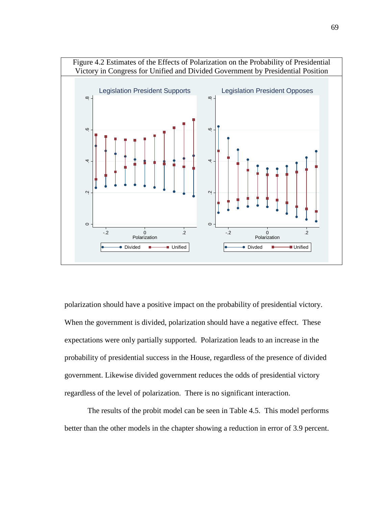

polarization should have a positive impact on the probability of presidential victory. When the government is divided, polarization should have a negative effect. These expectations were only partially supported. Polarization leads to an increase in the probability of presidential success in the House, regardless of the presence of divided government. Likewise divided government reduces the odds of presidential victory regardless of the level of polarization. There is no significant interaction.

 The results of the probit model can be seen in Table 4.5. This model performs better than the other models in the chapter showing a reduction in error of 3.9 percent.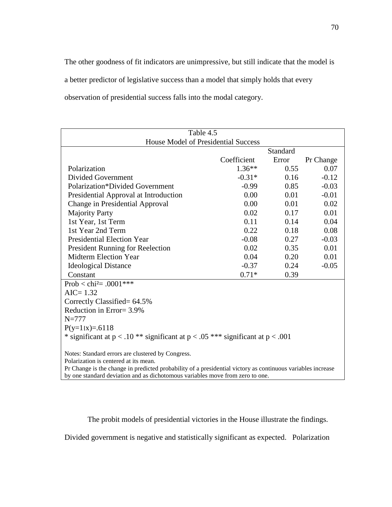The other goodness of fit indicators are unimpressive, but still indicate that the model is a better predictor of legislative success than a model that simply holds that every observation of presidential success falls into the modal category.

| Table 4.5                                                                                                   |             |          |           |  |
|-------------------------------------------------------------------------------------------------------------|-------------|----------|-----------|--|
| House Model of Presidential Success                                                                         |             |          |           |  |
|                                                                                                             |             | Standard |           |  |
|                                                                                                             | Coefficient | Error    | Pr Change |  |
| Polarization                                                                                                | $1.36**$    | 0.55     | 0.07      |  |
| <b>Divided Government</b>                                                                                   | $-0.31*$    | 0.16     | $-0.12$   |  |
| Polarization*Divided Government                                                                             | $-0.99$     | 0.85     | $-0.03$   |  |
| Presidential Approval at Introduction                                                                       | 0.00        | 0.01     | $-0.01$   |  |
| Change in Presidential Approval                                                                             | 0.00        | 0.01     | 0.02      |  |
| <b>Majority Party</b>                                                                                       | 0.02        | 0.17     | 0.01      |  |
| 1st Year, 1st Term                                                                                          | 0.11        | 0.14     | 0.04      |  |
| 1st Year 2nd Term                                                                                           | 0.22        | 0.18     | 0.08      |  |
| <b>Presidential Election Year</b>                                                                           | $-0.08$     | 0.27     | $-0.03$   |  |
| <b>President Running for Reelection</b>                                                                     | 0.02        | 0.35     | 0.01      |  |
| <b>Midterm Election Year</b>                                                                                | 0.04        | 0.20     | 0.01      |  |
| <b>Ideological Distance</b>                                                                                 | $-0.37$     | 0.24     | $-0.05$   |  |
| Constant                                                                                                    | $0.71*$     | 0.39     |           |  |
| Prob $\langle$ chi <sup>2</sup> = .0001***                                                                  |             |          |           |  |
| $AIC = 1.32$                                                                                                |             |          |           |  |
| Correctly Classified= 64.5%                                                                                 |             |          |           |  |
| Reduction in Error= 3.9%                                                                                    |             |          |           |  |
| $N = 777$                                                                                                   |             |          |           |  |
| $P(y=1 x)=0.6118$                                                                                           |             |          |           |  |
| * significant at $p < .10$ ** significant at $p < .05$ *** significant at $p < .001$                        |             |          |           |  |
| Notes: Standard errors are clustered by Congress.                                                           |             |          |           |  |
| Polarization is centered at its mean.                                                                       |             |          |           |  |
| Pr Change is the change in predicted probability of a presidential victory as continuous variables increase |             |          |           |  |
| by one standard deviation and as dichotomous variables move from zero to one.                               |             |          |           |  |

The probit models of presidential victories in the House illustrate the findings.

Divided government is negative and statistically significant as expected. Polarization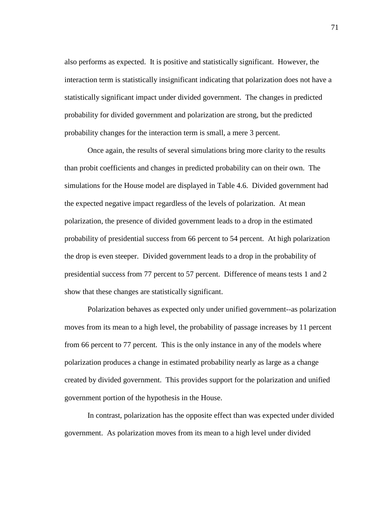also performs as expected. It is positive and statistically significant. However, the interaction term is statistically insignificant indicating that polarization does not have a statistically significant impact under divided government. The changes in predicted probability for divided government and polarization are strong, but the predicted probability changes for the interaction term is small, a mere 3 percent.

 Once again, the results of several simulations bring more clarity to the results than probit coefficients and changes in predicted probability can on their own. The simulations for the House model are displayed in Table 4.6. Divided government had the expected negative impact regardless of the levels of polarization. At mean polarization, the presence of divided government leads to a drop in the estimated probability of presidential success from 66 percent to 54 percent. At high polarization the drop is even steeper. Divided government leads to a drop in the probability of presidential success from 77 percent to 57 percent. Difference of means tests 1 and 2 show that these changes are statistically significant.

 Polarization behaves as expected only under unified government--as polarization moves from its mean to a high level, the probability of passage increases by 11 percent from 66 percent to 77 percent. This is the only instance in any of the models where polarization produces a change in estimated probability nearly as large as a change created by divided government. This provides support for the polarization and unified government portion of the hypothesis in the House.

 In contrast, polarization has the opposite effect than was expected under divided government. As polarization moves from its mean to a high level under divided

71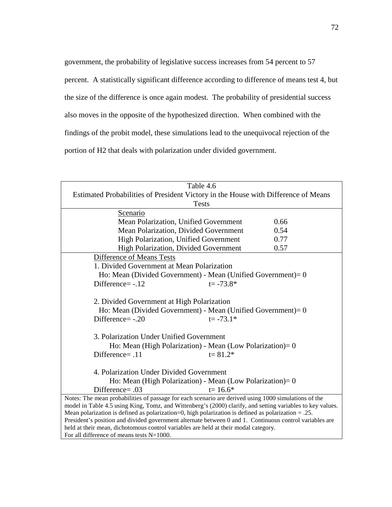government, the probability of legislative success increases from 54 percent to 57 percent. A statistically significant difference according to difference of means test 4, but the size of the difference is once again modest. The probability of presidential success also moves in the opposite of the hypothesized direction. When combined with the findings of the probit model, these simulations lead to the unequivocal rejection of the portion of H2 that deals with polarization under divided government.

| Table 4.6                                                                                                  |  |  |  |
|------------------------------------------------------------------------------------------------------------|--|--|--|
| Estimated Probabilities of President Victory in the House with Difference of Means                         |  |  |  |
| <b>Tests</b>                                                                                               |  |  |  |
| Scenario                                                                                                   |  |  |  |
| Mean Polarization, Unified Government<br>0.66                                                              |  |  |  |
| Mean Polarization, Divided Government<br>0.54                                                              |  |  |  |
| 0.77<br><b>High Polarization, Unified Government</b>                                                       |  |  |  |
| 0.57<br>High Polarization, Divided Government                                                              |  |  |  |
| Difference of Means Tests                                                                                  |  |  |  |
| 1. Divided Government at Mean Polarization                                                                 |  |  |  |
| Ho: Mean (Divided Government) - Mean (Unified Government) = $0$                                            |  |  |  |
| Difference=-.12<br>$t = -73.8*$                                                                            |  |  |  |
|                                                                                                            |  |  |  |
| 2. Divided Government at High Polarization                                                                 |  |  |  |
| Ho: Mean (Divided Government) - Mean (Unified Government) = $0$                                            |  |  |  |
| Difference=-.20<br>$t = -73.1*$                                                                            |  |  |  |
|                                                                                                            |  |  |  |
| 3. Polarization Under Unified Government                                                                   |  |  |  |
| Ho: Mean (High Polarization) - Mean (Low Polarization) = $0$                                               |  |  |  |
| Difference= $.11$<br>$t = 81.2*$                                                                           |  |  |  |
|                                                                                                            |  |  |  |
| 4. Polarization Under Divided Government                                                                   |  |  |  |
| Ho: Mean (High Polarization) - Mean (Low Polarization)= 0                                                  |  |  |  |
| Difference= .03<br>$t = 16.6*$                                                                             |  |  |  |
| Notes: The mean probabilities of passage for each scenario are derived using 1000 simulations of the       |  |  |  |
| model in Table 4.5 using King, Tomz, and Wittenberg's (2000) clarify, and setting variables to key values. |  |  |  |
| Mean polarization is defined as polarization=0, high polarization is defined as polarization $= .25$ .     |  |  |  |
| President's position and divided government alternate between 0 and 1. Continuous control variables are    |  |  |  |
| held at their mean, dichotomous control variables are held at their modal category.                        |  |  |  |
| For all difference of means tests N=1000.                                                                  |  |  |  |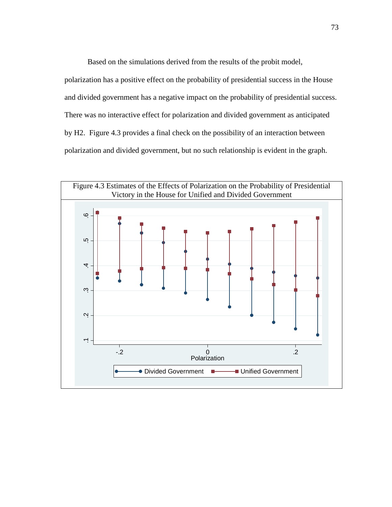Based on the simulations derived from the results of the probit model,

polarization has a positive effect on the probability of presidential success in the House and divided government has a negative impact on the probability of presidential success. There was no interactive effect for polarization and divided government as anticipated by H2. Figure 4.3 provides a final check on the possibility of an interaction between polarization and divided government, but no such relationship is evident in the graph.

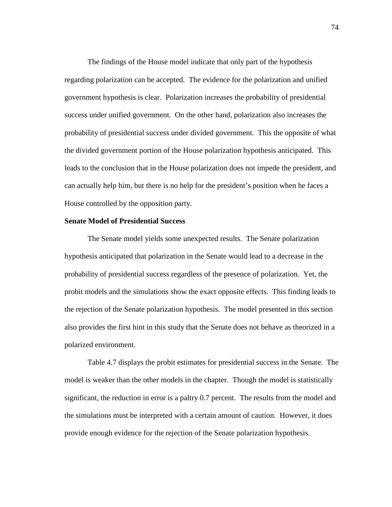The findings of the House model indicate that only part of the hypothesis regarding polarization can be accepted. The evidence for the polarization and unified government hypothesis is clear. Polarization increases the probability of presidential success under unified government. On the other hand, polarization also increases the probability of presidential success under divided government. This the opposite of what the divided government portion of the House polarization hypothesis anticipated. This leads to the conclusion that in the House polarization does not impede the president, and can actually help him, but there is no help for the president's position when he faces a House controlled by the opposition party.

## **Senate Model of Presidential Success**

 The Senate model yields some unexpected results. The Senate polarization hypothesis anticipated that polarization in the Senate would lead to a decrease in the probability of presidential success regardless of the presence of polarization. Yet, the probit models and the simulations show the exact opposite effects. This finding leads to the rejection of the Senate polarization hypothesis. The model presented in this section also provides the first hint in this study that the Senate does not behave as theorized in a polarized environment.

 Table 4.7 displays the probit estimates for presidential success in the Senate. The model is weaker than the other models in the chapter. Though the model is statistically significant, the reduction in error is a paltry 0.7 percent. The results from the model and the simulations must be interpreted with a certain amount of caution. However, it does provide enough evidence for the rejection of the Senate polarization hypothesis.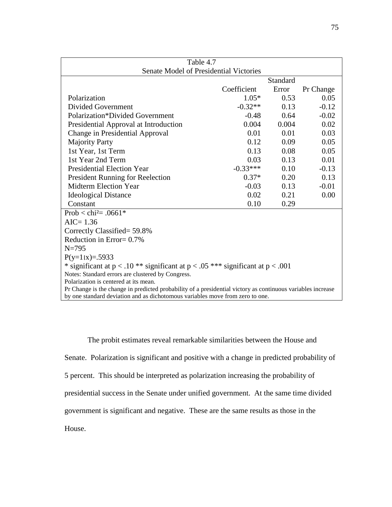| Table 4.7                                                                                                                                                                                    |             |          |           |
|----------------------------------------------------------------------------------------------------------------------------------------------------------------------------------------------|-------------|----------|-----------|
| <b>Senate Model of Presidential Victories</b>                                                                                                                                                |             |          |           |
|                                                                                                                                                                                              |             | Standard |           |
|                                                                                                                                                                                              | Coefficient | Error    | Pr Change |
| Polarization                                                                                                                                                                                 | $1.05*$     | 0.53     | 0.05      |
| Divided Government                                                                                                                                                                           | $-0.32**$   | 0.13     | $-0.12$   |
| <b>Polarization*Divided Government</b>                                                                                                                                                       | $-0.48$     | 0.64     | $-0.02$   |
| Presidential Approval at Introduction                                                                                                                                                        | 0.004       | 0.004    | 0.02      |
| Change in Presidential Approval                                                                                                                                                              | 0.01        | 0.01     | 0.03      |
| <b>Majority Party</b>                                                                                                                                                                        | 0.12        | 0.09     | 0.05      |
| 1st Year, 1st Term                                                                                                                                                                           | 0.13        | 0.08     | 0.05      |
| 1st Year 2nd Term                                                                                                                                                                            | 0.03        | 0.13     | 0.01      |
| <b>Presidential Election Year</b>                                                                                                                                                            | $-0.33***$  | 0.10     | $-0.13$   |
| <b>President Running for Reelection</b>                                                                                                                                                      | $0.37*$     | 0.20     | 0.13      |
| <b>Midterm Election Year</b>                                                                                                                                                                 | $-0.03$     | 0.13     | $-0.01$   |
| <b>Ideological Distance</b>                                                                                                                                                                  | 0.02        | 0.21     | 0.00      |
| Constant                                                                                                                                                                                     | 0.10        | 0.29     |           |
| Prob < chi <sup>2</sup> = .0661*                                                                                                                                                             |             |          |           |
| $AIC = 1.36$                                                                                                                                                                                 |             |          |           |
| Correctly Classified= 59.8%                                                                                                                                                                  |             |          |           |
| Reduction in Error= $0.7\%$                                                                                                                                                                  |             |          |           |
| $N = 795$                                                                                                                                                                                    |             |          |           |
| $P(y=1 x)=0.5933$                                                                                                                                                                            |             |          |           |
| * significant at $p < .10$ ** significant at $p < .05$ *** significant at $p < .001$                                                                                                         |             |          |           |
| Notes: Standard errors are clustered by Congress.                                                                                                                                            |             |          |           |
| Polarization is centered at its mean.                                                                                                                                                        |             |          |           |
| Pr Change is the change in predicted probability of a presidential victory as continuous variables increase<br>by one standard deviation and as dichotomous variables move from zero to one. |             |          |           |
|                                                                                                                                                                                              |             |          |           |

 The probit estimates reveal remarkable similarities between the House and Senate. Polarization is significant and positive with a change in predicted probability of 5 percent. This should be interpreted as polarization increasing the probability of presidential success in the Senate under unified government. At the same time divided government is significant and negative. These are the same results as those in the House.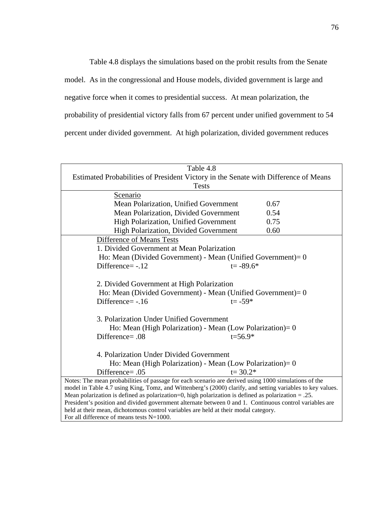Table 4.8 displays the simulations based on the probit results from the Senate model. As in the congressional and House models, divided government is large and negative force when it comes to presidential success. At mean polarization, the probability of presidential victory falls from 67 percent under unified government to 54 percent under divided government. At high polarization, divided government reduces

| Table 4.8                                                                                                                                                                                      |  |  |  |  |
|------------------------------------------------------------------------------------------------------------------------------------------------------------------------------------------------|--|--|--|--|
| Estimated Probabilities of President Victory in the Senate with Difference of Means                                                                                                            |  |  |  |  |
| <b>Tests</b>                                                                                                                                                                                   |  |  |  |  |
| Scenario                                                                                                                                                                                       |  |  |  |  |
| 0.67<br>Mean Polarization, Unified Government                                                                                                                                                  |  |  |  |  |
| Mean Polarization, Divided Government<br>0.54                                                                                                                                                  |  |  |  |  |
| 0.75<br>High Polarization, Unified Government                                                                                                                                                  |  |  |  |  |
| 0.60<br><b>High Polarization, Divided Government</b>                                                                                                                                           |  |  |  |  |
| Difference of Means Tests                                                                                                                                                                      |  |  |  |  |
| 1. Divided Government at Mean Polarization                                                                                                                                                     |  |  |  |  |
| Ho: Mean (Divided Government) - Mean (Unified Government) = $0$                                                                                                                                |  |  |  |  |
| Difference=-.12<br>$t = -89.6*$                                                                                                                                                                |  |  |  |  |
|                                                                                                                                                                                                |  |  |  |  |
| 2. Divided Government at High Polarization                                                                                                                                                     |  |  |  |  |
| Ho: Mean (Divided Government) - Mean (Unified Government) = $0$                                                                                                                                |  |  |  |  |
| Difference= $-.16$<br>$t = -59*$                                                                                                                                                               |  |  |  |  |
|                                                                                                                                                                                                |  |  |  |  |
| 3. Polarization Under Unified Government                                                                                                                                                       |  |  |  |  |
| Ho: Mean (High Polarization) - Mean (Low Polarization) = $0$                                                                                                                                   |  |  |  |  |
| Difference= .08<br>$t = 56.9*$                                                                                                                                                                 |  |  |  |  |
|                                                                                                                                                                                                |  |  |  |  |
| 4. Polarization Under Divided Government                                                                                                                                                       |  |  |  |  |
| Ho: Mean (High Polarization) - Mean (Low Polarization) = $0$                                                                                                                                   |  |  |  |  |
| Difference= .05<br>$t = 30.2*$                                                                                                                                                                 |  |  |  |  |
| Notes: The mean probabilities of passage for each scenario are derived using 1000 simulations of the                                                                                           |  |  |  |  |
| model in Table 4.7 using King, Tomz, and Wittenberg's (2000) clarify, and setting variables to key values.                                                                                     |  |  |  |  |
| Mean polarization is defined as polarization=0, high polarization is defined as polarization $= .25$ .                                                                                         |  |  |  |  |
| President's position and divided government alternate between 0 and 1. Continuous control variables are<br>held at their mean, dichotomous control variables are held at their modal category. |  |  |  |  |
| For all difference of means tests N=1000.                                                                                                                                                      |  |  |  |  |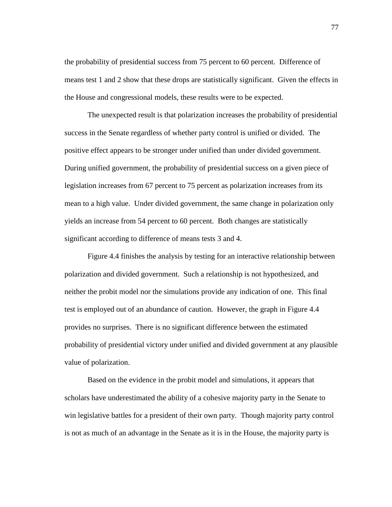the probability of presidential success from 75 percent to 60 percent. Difference of means test 1 and 2 show that these drops are statistically significant. Given the effects in the House and congressional models, these results were to be expected.

 The unexpected result is that polarization increases the probability of presidential success in the Senate regardless of whether party control is unified or divided. The positive effect appears to be stronger under unified than under divided government. During unified government, the probability of presidential success on a given piece of legislation increases from 67 percent to 75 percent as polarization increases from its mean to a high value. Under divided government, the same change in polarization only yields an increase from 54 percent to 60 percent. Both changes are statistically significant according to difference of means tests 3 and 4.

 Figure 4.4 finishes the analysis by testing for an interactive relationship between polarization and divided government. Such a relationship is not hypothesized, and neither the probit model nor the simulations provide any indication of one. This final test is employed out of an abundance of caution. However, the graph in Figure 4.4 provides no surprises. There is no significant difference between the estimated probability of presidential victory under unified and divided government at any plausible value of polarization.

 Based on the evidence in the probit model and simulations, it appears that scholars have underestimated the ability of a cohesive majority party in the Senate to win legislative battles for a president of their own party. Though majority party control is not as much of an advantage in the Senate as it is in the House, the majority party is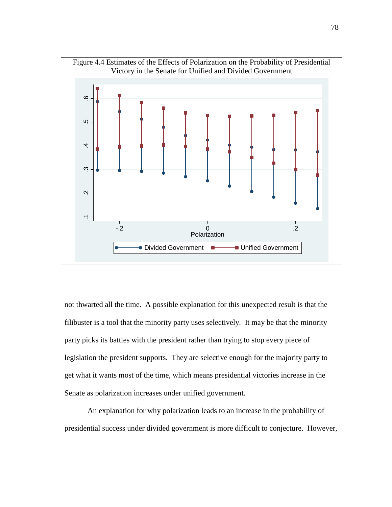

not thwarted all the time. A possible explanation for this unexpected result is that the filibuster is a tool that the minority party uses selectively. It may be that the minority party picks its battles with the president rather than trying to stop every piece of legislation the president supports. They are selective enough for the majority party to get what it wants most of the time, which means presidential victories increase in the Senate as polarization increases under unified government.

 An explanation for why polarization leads to an increase in the probability of presidential success under divided government is more difficult to conjecture. However,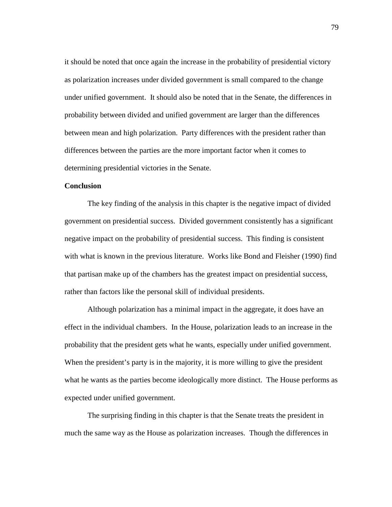it should be noted that once again the increase in the probability of presidential victory as polarization increases under divided government is small compared to the change under unified government. It should also be noted that in the Senate, the differences in probability between divided and unified government are larger than the differences between mean and high polarization. Party differences with the president rather than differences between the parties are the more important factor when it comes to determining presidential victories in the Senate.

#### **Conclusion**

 The key finding of the analysis in this chapter is the negative impact of divided government on presidential success. Divided government consistently has a significant negative impact on the probability of presidential success. This finding is consistent with what is known in the previous literature. Works like Bond and Fleisher (1990) find that partisan make up of the chambers has the greatest impact on presidential success, rather than factors like the personal skill of individual presidents.

 Although polarization has a minimal impact in the aggregate, it does have an effect in the individual chambers. In the House, polarization leads to an increase in the probability that the president gets what he wants, especially under unified government. When the president's party is in the majority, it is more willing to give the president what he wants as the parties become ideologically more distinct. The House performs as expected under unified government.

 The surprising finding in this chapter is that the Senate treats the president in much the same way as the House as polarization increases. Though the differences in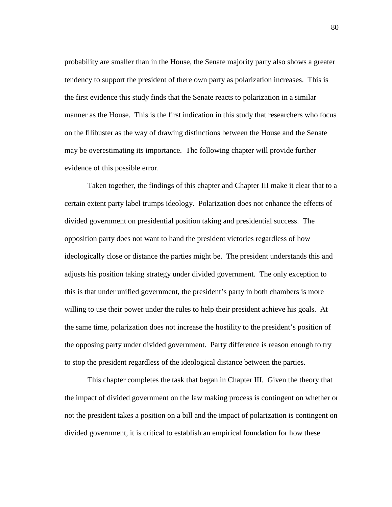probability are smaller than in the House, the Senate majority party also shows a greater tendency to support the president of there own party as polarization increases. This is the first evidence this study finds that the Senate reacts to polarization in a similar manner as the House. This is the first indication in this study that researchers who focus on the filibuster as the way of drawing distinctions between the House and the Senate may be overestimating its importance. The following chapter will provide further evidence of this possible error.

 Taken together, the findings of this chapter and Chapter III make it clear that to a certain extent party label trumps ideology. Polarization does not enhance the effects of divided government on presidential position taking and presidential success. The opposition party does not want to hand the president victories regardless of how ideologically close or distance the parties might be. The president understands this and adjusts his position taking strategy under divided government. The only exception to this is that under unified government, the president's party in both chambers is more willing to use their power under the rules to help their president achieve his goals. At the same time, polarization does not increase the hostility to the president's position of the opposing party under divided government. Party difference is reason enough to try to stop the president regardless of the ideological distance between the parties.

 This chapter completes the task that began in Chapter III. Given the theory that the impact of divided government on the law making process is contingent on whether or not the president takes a position on a bill and the impact of polarization is contingent on divided government, it is critical to establish an empirical foundation for how these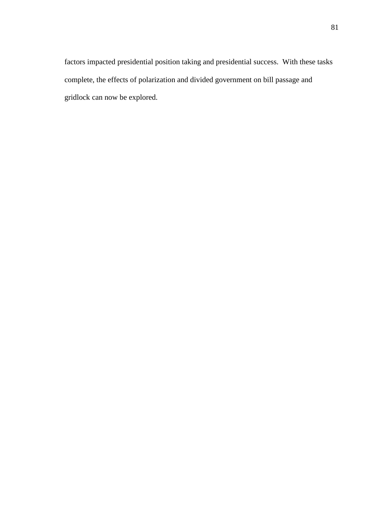factors impacted presidential position taking and presidential success. With these tasks complete, the effects of polarization and divided government on bill passage and gridlock can now be explored.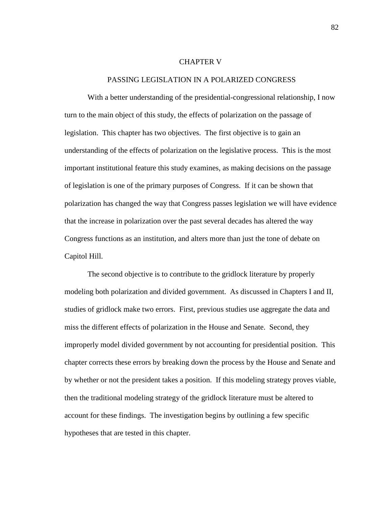### CHAPTER V

#### PASSING LEGISLATION IN A POLARIZED CONGRESS

With a better understanding of the presidential-congressional relationship, I now turn to the main object of this study, the effects of polarization on the passage of legislation. This chapter has two objectives. The first objective is to gain an understanding of the effects of polarization on the legislative process. This is the most important institutional feature this study examines, as making decisions on the passage of legislation is one of the primary purposes of Congress. If it can be shown that polarization has changed the way that Congress passes legislation we will have evidence that the increase in polarization over the past several decades has altered the way Congress functions as an institution, and alters more than just the tone of debate on Capitol Hill.

 The second objective is to contribute to the gridlock literature by properly modeling both polarization and divided government. As discussed in Chapters I and II, studies of gridlock make two errors. First, previous studies use aggregate the data and miss the different effects of polarization in the House and Senate. Second, they improperly model divided government by not accounting for presidential position. This chapter corrects these errors by breaking down the process by the House and Senate and by whether or not the president takes a position. If this modeling strategy proves viable, then the traditional modeling strategy of the gridlock literature must be altered to account for these findings. The investigation begins by outlining a few specific hypotheses that are tested in this chapter.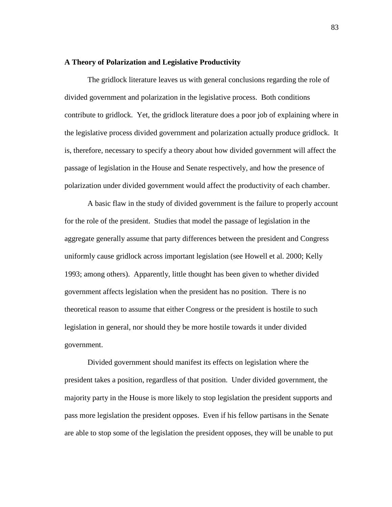## **A Theory of Polarization and Legislative Productivity**

 The gridlock literature leaves us with general conclusions regarding the role of divided government and polarization in the legislative process. Both conditions contribute to gridlock. Yet, the gridlock literature does a poor job of explaining where in the legislative process divided government and polarization actually produce gridlock. It is, therefore, necessary to specify a theory about how divided government will affect the passage of legislation in the House and Senate respectively, and how the presence of polarization under divided government would affect the productivity of each chamber.

 A basic flaw in the study of divided government is the failure to properly account for the role of the president. Studies that model the passage of legislation in the aggregate generally assume that party differences between the president and Congress uniformly cause gridlock across important legislation (see Howell et al. 2000; Kelly 1993; among others). Apparently, little thought has been given to whether divided government affects legislation when the president has no position. There is no theoretical reason to assume that either Congress or the president is hostile to such legislation in general, nor should they be more hostile towards it under divided government.

 Divided government should manifest its effects on legislation where the president takes a position, regardless of that position. Under divided government, the majority party in the House is more likely to stop legislation the president supports and pass more legislation the president opposes. Even if his fellow partisans in the Senate are able to stop some of the legislation the president opposes, they will be unable to put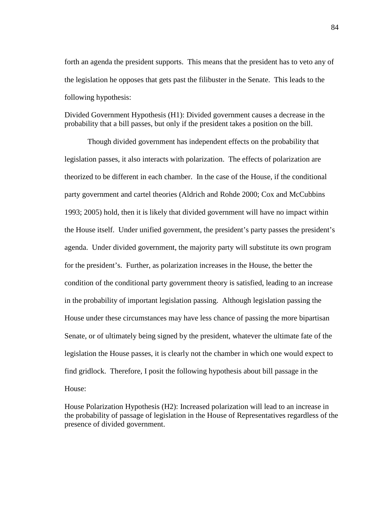forth an agenda the president supports. This means that the president has to veto any of the legislation he opposes that gets past the filibuster in the Senate. This leads to the following hypothesis:

Divided Government Hypothesis (H1): Divided government causes a decrease in the probability that a bill passes, but only if the president takes a position on the bill.

 Though divided government has independent effects on the probability that legislation passes, it also interacts with polarization. The effects of polarization are theorized to be different in each chamber. In the case of the House, if the conditional party government and cartel theories (Aldrich and Rohde 2000; Cox and McCubbins 1993; 2005) hold, then it is likely that divided government will have no impact within the House itself. Under unified government, the president's party passes the president's agenda. Under divided government, the majority party will substitute its own program for the president's. Further, as polarization increases in the House, the better the condition of the conditional party government theory is satisfied, leading to an increase in the probability of important legislation passing. Although legislation passing the House under these circumstances may have less chance of passing the more bipartisan Senate, or of ultimately being signed by the president, whatever the ultimate fate of the legislation the House passes, it is clearly not the chamber in which one would expect to find gridlock. Therefore, I posit the following hypothesis about bill passage in the House:

House Polarization Hypothesis (H2): Increased polarization will lead to an increase in the probability of passage of legislation in the House of Representatives regardless of the presence of divided government.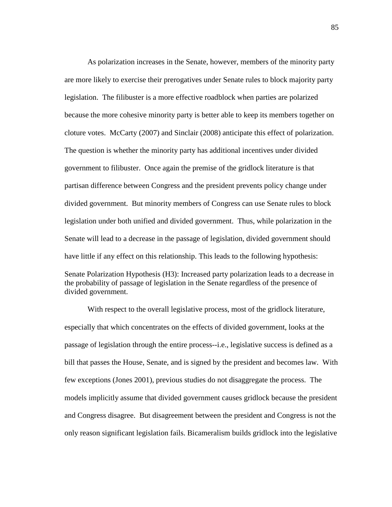As polarization increases in the Senate, however, members of the minority party are more likely to exercise their prerogatives under Senate rules to block majority party legislation. The filibuster is a more effective roadblock when parties are polarized because the more cohesive minority party is better able to keep its members together on cloture votes. McCarty (2007) and Sinclair (2008) anticipate this effect of polarization. The question is whether the minority party has additional incentives under divided government to filibuster. Once again the premise of the gridlock literature is that partisan difference between Congress and the president prevents policy change under divided government. But minority members of Congress can use Senate rules to block legislation under both unified and divided government. Thus, while polarization in the Senate will lead to a decrease in the passage of legislation, divided government should have little if any effect on this relationship. This leads to the following hypothesis: Senate Polarization Hypothesis (H3): Increased party polarization leads to a decrease in the probability of passage of legislation in the Senate regardless of the presence of divided government.

 With respect to the overall legislative process, most of the gridlock literature, especially that which concentrates on the effects of divided government, looks at the passage of legislation through the entire process--i.e., legislative success is defined as a bill that passes the House, Senate, and is signed by the president and becomes law. With few exceptions (Jones 2001), previous studies do not disaggregate the process. The models implicitly assume that divided government causes gridlock because the president and Congress disagree. But disagreement between the president and Congress is not the only reason significant legislation fails. Bicameralism builds gridlock into the legislative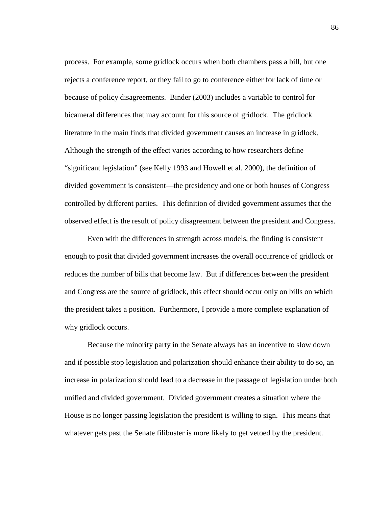process. For example, some gridlock occurs when both chambers pass a bill, but one rejects a conference report, or they fail to go to conference either for lack of time or because of policy disagreements. Binder (2003) includes a variable to control for bicameral differences that may account for this source of gridlock. The gridlock literature in the main finds that divided government causes an increase in gridlock. Although the strength of the effect varies according to how researchers define "significant legislation" (see Kelly 1993 and Howell et al. 2000), the definition of divided government is consistent—the presidency and one or both houses of Congress controlled by different parties. This definition of divided government assumes that the observed effect is the result of policy disagreement between the president and Congress.

 Even with the differences in strength across models, the finding is consistent enough to posit that divided government increases the overall occurrence of gridlock or reduces the number of bills that become law. But if differences between the president and Congress are the source of gridlock, this effect should occur only on bills on which the president takes a position. Furthermore, I provide a more complete explanation of why gridlock occurs.

 Because the minority party in the Senate always has an incentive to slow down and if possible stop legislation and polarization should enhance their ability to do so, an increase in polarization should lead to a decrease in the passage of legislation under both unified and divided government. Divided government creates a situation where the House is no longer passing legislation the president is willing to sign. This means that whatever gets past the Senate filibuster is more likely to get vetoed by the president.

86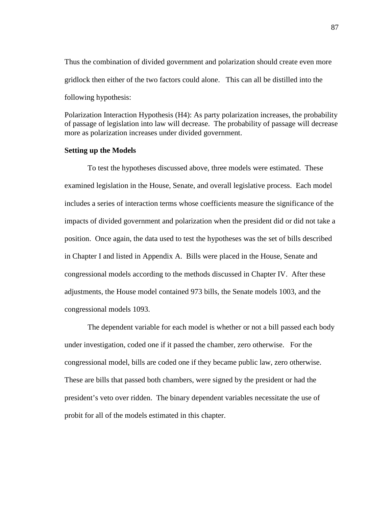Thus the combination of divided government and polarization should create even more gridlock then either of the two factors could alone. This can all be distilled into the following hypothesis:

Polarization Interaction Hypothesis (H4): As party polarization increases, the probability of passage of legislation into law will decrease. The probability of passage will decrease more as polarization increases under divided government.

### **Setting up the Models**

 To test the hypotheses discussed above, three models were estimated. These examined legislation in the House, Senate, and overall legislative process. Each model includes a series of interaction terms whose coefficients measure the significance of the impacts of divided government and polarization when the president did or did not take a position. Once again, the data used to test the hypotheses was the set of bills described in Chapter I and listed in Appendix A. Bills were placed in the House, Senate and congressional models according to the methods discussed in Chapter IV. After these adjustments, the House model contained 973 bills, the Senate models 1003, and the congressional models 1093.

 The dependent variable for each model is whether or not a bill passed each body under investigation, coded one if it passed the chamber, zero otherwise. For the congressional model, bills are coded one if they became public law, zero otherwise. These are bills that passed both chambers, were signed by the president or had the president's veto over ridden. The binary dependent variables necessitate the use of probit for all of the models estimated in this chapter.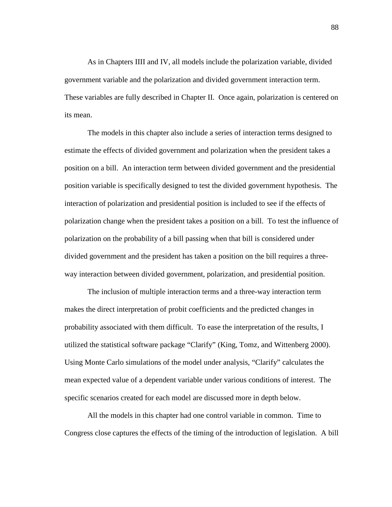As in Chapters IIII and IV, all models include the polarization variable, divided government variable and the polarization and divided government interaction term. These variables are fully described in Chapter II. Once again, polarization is centered on its mean.

 The models in this chapter also include a series of interaction terms designed to estimate the effects of divided government and polarization when the president takes a position on a bill. An interaction term between divided government and the presidential position variable is specifically designed to test the divided government hypothesis. The interaction of polarization and presidential position is included to see if the effects of polarization change when the president takes a position on a bill. To test the influence of polarization on the probability of a bill passing when that bill is considered under divided government and the president has taken a position on the bill requires a threeway interaction between divided government, polarization, and presidential position.

 The inclusion of multiple interaction terms and a three-way interaction term makes the direct interpretation of probit coefficients and the predicted changes in probability associated with them difficult. To ease the interpretation of the results, I utilized the statistical software package "Clarify" (King, Tomz, and Wittenberg 2000). Using Monte Carlo simulations of the model under analysis, "Clarify" calculates the mean expected value of a dependent variable under various conditions of interest. The specific scenarios created for each model are discussed more in depth below.

 All the models in this chapter had one control variable in common. Time to Congress close captures the effects of the timing of the introduction of legislation. A bill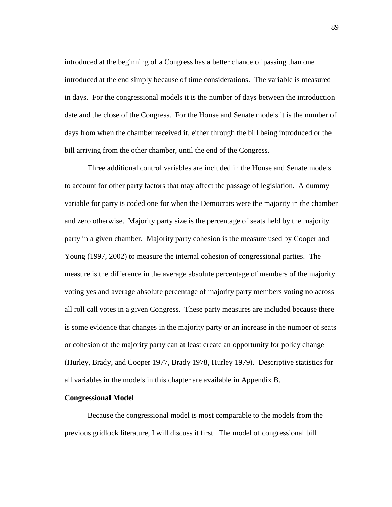introduced at the beginning of a Congress has a better chance of passing than one introduced at the end simply because of time considerations. The variable is measured in days. For the congressional models it is the number of days between the introduction date and the close of the Congress. For the House and Senate models it is the number of days from when the chamber received it, either through the bill being introduced or the bill arriving from the other chamber, until the end of the Congress.

 Three additional control variables are included in the House and Senate models to account for other party factors that may affect the passage of legislation. A dummy variable for party is coded one for when the Democrats were the majority in the chamber and zero otherwise. Majority party size is the percentage of seats held by the majority party in a given chamber. Majority party cohesion is the measure used by Cooper and Young (1997, 2002) to measure the internal cohesion of congressional parties. The measure is the difference in the average absolute percentage of members of the majority voting yes and average absolute percentage of majority party members voting no across all roll call votes in a given Congress. These party measures are included because there is some evidence that changes in the majority party or an increase in the number of seats or cohesion of the majority party can at least create an opportunity for policy change (Hurley, Brady, and Cooper 1977, Brady 1978, Hurley 1979). Descriptive statistics for all variables in the models in this chapter are available in Appendix B.

# **Congressional Model**

Because the congressional model is most comparable to the models from the previous gridlock literature, I will discuss it first. The model of congressional bill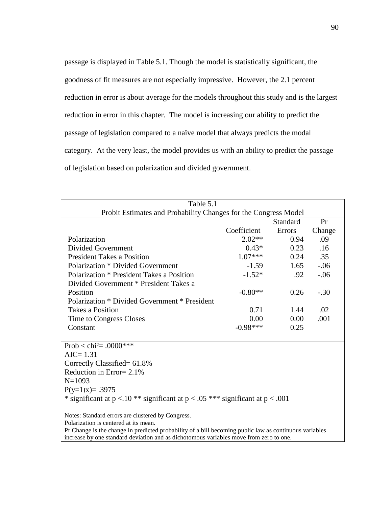passage is displayed in Table 5.1. Though the model is statistically significant, the goodness of fit measures are not especially impressive. However, the 2.1 percent reduction in error is about average for the models throughout this study and is the largest reduction in error in this chapter. The model is increasing our ability to predict the passage of legislation compared to a naïve model that always predicts the modal category. At the very least, the model provides us with an ability to predict the passage of legislation based on polarization and divided government.

| Table 5.1                                                                                              |             |          |        |
|--------------------------------------------------------------------------------------------------------|-------------|----------|--------|
| Probit Estimates and Probability Changes for the Congress Model                                        |             |          |        |
|                                                                                                        |             | Standard | Pr     |
|                                                                                                        | Coefficient | Errors   | Change |
| Polarization                                                                                           | $2.02**$    | 0.94     | .09    |
| <b>Divided Government</b>                                                                              | $0.43*$     | 0.23     | .16    |
| <b>President Takes a Position</b>                                                                      | $1.07***$   | 0.24     | .35    |
| <b>Polarization * Divided Government</b>                                                               | $-1.59$     | 1.65     | $-.06$ |
| Polarization * President Takes a Position                                                              | $-1.52*$    | .92      | $-.06$ |
| Divided Government * President Takes a                                                                 |             |          |        |
| Position                                                                                               | $-0.80**$   | 0.26     | $-.30$ |
| Polarization * Divided Government * President                                                          |             |          |        |
| <b>Takes a Position</b>                                                                                | 0.71        | 1.44     | .02    |
| Time to Congress Closes                                                                                | 0.00        | 0.00     | .001   |
| Constant                                                                                               | $-0.98***$  | 0.25     |        |
| Prob < chi <sup>2</sup> = .0000***                                                                     |             |          |        |
| $AIC = 1.31$                                                                                           |             |          |        |
| Correctly Classified= 61.8%                                                                            |             |          |        |
| Reduction in Error $= 2.1\%$                                                                           |             |          |        |
| $N=1093$                                                                                               |             |          |        |
| $P(y=1 x) = .3975$                                                                                     |             |          |        |
|                                                                                                        |             |          |        |
| * significant at $p < 0.10$ ** significant at $p < 0.05$ *** significant at $p < 0.001$                |             |          |        |
| Notes: Standard errors are clustered by Congress.                                                      |             |          |        |
| Polarization is centered at its mean.                                                                  |             |          |        |
| Pr Change is the change in predicted probability of a bill becoming public law as continuous variables |             |          |        |
| increase by one standard deviation and as dichotomous variables move from zero to one.                 |             |          |        |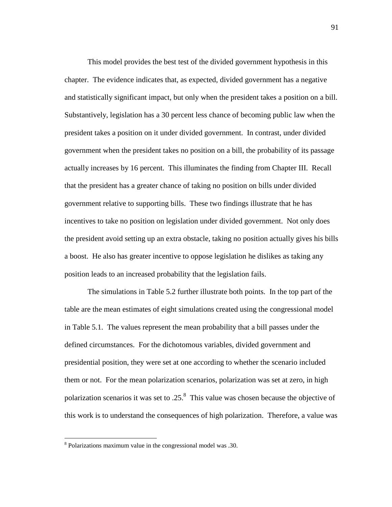This model provides the best test of the divided government hypothesis in this chapter. The evidence indicates that, as expected, divided government has a negative and statistically significant impact, but only when the president takes a position on a bill. Substantively, legislation has a 30 percent less chance of becoming public law when the president takes a position on it under divided government. In contrast, under divided government when the president takes no position on a bill, the probability of its passage actually increases by 16 percent. This illuminates the finding from Chapter III. Recall that the president has a greater chance of taking no position on bills under divided government relative to supporting bills. These two findings illustrate that he has incentives to take no position on legislation under divided government. Not only does the president avoid setting up an extra obstacle, taking no position actually gives his bills a boost. He also has greater incentive to oppose legislation he dislikes as taking any position leads to an increased probability that the legislation fails.

 The simulations in Table 5.2 further illustrate both points. In the top part of the table are the mean estimates of eight simulations created using the congressional model in Table 5.1. The values represent the mean probability that a bill passes under the defined circumstances. For the dichotomous variables, divided government and presidential position, they were set at one according to whether the scenario included them or not. For the mean polarization scenarios, polarization was set at zero, in high polarization scenarios it was set to .25.<sup>8</sup> This value was chosen because the objective of this work is to understand the consequences of high polarization. Therefore, a value was

 $\overline{a}$ 

<sup>8</sup> Polarizations maximum value in the congressional model was .30.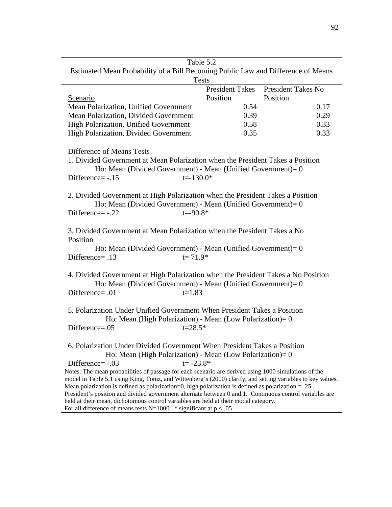| Table 5.2                                                                                                                                                                                                          |                        |                           |  |
|--------------------------------------------------------------------------------------------------------------------------------------------------------------------------------------------------------------------|------------------------|---------------------------|--|
| Estimated Mean Probability of a Bill Becoming Public Law and Difference of Means                                                                                                                                   |                        |                           |  |
| <b>Tests</b>                                                                                                                                                                                                       |                        |                           |  |
|                                                                                                                                                                                                                    | <b>President Takes</b> | <b>President Takes No</b> |  |
| Scenario                                                                                                                                                                                                           | Position               | Position                  |  |
| Mean Polarization, Unified Government                                                                                                                                                                              | 0.54                   | 0.17                      |  |
| Mean Polarization, Divided Government                                                                                                                                                                              | 0.39                   | 0.29                      |  |
| High Polarization, Unified Government                                                                                                                                                                              | 0.58                   | 0.33                      |  |
| High Polarization, Divided Government                                                                                                                                                                              | 0.35                   | 0.33                      |  |
|                                                                                                                                                                                                                    |                        |                           |  |
| Difference of Means Tests                                                                                                                                                                                          |                        |                           |  |
| 1. Divided Government at Mean Polarization when the President Takes a Position                                                                                                                                     |                        |                           |  |
| Ho: Mean (Divided Government) - Mean (Unified Government) = $0$                                                                                                                                                    |                        |                           |  |
| $t = -130.0*$<br>Difference= $-.15$                                                                                                                                                                                |                        |                           |  |
|                                                                                                                                                                                                                    |                        |                           |  |
| 2. Divided Government at High Polarization when the President Takes a Position                                                                                                                                     |                        |                           |  |
| Ho: Mean (Divided Government) - Mean (Unified Government) = $0$                                                                                                                                                    |                        |                           |  |
| Difference=-.22<br>$t = -90.8*$                                                                                                                                                                                    |                        |                           |  |
|                                                                                                                                                                                                                    |                        |                           |  |
|                                                                                                                                                                                                                    |                        |                           |  |
| 3. Divided Government at Mean Polarization when the President Takes a No<br>Position                                                                                                                               |                        |                           |  |
| Ho: Mean (Divided Government) - Mean (Unified Government) = $0$                                                                                                                                                    |                        |                           |  |
| Difference= .13<br>$t = 71.9*$                                                                                                                                                                                     |                        |                           |  |
|                                                                                                                                                                                                                    |                        |                           |  |
|                                                                                                                                                                                                                    |                        |                           |  |
| 4. Divided Government at High Polarization when the President Takes a No Position                                                                                                                                  |                        |                           |  |
| Ho: Mean (Divided Government) - Mean (Unified Government) = $0$                                                                                                                                                    |                        |                           |  |
| Difference= .01<br>$t=1.83$                                                                                                                                                                                        |                        |                           |  |
|                                                                                                                                                                                                                    |                        |                           |  |
| 5. Polarization Under Unified Government When President Takes a Position                                                                                                                                           |                        |                           |  |
| Ho: Mean (High Polarization) - Mean (Low Polarization) = $0$                                                                                                                                                       |                        |                           |  |
| Difference= $.05$<br>$t = 28.5*$                                                                                                                                                                                   |                        |                           |  |
|                                                                                                                                                                                                                    |                        |                           |  |
| 6. Polarization Under Divided Government When President Takes a Position                                                                                                                                           |                        |                           |  |
| Ho: Mean (High Polarization) - Mean (Low Polarization) = $0$                                                                                                                                                       |                        |                           |  |
| $t = -23.8*$<br>Difference= -.03                                                                                                                                                                                   |                        |                           |  |
| Notes: The mean probabilities of passage for each scenario are derived using 1000 simulations of the<br>model in Table 5.1 using King, Tomz, and Wittenberg's (2000) clarify, and setting variables to key values. |                        |                           |  |
| Mean polarization is defined as polarization=0, high polarization is defined as polarization $= .25$ .                                                                                                             |                        |                           |  |
| President's position and divided government alternate between 0 and 1. Continuous control variables are                                                                                                            |                        |                           |  |
| held at their mean, dichotomous control variables are held at their modal category.                                                                                                                                |                        |                           |  |
| For all difference of means tests N=1000. * significant at $p < .05$                                                                                                                                               |                        |                           |  |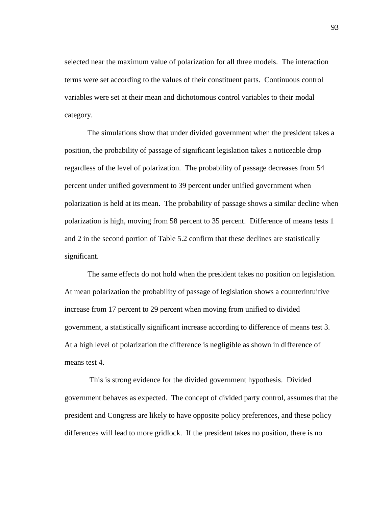selected near the maximum value of polarization for all three models. The interaction terms were set according to the values of their constituent parts. Continuous control variables were set at their mean and dichotomous control variables to their modal category.

 The simulations show that under divided government when the president takes a position, the probability of passage of significant legislation takes a noticeable drop regardless of the level of polarization. The probability of passage decreases from 54 percent under unified government to 39 percent under unified government when polarization is held at its mean. The probability of passage shows a similar decline when polarization is high, moving from 58 percent to 35 percent. Difference of means tests 1 and 2 in the second portion of Table 5.2 confirm that these declines are statistically significant.

 The same effects do not hold when the president takes no position on legislation. At mean polarization the probability of passage of legislation shows a counterintuitive increase from 17 percent to 29 percent when moving from unified to divided government, a statistically significant increase according to difference of means test 3. At a high level of polarization the difference is negligible as shown in difference of means test 4.

 This is strong evidence for the divided government hypothesis. Divided government behaves as expected. The concept of divided party control, assumes that the president and Congress are likely to have opposite policy preferences, and these policy differences will lead to more gridlock. If the president takes no position, there is no

93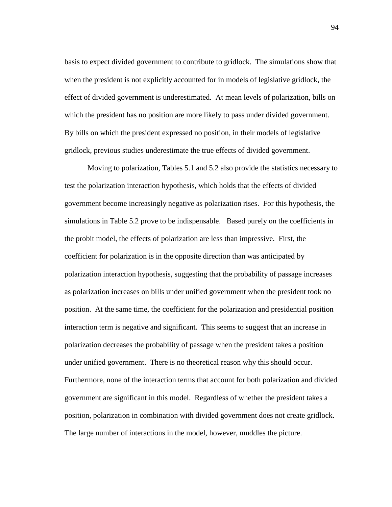basis to expect divided government to contribute to gridlock. The simulations show that when the president is not explicitly accounted for in models of legislative gridlock, the effect of divided government is underestimated. At mean levels of polarization, bills on which the president has no position are more likely to pass under divided government. By bills on which the president expressed no position, in their models of legislative gridlock, previous studies underestimate the true effects of divided government.

 Moving to polarization, Tables 5.1 and 5.2 also provide the statistics necessary to test the polarization interaction hypothesis, which holds that the effects of divided government become increasingly negative as polarization rises. For this hypothesis, the simulations in Table 5.2 prove to be indispensable. Based purely on the coefficients in the probit model, the effects of polarization are less than impressive. First, the coefficient for polarization is in the opposite direction than was anticipated by polarization interaction hypothesis, suggesting that the probability of passage increases as polarization increases on bills under unified government when the president took no position. At the same time, the coefficient for the polarization and presidential position interaction term is negative and significant. This seems to suggest that an increase in polarization decreases the probability of passage when the president takes a position under unified government. There is no theoretical reason why this should occur. Furthermore, none of the interaction terms that account for both polarization and divided government are significant in this model. Regardless of whether the president takes a position, polarization in combination with divided government does not create gridlock. The large number of interactions in the model, however, muddles the picture.

94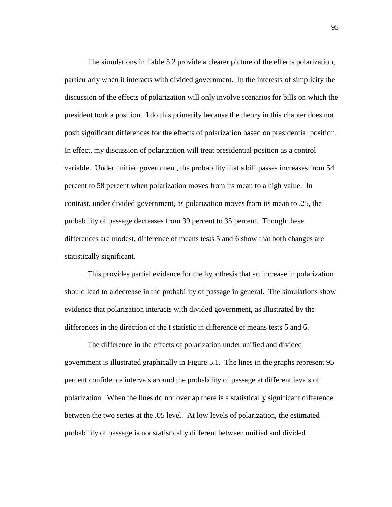The simulations in Table 5.2 provide a clearer picture of the effects polarization, particularly when it interacts with divided government. In the interests of simplicity the discussion of the effects of polarization will only involve scenarios for bills on which the president took a position. I do this primarily because the theory in this chapter does not posit significant differences for the effects of polarization based on presidential position. In effect, my discussion of polarization will treat presidential position as a control variable. Under unified government, the probability that a bill passes increases from 54 percent to 58 percent when polarization moves from its mean to a high value. In contrast, under divided government, as polarization moves from its mean to .25, the probability of passage decreases from 39 percent to 35 percent. Though these differences are modest, difference of means tests 5 and 6 show that both changes are statistically significant.

 This provides partial evidence for the hypothesis that an increase in polarization should lead to a decrease in the probability of passage in general. The simulations show evidence that polarization interacts with divided government, as illustrated by the differences in the direction of the t statistic in difference of means tests 5 and 6.

 The difference in the effects of polarization under unified and divided government is illustrated graphically in Figure 5.1. The lines in the graphs represent 95 percent confidence intervals around the probability of passage at different levels of polarization. When the lines do not overlap there is a statistically significant difference between the two series at the .05 level. At low levels of polarization, the estimated probability of passage is not statistically different between unified and divided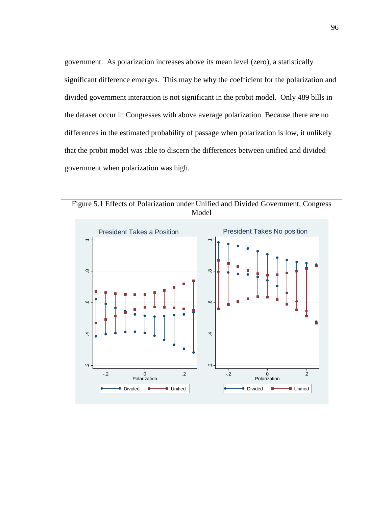government. As polarization increases above its mean level (zero), a statistically significant difference emerges. This may be why the coefficient for the polarization and divided government interaction is not significant in the probit model. Only 489 bills in the dataset occur in Congresses with above average polarization. Because there are no differences in the estimated probability of passage when polarization is low, it unlikely that the probit model was able to discern the differences between unified and divided government when polarization was high.

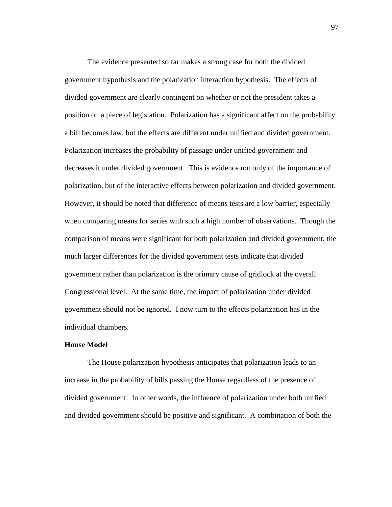The evidence presented so far makes a strong case for both the divided government hypothesis and the polarization interaction hypothesis. The effects of divided government are clearly contingent on whether or not the president takes a position on a piece of legislation. Polarization has a significant affect on the probability a bill becomes law, but the effects are different under unified and divided government. Polarization increases the probability of passage under unified government and decreases it under divided government. This is evidence not only of the importance of polarization, but of the interactive effects between polarization and divided government. However, it should be noted that difference of means tests are a low barrier, especially when comparing means for series with such a high number of observations. Though the comparison of means were significant for both polarization and divided government, the much larger differences for the divided government tests indicate that divided government rather than polarization is the primary cause of gridlock at the overall Congressional level. At the same time, the impact of polarization under divided government should not be ignored. I now turn to the effects polarization has in the individual chambers.

## **House Model**

 The House polarization hypothesis anticipates that polarization leads to an increase in the probability of bills passing the House regardless of the presence of divided government. In other words, the influence of polarization under both unified and divided government should be positive and significant. A combination of both the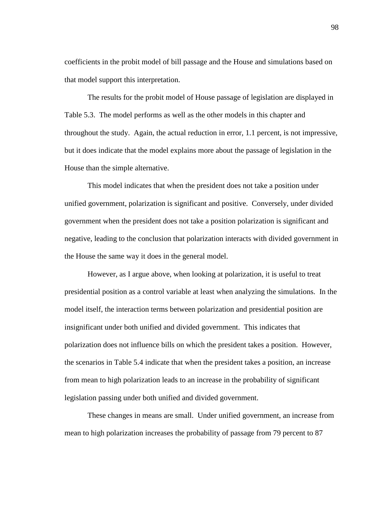coefficients in the probit model of bill passage and the House and simulations based on that model support this interpretation.

 The results for the probit model of House passage of legislation are displayed in Table 5.3. The model performs as well as the other models in this chapter and throughout the study. Again, the actual reduction in error, 1.1 percent, is not impressive, but it does indicate that the model explains more about the passage of legislation in the House than the simple alternative.

 This model indicates that when the president does not take a position under unified government, polarization is significant and positive. Conversely, under divided government when the president does not take a position polarization is significant and negative, leading to the conclusion that polarization interacts with divided government in the House the same way it does in the general model.

 However, as I argue above, when looking at polarization, it is useful to treat presidential position as a control variable at least when analyzing the simulations. In the model itself, the interaction terms between polarization and presidential position are insignificant under both unified and divided government. This indicates that polarization does not influence bills on which the president takes a position. However, the scenarios in Table 5.4 indicate that when the president takes a position, an increase from mean to high polarization leads to an increase in the probability of significant legislation passing under both unified and divided government.

 These changes in means are small. Under unified government, an increase from mean to high polarization increases the probability of passage from 79 percent to 87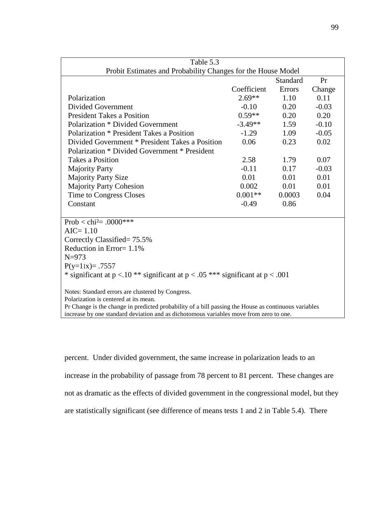| Table 5.3                                                                                            |             |                 |         |  |  |  |
|------------------------------------------------------------------------------------------------------|-------------|-----------------|---------|--|--|--|
| Probit Estimates and Probability Changes for the House Model                                         |             |                 |         |  |  |  |
|                                                                                                      |             | <b>Standard</b> | Pr      |  |  |  |
|                                                                                                      | Coefficient | <b>Errors</b>   | Change  |  |  |  |
| Polarization                                                                                         | $2.69**$    | 1.10            | 0.11    |  |  |  |
| Divided Government                                                                                   | $-0.10$     | 0.20            | $-0.03$ |  |  |  |
| <b>President Takes a Position</b>                                                                    | $0.59**$    | 0.20            | 0.20    |  |  |  |
| Polarization * Divided Government                                                                    | $-3.49**$   | 1.59            | $-0.10$ |  |  |  |
| Polarization * President Takes a Position                                                            | $-1.29$     | 1.09            | $-0.05$ |  |  |  |
| Divided Government * President Takes a Position                                                      | 0.06        | 0.23            | 0.02    |  |  |  |
| Polarization * Divided Government * President                                                        |             |                 |         |  |  |  |
| <b>Takes a Position</b>                                                                              | 2.58        | 1.79            | 0.07    |  |  |  |
| <b>Majority Party</b>                                                                                | $-0.11$     | 0.17            | $-0.03$ |  |  |  |
| <b>Majority Party Size</b>                                                                           | 0.01        | 0.01            | 0.01    |  |  |  |
| <b>Majority Party Cohesion</b>                                                                       | 0.002       | 0.01            | 0.01    |  |  |  |
| Time to Congress Closes                                                                              | $0.001**$   | 0.0003          | 0.04    |  |  |  |
| Constant                                                                                             | $-0.49$     | 0.86            |         |  |  |  |
|                                                                                                      |             |                 |         |  |  |  |
| Prob < chi <sup>2</sup> = .0000***                                                                   |             |                 |         |  |  |  |
| $AIC = 1.10$                                                                                         |             |                 |         |  |  |  |
| Correctly Classified= 75.5%                                                                          |             |                 |         |  |  |  |
| Reduction in Error= 1.1%                                                                             |             |                 |         |  |  |  |
| $N = 973$                                                                                            |             |                 |         |  |  |  |
| $P(y=1 x) = .7557$                                                                                   |             |                 |         |  |  |  |
| * significant at $p < 0.10$ ** significant at $p < 0.05$ *** significant at $p < 0.001$              |             |                 |         |  |  |  |
| Notes: Standard errors are clustered by Congress.                                                    |             |                 |         |  |  |  |
| Polarization is centered at its mean.                                                                |             |                 |         |  |  |  |
| Pr Change is the change in predicted probability of a bill passing the House as continuous variables |             |                 |         |  |  |  |

increase by one standard deviation and as dichotomous variables move from zero to one.

percent. Under divided government, the same increase in polarization leads to an increase in the probability of passage from 78 percent to 81 percent. These changes are not as dramatic as the effects of divided government in the congressional model, but they are statistically significant (see difference of means tests 1 and 2 in Table 5.4). There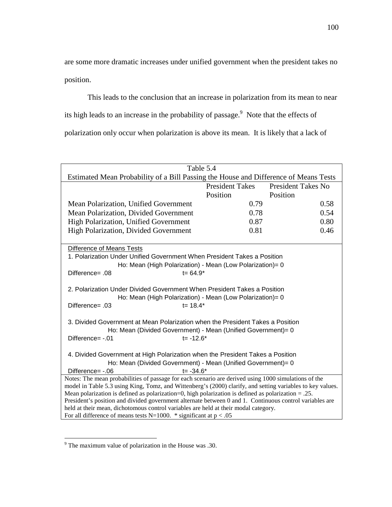are some more dramatic increases under unified government when the president takes no position.

 This leads to the conclusion that an increase in polarization from its mean to near its high leads to an increase in the probability of passage. $\degree$  Note that the effects of polarization only occur when polarization is above its mean. It is likely that a lack of

| Table 5.4                                                                                                                                                                                                         |                        |                           |  |  |
|-------------------------------------------------------------------------------------------------------------------------------------------------------------------------------------------------------------------|------------------------|---------------------------|--|--|
| Estimated Mean Probability of a Bill Passing the House and Difference of Means Tests                                                                                                                              |                        |                           |  |  |
|                                                                                                                                                                                                                   | <b>President Takes</b> | <b>President Takes No</b> |  |  |
|                                                                                                                                                                                                                   | Position               | Position                  |  |  |
| Mean Polarization, Unified Government                                                                                                                                                                             | 0.79                   | 0.58                      |  |  |
| Mean Polarization, Divided Government                                                                                                                                                                             | 0.78                   | 0.54                      |  |  |
| <b>High Polarization, Unified Government</b>                                                                                                                                                                      | 0.87                   | 0.80                      |  |  |
| High Polarization, Divided Government                                                                                                                                                                             | 0.81                   | 0.46                      |  |  |
|                                                                                                                                                                                                                   |                        |                           |  |  |
| Difference of Means Tests                                                                                                                                                                                         |                        |                           |  |  |
| 1. Polarization Under Unified Government When President Takes a Position                                                                                                                                          |                        |                           |  |  |
| Ho: Mean (High Polarization) - Mean (Low Polarization)= 0                                                                                                                                                         |                        |                           |  |  |
| $t = 64.9*$<br>Difference= .08                                                                                                                                                                                    |                        |                           |  |  |
|                                                                                                                                                                                                                   |                        |                           |  |  |
| 2. Polarization Under Divided Government When President Takes a Position                                                                                                                                          |                        |                           |  |  |
| Ho: Mean (High Polarization) - Mean (Low Polarization)= 0                                                                                                                                                         |                        |                           |  |  |
| $t = 18.4*$<br>Difference= .03                                                                                                                                                                                    |                        |                           |  |  |
| 3. Divided Government at Mean Polarization when the President Takes a Position                                                                                                                                    |                        |                           |  |  |
| Ho: Mean (Divided Government) - Mean (Unified Government)= 0                                                                                                                                                      |                        |                           |  |  |
| $t = -12.6*$<br>Difference= -.01                                                                                                                                                                                  |                        |                           |  |  |
|                                                                                                                                                                                                                   |                        |                           |  |  |
| 4. Divided Government at High Polarization when the President Takes a Position                                                                                                                                    |                        |                           |  |  |
| Ho: Mean (Divided Government) - Mean (Unified Government)= 0                                                                                                                                                      |                        |                           |  |  |
| $t = -34.6*$<br>Difference= $-.06$                                                                                                                                                                                |                        |                           |  |  |
| Notes: The mean probabilities of passage for each scenario are derived using 1000 simulations of the                                                                                                              |                        |                           |  |  |
| model in Table 5.3 using King, Tomz, and Wittenberg's (2000) clarify, and setting variables to key values.                                                                                                        |                        |                           |  |  |
| Mean polarization is defined as polarization=0, high polarization is defined as polarization $= .25$ .<br>President's position and divided government alternate between 0 and 1. Continuous control variables are |                        |                           |  |  |
| held at their mean, dichotomous control variables are held at their modal category.                                                                                                                               |                        |                           |  |  |
| For all difference of means tests N=1000. * significant at $p < .05$                                                                                                                                              |                        |                           |  |  |

<sup>&</sup>lt;sup>9</sup> The maximum value of polarization in the House was .30.

 $\overline{a}$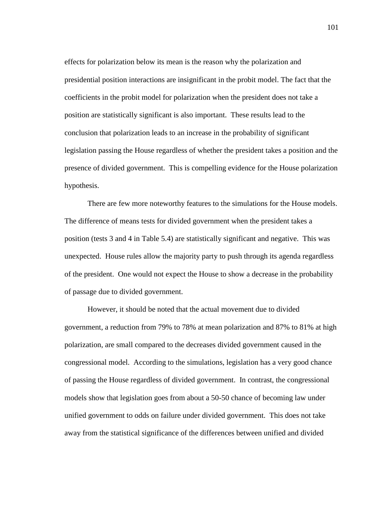effects for polarization below its mean is the reason why the polarization and presidential position interactions are insignificant in the probit model. The fact that the coefficients in the probit model for polarization when the president does not take a position are statistically significant is also important. These results lead to the conclusion that polarization leads to an increase in the probability of significant legislation passing the House regardless of whether the president takes a position and the presence of divided government. This is compelling evidence for the House polarization hypothesis.

 There are few more noteworthy features to the simulations for the House models. The difference of means tests for divided government when the president takes a position (tests 3 and 4 in Table 5.4) are statistically significant and negative. This was unexpected. House rules allow the majority party to push through its agenda regardless of the president. One would not expect the House to show a decrease in the probability of passage due to divided government.

 However, it should be noted that the actual movement due to divided government, a reduction from 79% to 78% at mean polarization and 87% to 81% at high polarization, are small compared to the decreases divided government caused in the congressional model. According to the simulations, legislation has a very good chance of passing the House regardless of divided government. In contrast, the congressional models show that legislation goes from about a 50-50 chance of becoming law under unified government to odds on failure under divided government. This does not take away from the statistical significance of the differences between unified and divided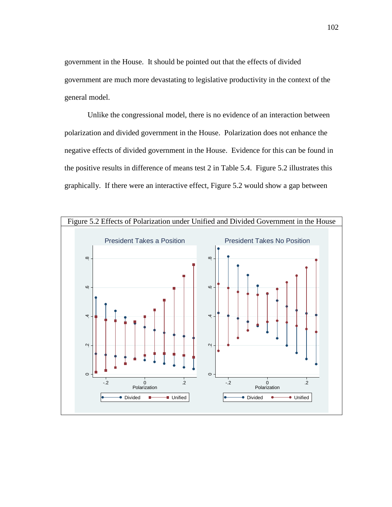government in the House. It should be pointed out that the effects of divided government are much more devastating to legislative productivity in the context of the general model.

 Unlike the congressional model, there is no evidence of an interaction between polarization and divided government in the House. Polarization does not enhance the negative effects of divided government in the House. Evidence for this can be found in the positive results in difference of means test 2 in Table 5.4. Figure 5.2 illustrates this graphically. If there were an interactive effect, Figure 5.2 would show a gap between

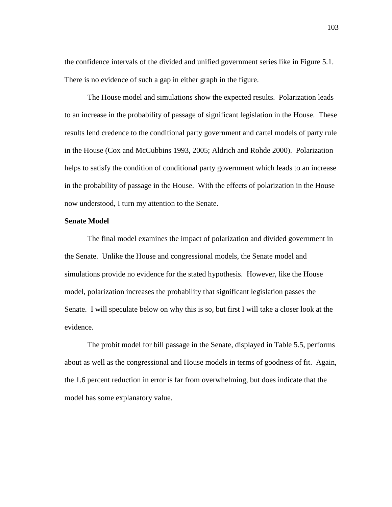the confidence intervals of the divided and unified government series like in Figure 5.1. There is no evidence of such a gap in either graph in the figure.

 The House model and simulations show the expected results. Polarization leads to an increase in the probability of passage of significant legislation in the House. These results lend credence to the conditional party government and cartel models of party rule in the House (Cox and McCubbins 1993, 2005; Aldrich and Rohde 2000). Polarization helps to satisfy the condition of conditional party government which leads to an increase in the probability of passage in the House. With the effects of polarization in the House now understood, I turn my attention to the Senate.

# **Senate Model**

 The final model examines the impact of polarization and divided government in the Senate. Unlike the House and congressional models, the Senate model and simulations provide no evidence for the stated hypothesis. However, like the House model, polarization increases the probability that significant legislation passes the Senate. I will speculate below on why this is so, but first I will take a closer look at the evidence.

 The probit model for bill passage in the Senate, displayed in Table 5.5, performs about as well as the congressional and House models in terms of goodness of fit. Again, the 1.6 percent reduction in error is far from overwhelming, but does indicate that the model has some explanatory value.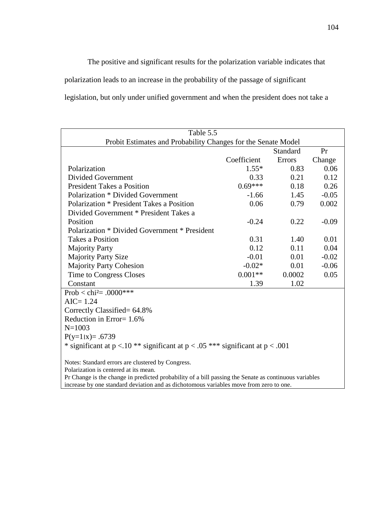The positive and significant results for the polarization variable indicates that polarization leads to an increase in the probability of the passage of significant legislation, but only under unified government and when the president does not take a

| Table 5.5<br>Probit Estimates and Probability Changes for the Senate Model                                                                                                                      |             |          |         |  |  |
|-------------------------------------------------------------------------------------------------------------------------------------------------------------------------------------------------|-------------|----------|---------|--|--|
|                                                                                                                                                                                                 |             | Standard | Pr      |  |  |
|                                                                                                                                                                                                 | Coefficient | Errors   | Change  |  |  |
| Polarization                                                                                                                                                                                    | $1.55*$     | 0.83     | 0.06    |  |  |
| <b>Divided Government</b>                                                                                                                                                                       | 0.33        | 0.21     | 0.12    |  |  |
| <b>President Takes a Position</b>                                                                                                                                                               | $0.69***$   | 0.18     | 0.26    |  |  |
| Polarization * Divided Government                                                                                                                                                               | $-1.66$     | 1.45     | $-0.05$ |  |  |
| Polarization * President Takes a Position                                                                                                                                                       | 0.06        | 0.79     | 0.002   |  |  |
| Divided Government * President Takes a                                                                                                                                                          |             |          |         |  |  |
| Position                                                                                                                                                                                        | $-0.24$     | 0.22     | $-0.09$ |  |  |
| Polarization * Divided Government * President                                                                                                                                                   |             |          |         |  |  |
| <b>Takes a Position</b>                                                                                                                                                                         | 0.31        | 1.40     | 0.01    |  |  |
| <b>Majority Party</b>                                                                                                                                                                           | 0.12        | 0.11     | 0.04    |  |  |
| <b>Majority Party Size</b>                                                                                                                                                                      | $-0.01$     | 0.01     | $-0.02$ |  |  |
| <b>Majority Party Cohesion</b>                                                                                                                                                                  | $-0.02*$    | 0.01     | $-0.06$ |  |  |
| Time to Congress Closes                                                                                                                                                                         | $0.001**$   | 0.0002   | 0.05    |  |  |
| Constant                                                                                                                                                                                        | 1.39        | 1.02     |         |  |  |
| Prob < chi <sup>2</sup> = .0000***                                                                                                                                                              |             |          |         |  |  |
| $AIC = 1.24$                                                                                                                                                                                    |             |          |         |  |  |
| Correctly Classified= 64.8%                                                                                                                                                                     |             |          |         |  |  |
| Reduction in Error= $1.6\%$                                                                                                                                                                     |             |          |         |  |  |
| $N = 1003$                                                                                                                                                                                      |             |          |         |  |  |
| $P(y=1 x) = .6739$                                                                                                                                                                              |             |          |         |  |  |
| * significant at $p < 0.10$ ** significant at $p < 0.05$ *** significant at $p < 0.001$                                                                                                         |             |          |         |  |  |
| Notes: Standard errors are clustered by Congress.                                                                                                                                               |             |          |         |  |  |
| Polarization is centered at its mean.                                                                                                                                                           |             |          |         |  |  |
| Pr Change is the change in predicted probability of a bill passing the Senate as continuous variables<br>increase by one standard deviation and as dichotomous variables move from zero to one. |             |          |         |  |  |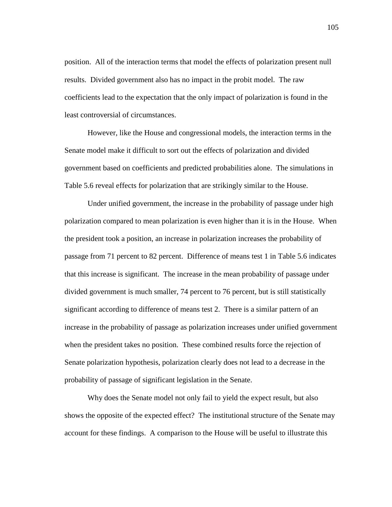position. All of the interaction terms that model the effects of polarization present null results. Divided government also has no impact in the probit model. The raw coefficients lead to the expectation that the only impact of polarization is found in the least controversial of circumstances.

 However, like the House and congressional models, the interaction terms in the Senate model make it difficult to sort out the effects of polarization and divided government based on coefficients and predicted probabilities alone. The simulations in Table 5.6 reveal effects for polarization that are strikingly similar to the House.

 Under unified government, the increase in the probability of passage under high polarization compared to mean polarization is even higher than it is in the House. When the president took a position, an increase in polarization increases the probability of passage from 71 percent to 82 percent. Difference of means test 1 in Table 5.6 indicates that this increase is significant. The increase in the mean probability of passage under divided government is much smaller, 74 percent to 76 percent, but is still statistically significant according to difference of means test 2. There is a similar pattern of an increase in the probability of passage as polarization increases under unified government when the president takes no position. These combined results force the rejection of Senate polarization hypothesis, polarization clearly does not lead to a decrease in the probability of passage of significant legislation in the Senate.

 Why does the Senate model not only fail to yield the expect result, but also shows the opposite of the expected effect? The institutional structure of the Senate may account for these findings. A comparison to the House will be useful to illustrate this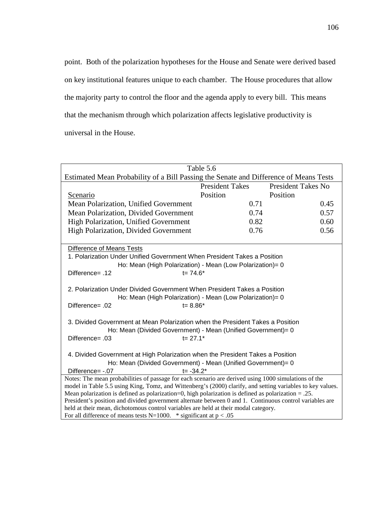point. Both of the polarization hypotheses for the House and Senate were derived based on key institutional features unique to each chamber. The House procedures that allow the majority party to control the floor and the agenda apply to every bill. This means that the mechanism through which polarization affects legislative productivity is universal in the House.

| Table 5.6                                                                                                                                                                                      |                        |                           |  |  |
|------------------------------------------------------------------------------------------------------------------------------------------------------------------------------------------------|------------------------|---------------------------|--|--|
| Estimated Mean Probability of a Bill Passing the Senate and Difference of Means Tests                                                                                                          |                        |                           |  |  |
|                                                                                                                                                                                                | <b>President Takes</b> | <b>President Takes No</b> |  |  |
| Scenario                                                                                                                                                                                       | Position               | Position                  |  |  |
| Mean Polarization, Unified Government                                                                                                                                                          | 0.71                   | 0.45                      |  |  |
| Mean Polarization, Divided Government                                                                                                                                                          | 0.74                   | 0.57                      |  |  |
| High Polarization, Unified Government                                                                                                                                                          | 0.82                   | 0.60                      |  |  |
| High Polarization, Divided Government                                                                                                                                                          | 0.76                   | 0.56                      |  |  |
|                                                                                                                                                                                                |                        |                           |  |  |
| Difference of Means Tests                                                                                                                                                                      |                        |                           |  |  |
| 1. Polarization Under Unified Government When President Takes a Position                                                                                                                       |                        |                           |  |  |
| Ho: Mean (High Polarization) - Mean (Low Polarization)= 0                                                                                                                                      |                        |                           |  |  |
| $t = 74.6*$<br>12. =Difference                                                                                                                                                                 |                        |                           |  |  |
|                                                                                                                                                                                                |                        |                           |  |  |
| 2. Polarization Under Divided Government When President Takes a Position                                                                                                                       |                        |                           |  |  |
| Ho: Mean (High Polarization) - Mean (Low Polarization)= 0<br>Difference= .02<br>$t = 8.86*$                                                                                                    |                        |                           |  |  |
|                                                                                                                                                                                                |                        |                           |  |  |
| 3. Divided Government at Mean Polarization when the President Takes a Position                                                                                                                 |                        |                           |  |  |
| Ho: Mean (Divided Government) - Mean (Unified Government)= 0                                                                                                                                   |                        |                           |  |  |
| $t = 27.1*$<br>Difference= .03                                                                                                                                                                 |                        |                           |  |  |
|                                                                                                                                                                                                |                        |                           |  |  |
| 4. Divided Government at High Polarization when the President Takes a Position                                                                                                                 |                        |                           |  |  |
| Ho: Mean (Divided Government) - Mean (Unified Government)= 0                                                                                                                                   |                        |                           |  |  |
| Difference= -.07<br>$t = -34.2*$                                                                                                                                                               |                        |                           |  |  |
| Notes: The mean probabilities of passage for each scenario are derived using 1000 simulations of the                                                                                           |                        |                           |  |  |
| model in Table 5.5 using King, Tomz, and Wittenberg's (2000) clarify, and setting variables to key values.                                                                                     |                        |                           |  |  |
| Mean polarization is defined as polarization=0, high polarization is defined as polarization $= .25$ .                                                                                         |                        |                           |  |  |
| President's position and divided government alternate between 0 and 1. Continuous control variables are<br>held at their mean, dichotomous control variables are held at their modal category. |                        |                           |  |  |
| For all difference of means tests N=1000. * significant at $p < .05$                                                                                                                           |                        |                           |  |  |
|                                                                                                                                                                                                |                        |                           |  |  |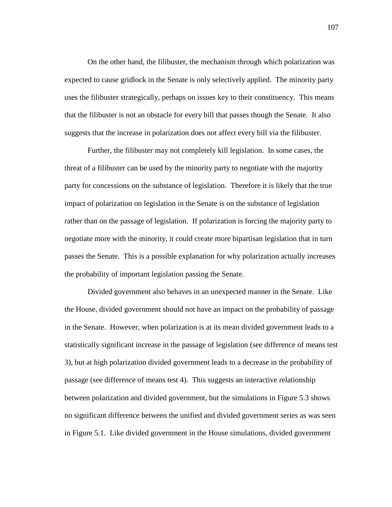On the other hand, the filibuster, the mechanism through which polarization was expected to cause gridlock in the Senate is only selectively applied. The minority party uses the filibuster strategically, perhaps on issues key to their constituency. This means that the filibuster is not an obstacle for every bill that passes though the Senate. It also suggests that the increase in polarization does not affect every bill via the filibuster.

 Further, the filibuster may not completely kill legislation. In some cases, the threat of a filibuster can be used by the minority party to negotiate with the majority party for concessions on the substance of legislation. Therefore it is likely that the true impact of polarization on legislation in the Senate is on the substance of legislation rather than on the passage of legislation. If polarization is forcing the majority party to negotiate more with the minority, it could create more bipartisan legislation that in turn passes the Senate. This is a possible explanation for why polarization actually increases the probability of important legislation passing the Senate.

 Divided government also behaves in an unexpected manner in the Senate. Like the House, divided government should not have an impact on the probability of passage in the Senate. However, when polarization is at its mean divided government leads to a statistically significant increase in the passage of legislation (see difference of means test 3), but at high polarization divided government leads to a decrease in the probability of passage (see difference of means test 4). This suggests an interactive relationship between polarization and divided government, but the simulations in Figure 5.3 shows no significant difference between the unified and divided government series as was seen in Figure 5.1. Like divided government in the House simulations, divided government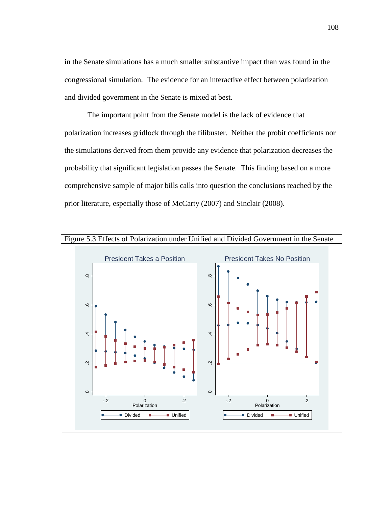in the Senate simulations has a much smaller substantive impact than was found in the congressional simulation. The evidence for an interactive effect between polarization and divided government in the Senate is mixed at best.

 The important point from the Senate model is the lack of evidence that polarization increases gridlock through the filibuster. Neither the probit coefficients nor the simulations derived from them provide any evidence that polarization decreases the probability that significant legislation passes the Senate. This finding based on a more comprehensive sample of major bills calls into question the conclusions reached by the prior literature, especially those of McCarty (2007) and Sinclair (2008).

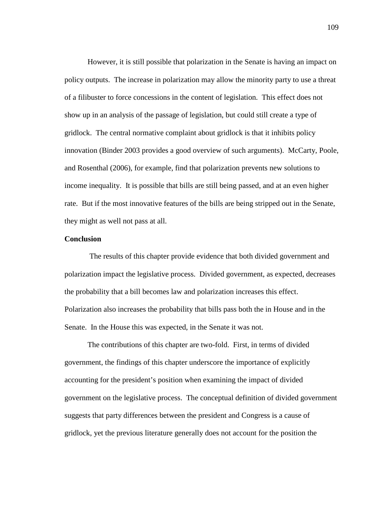However, it is still possible that polarization in the Senate is having an impact on policy outputs. The increase in polarization may allow the minority party to use a threat of a filibuster to force concessions in the content of legislation. This effect does not show up in an analysis of the passage of legislation, but could still create a type of gridlock. The central normative complaint about gridlock is that it inhibits policy innovation (Binder 2003 provides a good overview of such arguments). McCarty, Poole, and Rosenthal (2006), for example, find that polarization prevents new solutions to income inequality. It is possible that bills are still being passed, and at an even higher rate. But if the most innovative features of the bills are being stripped out in the Senate, they might as well not pass at all.

## **Conclusion**

 The results of this chapter provide evidence that both divided government and polarization impact the legislative process. Divided government, as expected, decreases the probability that a bill becomes law and polarization increases this effect. Polarization also increases the probability that bills pass both the in House and in the Senate. In the House this was expected, in the Senate it was not.

 The contributions of this chapter are two-fold. First, in terms of divided government, the findings of this chapter underscore the importance of explicitly accounting for the president's position when examining the impact of divided government on the legislative process. The conceptual definition of divided government suggests that party differences between the president and Congress is a cause of gridlock, yet the previous literature generally does not account for the position the

109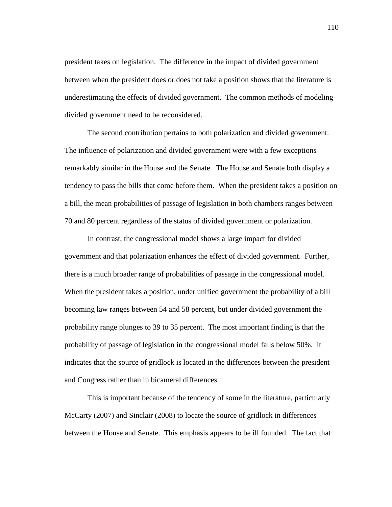president takes on legislation. The difference in the impact of divided government between when the president does or does not take a position shows that the literature is underestimating the effects of divided government. The common methods of modeling divided government need to be reconsidered.

 The second contribution pertains to both polarization and divided government. The influence of polarization and divided government were with a few exceptions remarkably similar in the House and the Senate. The House and Senate both display a tendency to pass the bills that come before them. When the president takes a position on a bill, the mean probabilities of passage of legislation in both chambers ranges between 70 and 80 percent regardless of the status of divided government or polarization.

 In contrast, the congressional model shows a large impact for divided government and that polarization enhances the effect of divided government. Further, there is a much broader range of probabilities of passage in the congressional model. When the president takes a position, under unified government the probability of a bill becoming law ranges between 54 and 58 percent, but under divided government the probability range plunges to 39 to 35 percent. The most important finding is that the probability of passage of legislation in the congressional model falls below 50%. It indicates that the source of gridlock is located in the differences between the president and Congress rather than in bicameral differences.

 This is important because of the tendency of some in the literature, particularly McCarty (2007) and Sinclair (2008) to locate the source of gridlock in differences between the House and Senate. This emphasis appears to be ill founded. The fact that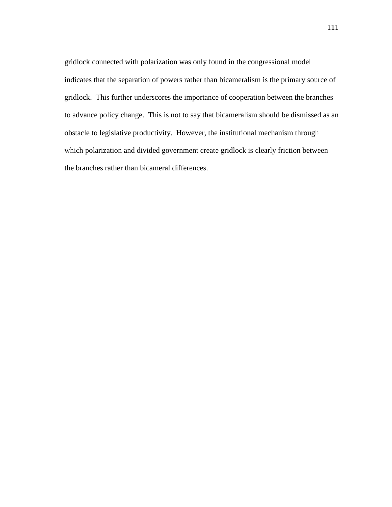gridlock connected with polarization was only found in the congressional model indicates that the separation of powers rather than bicameralism is the primary source of gridlock. This further underscores the importance of cooperation between the branches to advance policy change. This is not to say that bicameralism should be dismissed as an obstacle to legislative productivity. However, the institutional mechanism through which polarization and divided government create gridlock is clearly friction between the branches rather than bicameral differences.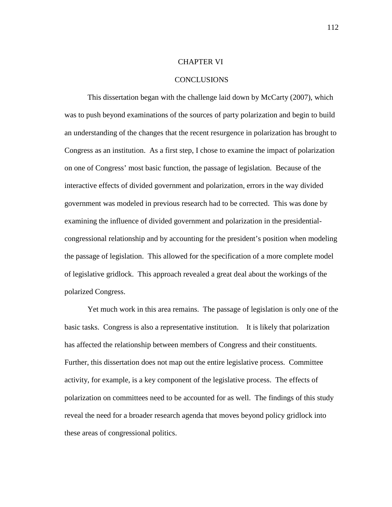## CHAPTER VI

#### CONCLUSIONS

 This dissertation began with the challenge laid down by McCarty (2007), which was to push beyond examinations of the sources of party polarization and begin to build an understanding of the changes that the recent resurgence in polarization has brought to Congress as an institution. As a first step, I chose to examine the impact of polarization on one of Congress' most basic function, the passage of legislation. Because of the interactive effects of divided government and polarization, errors in the way divided government was modeled in previous research had to be corrected. This was done by examining the influence of divided government and polarization in the presidentialcongressional relationship and by accounting for the president's position when modeling the passage of legislation. This allowed for the specification of a more complete model of legislative gridlock. This approach revealed a great deal about the workings of the polarized Congress.

 Yet much work in this area remains. The passage of legislation is only one of the basic tasks. Congress is also a representative institution. It is likely that polarization has affected the relationship between members of Congress and their constituents. Further, this dissertation does not map out the entire legislative process. Committee activity, for example, is a key component of the legislative process. The effects of polarization on committees need to be accounted for as well. The findings of this study reveal the need for a broader research agenda that moves beyond policy gridlock into these areas of congressional politics.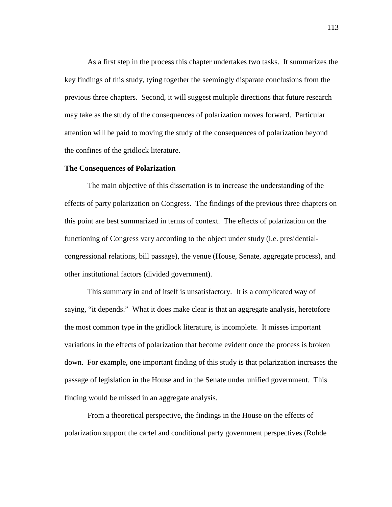As a first step in the process this chapter undertakes two tasks. It summarizes the key findings of this study, tying together the seemingly disparate conclusions from the previous three chapters. Second, it will suggest multiple directions that future research may take as the study of the consequences of polarization moves forward. Particular attention will be paid to moving the study of the consequences of polarization beyond the confines of the gridlock literature.

## **The Consequences of Polarization**

 The main objective of this dissertation is to increase the understanding of the effects of party polarization on Congress. The findings of the previous three chapters on this point are best summarized in terms of context. The effects of polarization on the functioning of Congress vary according to the object under study (i.e. presidentialcongressional relations, bill passage), the venue (House, Senate, aggregate process), and other institutional factors (divided government).

 This summary in and of itself is unsatisfactory. It is a complicated way of saying, "it depends." What it does make clear is that an aggregate analysis, heretofore the most common type in the gridlock literature, is incomplete. It misses important variations in the effects of polarization that become evident once the process is broken down. For example, one important finding of this study is that polarization increases the passage of legislation in the House and in the Senate under unified government. This finding would be missed in an aggregate analysis.

 From a theoretical perspective, the findings in the House on the effects of polarization support the cartel and conditional party government perspectives (Rohde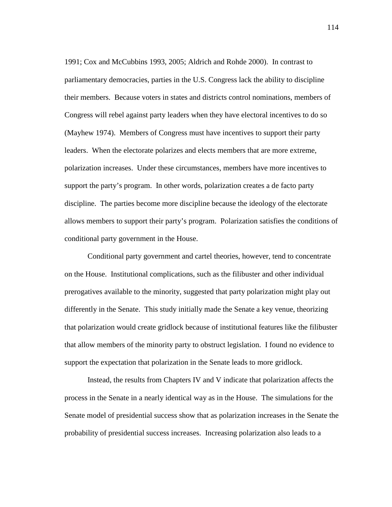1991; Cox and McCubbins 1993, 2005; Aldrich and Rohde 2000). In contrast to parliamentary democracies, parties in the U.S. Congress lack the ability to discipline their members. Because voters in states and districts control nominations, members of Congress will rebel against party leaders when they have electoral incentives to do so (Mayhew 1974). Members of Congress must have incentives to support their party leaders. When the electorate polarizes and elects members that are more extreme, polarization increases. Under these circumstances, members have more incentives to support the party's program. In other words, polarization creates a de facto party discipline. The parties become more discipline because the ideology of the electorate allows members to support their party's program. Polarization satisfies the conditions of conditional party government in the House.

 Conditional party government and cartel theories, however, tend to concentrate on the House. Institutional complications, such as the filibuster and other individual prerogatives available to the minority, suggested that party polarization might play out differently in the Senate. This study initially made the Senate a key venue, theorizing that polarization would create gridlock because of institutional features like the filibuster that allow members of the minority party to obstruct legislation. I found no evidence to support the expectation that polarization in the Senate leads to more gridlock.

 Instead, the results from Chapters IV and V indicate that polarization affects the process in the Senate in a nearly identical way as in the House. The simulations for the Senate model of presidential success show that as polarization increases in the Senate the probability of presidential success increases. Increasing polarization also leads to a

114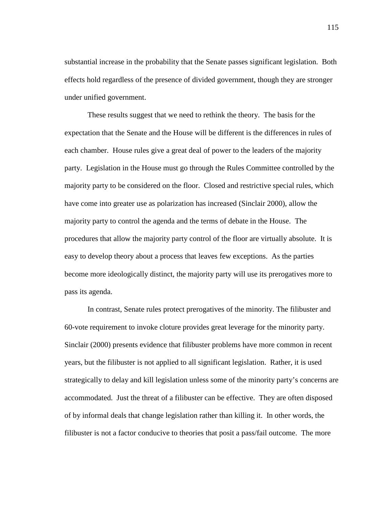substantial increase in the probability that the Senate passes significant legislation. Both effects hold regardless of the presence of divided government, though they are stronger under unified government.

 These results suggest that we need to rethink the theory. The basis for the expectation that the Senate and the House will be different is the differences in rules of each chamber. House rules give a great deal of power to the leaders of the majority party. Legislation in the House must go through the Rules Committee controlled by the majority party to be considered on the floor. Closed and restrictive special rules, which have come into greater use as polarization has increased (Sinclair 2000), allow the majority party to control the agenda and the terms of debate in the House. The procedures that allow the majority party control of the floor are virtually absolute. It is easy to develop theory about a process that leaves few exceptions. As the parties become more ideologically distinct, the majority party will use its prerogatives more to pass its agenda.

 In contrast, Senate rules protect prerogatives of the minority. The filibuster and 60-vote requirement to invoke cloture provides great leverage for the minority party. Sinclair (2000) presents evidence that filibuster problems have more common in recent years, but the filibuster is not applied to all significant legislation. Rather, it is used strategically to delay and kill legislation unless some of the minority party's concerns are accommodated. Just the threat of a filibuster can be effective. They are often disposed of by informal deals that change legislation rather than killing it. In other words, the filibuster is not a factor conducive to theories that posit a pass/fail outcome. The more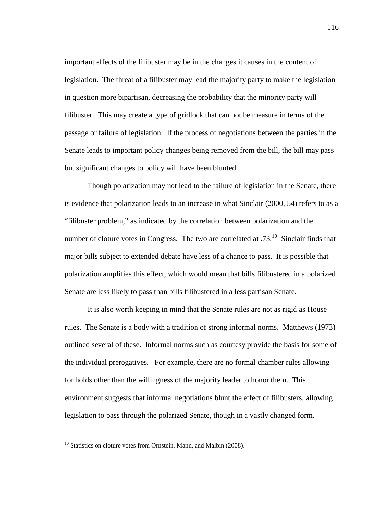important effects of the filibuster may be in the changes it causes in the content of legislation. The threat of a filibuster may lead the majority party to make the legislation in question more bipartisan, decreasing the probability that the minority party will filibuster. This may create a type of gridlock that can not be measure in terms of the passage or failure of legislation. If the process of negotiations between the parties in the Senate leads to important policy changes being removed from the bill, the bill may pass but significant changes to policy will have been blunted.

 Though polarization may not lead to the failure of legislation in the Senate, there is evidence that polarization leads to an increase in what Sinclair (2000, 54) refers to as a "filibuster problem," as indicated by the correlation between polarization and the number of cloture votes in Congress. The two are correlated at  $.73<sup>10</sup>$  Sinclair finds that major bills subject to extended debate have less of a chance to pass. It is possible that polarization amplifies this effect, which would mean that bills filibustered in a polarized Senate are less likely to pass than bills filibustered in a less partisan Senate.

 It is also worth keeping in mind that the Senate rules are not as rigid as House rules. The Senate is a body with a tradition of strong informal norms. Matthews (1973) outlined several of these. Informal norms such as courtesy provide the basis for some of the individual prerogatives. For example, there are no formal chamber rules allowing for holds other than the willingness of the majority leader to honor them. This environment suggests that informal negotiations blunt the effect of filibusters, allowing legislation to pass through the polarized Senate, though in a vastly changed form.

 $\overline{a}$ 

<sup>&</sup>lt;sup>10</sup> Statistics on cloture votes from Ornstein, Mann, and Malbin (2008).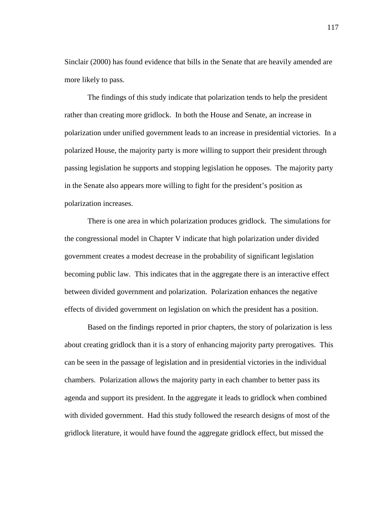Sinclair (2000) has found evidence that bills in the Senate that are heavily amended are more likely to pass.

 The findings of this study indicate that polarization tends to help the president rather than creating more gridlock. In both the House and Senate, an increase in polarization under unified government leads to an increase in presidential victories. In a polarized House, the majority party is more willing to support their president through passing legislation he supports and stopping legislation he opposes. The majority party in the Senate also appears more willing to fight for the president's position as polarization increases.

 There is one area in which polarization produces gridlock. The simulations for the congressional model in Chapter V indicate that high polarization under divided government creates a modest decrease in the probability of significant legislation becoming public law. This indicates that in the aggregate there is an interactive effect between divided government and polarization. Polarization enhances the negative effects of divided government on legislation on which the president has a position.

 Based on the findings reported in prior chapters, the story of polarization is less about creating gridlock than it is a story of enhancing majority party prerogatives. This can be seen in the passage of legislation and in presidential victories in the individual chambers. Polarization allows the majority party in each chamber to better pass its agenda and support its president. In the aggregate it leads to gridlock when combined with divided government. Had this study followed the research designs of most of the gridlock literature, it would have found the aggregate gridlock effect, but missed the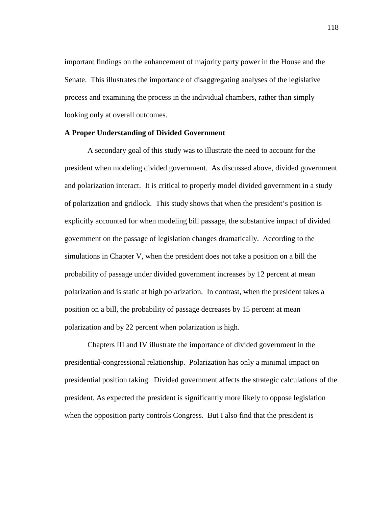important findings on the enhancement of majority party power in the House and the Senate. This illustrates the importance of disaggregating analyses of the legislative process and examining the process in the individual chambers, rather than simply looking only at overall outcomes.

## **A Proper Understanding of Divided Government**

A secondary goal of this study was to illustrate the need to account for the president when modeling divided government. As discussed above, divided government and polarization interact. It is critical to properly model divided government in a study of polarization and gridlock. This study shows that when the president's position is explicitly accounted for when modeling bill passage, the substantive impact of divided government on the passage of legislation changes dramatically. According to the simulations in Chapter V, when the president does not take a position on a bill the probability of passage under divided government increases by 12 percent at mean polarization and is static at high polarization. In contrast, when the president takes a position on a bill, the probability of passage decreases by 15 percent at mean polarization and by 22 percent when polarization is high.

 Chapters III and IV illustrate the importance of divided government in the presidential-congressional relationship. Polarization has only a minimal impact on presidential position taking. Divided government affects the strategic calculations of the president. As expected the president is significantly more likely to oppose legislation when the opposition party controls Congress. But I also find that the president is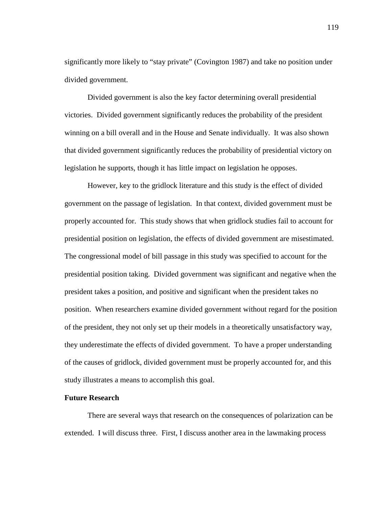significantly more likely to "stay private" (Covington 1987) and take no position under divided government.

 Divided government is also the key factor determining overall presidential victories. Divided government significantly reduces the probability of the president winning on a bill overall and in the House and Senate individually. It was also shown that divided government significantly reduces the probability of presidential victory on legislation he supports, though it has little impact on legislation he opposes.

 However, key to the gridlock literature and this study is the effect of divided government on the passage of legislation. In that context, divided government must be properly accounted for. This study shows that when gridlock studies fail to account for presidential position on legislation, the effects of divided government are misestimated. The congressional model of bill passage in this study was specified to account for the presidential position taking. Divided government was significant and negative when the president takes a position, and positive and significant when the president takes no position. When researchers examine divided government without regard for the position of the president, they not only set up their models in a theoretically unsatisfactory way, they underestimate the effects of divided government. To have a proper understanding of the causes of gridlock, divided government must be properly accounted for, and this study illustrates a means to accomplish this goal.

# **Future Research**

 There are several ways that research on the consequences of polarization can be extended. I will discuss three. First, I discuss another area in the lawmaking process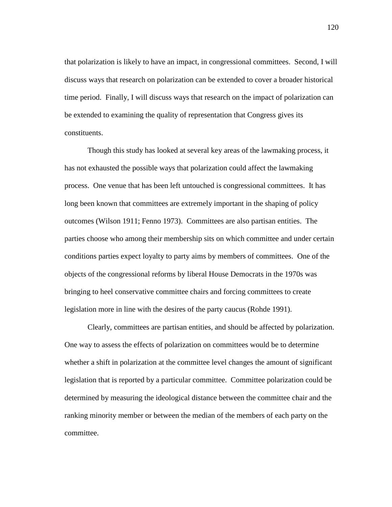that polarization is likely to have an impact, in congressional committees. Second, I will discuss ways that research on polarization can be extended to cover a broader historical time period. Finally, I will discuss ways that research on the impact of polarization can be extended to examining the quality of representation that Congress gives its constituents.

 Though this study has looked at several key areas of the lawmaking process, it has not exhausted the possible ways that polarization could affect the lawmaking process. One venue that has been left untouched is congressional committees. It has long been known that committees are extremely important in the shaping of policy outcomes (Wilson 1911; Fenno 1973). Committees are also partisan entities. The parties choose who among their membership sits on which committee and under certain conditions parties expect loyalty to party aims by members of committees. One of the objects of the congressional reforms by liberal House Democrats in the 1970s was bringing to heel conservative committee chairs and forcing committees to create legislation more in line with the desires of the party caucus (Rohde 1991).

 Clearly, committees are partisan entities, and should be affected by polarization. One way to assess the effects of polarization on committees would be to determine whether a shift in polarization at the committee level changes the amount of significant legislation that is reported by a particular committee. Committee polarization could be determined by measuring the ideological distance between the committee chair and the ranking minority member or between the median of the members of each party on the committee.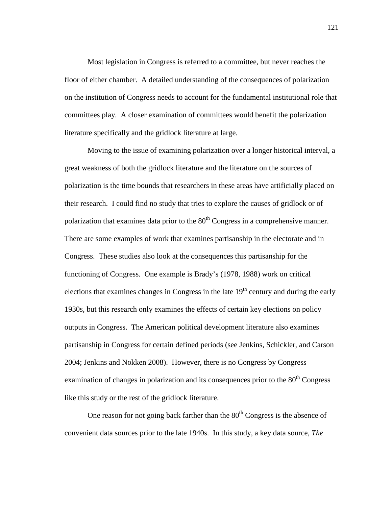Most legislation in Congress is referred to a committee, but never reaches the floor of either chamber. A detailed understanding of the consequences of polarization on the institution of Congress needs to account for the fundamental institutional role that committees play. A closer examination of committees would benefit the polarization literature specifically and the gridlock literature at large.

 Moving to the issue of examining polarization over a longer historical interval, a great weakness of both the gridlock literature and the literature on the sources of polarization is the time bounds that researchers in these areas have artificially placed on their research. I could find no study that tries to explore the causes of gridlock or of polarization that examines data prior to the  $80<sup>th</sup>$  Congress in a comprehensive manner. There are some examples of work that examines partisanship in the electorate and in Congress. These studies also look at the consequences this partisanship for the functioning of Congress. One example is Brady's (1978, 1988) work on critical elections that examines changes in Congress in the late  $19<sup>th</sup>$  century and during the early 1930s, but this research only examines the effects of certain key elections on policy outputs in Congress. The American political development literature also examines partisanship in Congress for certain defined periods (see Jenkins, Schickler, and Carson 2004; Jenkins and Nokken 2008). However, there is no Congress by Congress examination of changes in polarization and its consequences prior to the  $80<sup>th</sup>$  Congress like this study or the rest of the gridlock literature.

One reason for not going back farther than the  $80<sup>th</sup>$  Congress is the absence of convenient data sources prior to the late 1940s. In this study, a key data source, *The* 

121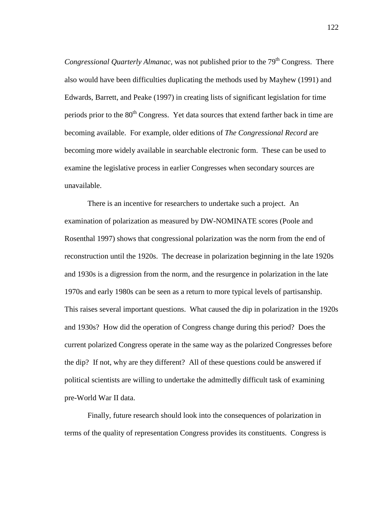*Congressional Quarterly Almanac,* was not published prior to the 79<sup>th</sup> Congress. There also would have been difficulties duplicating the methods used by Mayhew (1991) and Edwards, Barrett, and Peake (1997) in creating lists of significant legislation for time periods prior to the 80<sup>th</sup> Congress. Yet data sources that extend farther back in time are becoming available. For example, older editions of *The Congressional Record* are becoming more widely available in searchable electronic form. These can be used to examine the legislative process in earlier Congresses when secondary sources are unavailable.

 There is an incentive for researchers to undertake such a project. An examination of polarization as measured by DW-NOMINATE scores (Poole and Rosenthal 1997) shows that congressional polarization was the norm from the end of reconstruction until the 1920s. The decrease in polarization beginning in the late 1920s and 1930s is a digression from the norm, and the resurgence in polarization in the late 1970s and early 1980s can be seen as a return to more typical levels of partisanship. This raises several important questions. What caused the dip in polarization in the 1920s and 1930s? How did the operation of Congress change during this period? Does the current polarized Congress operate in the same way as the polarized Congresses before the dip? If not, why are they different? All of these questions could be answered if political scientists are willing to undertake the admittedly difficult task of examining pre-World War II data.

 Finally, future research should look into the consequences of polarization in terms of the quality of representation Congress provides its constituents. Congress is

122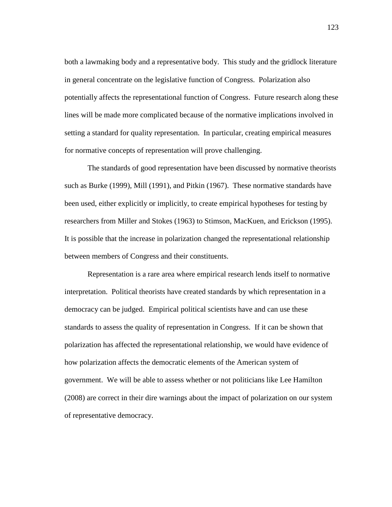both a lawmaking body and a representative body. This study and the gridlock literature in general concentrate on the legislative function of Congress. Polarization also potentially affects the representational function of Congress. Future research along these lines will be made more complicated because of the normative implications involved in setting a standard for quality representation. In particular, creating empirical measures for normative concepts of representation will prove challenging.

 The standards of good representation have been discussed by normative theorists such as Burke (1999), Mill (1991), and Pitkin (1967). These normative standards have been used, either explicitly or implicitly, to create empirical hypotheses for testing by researchers from Miller and Stokes (1963) to Stimson, MacKuen, and Erickson (1995). It is possible that the increase in polarization changed the representational relationship between members of Congress and their constituents.

 Representation is a rare area where empirical research lends itself to normative interpretation. Political theorists have created standards by which representation in a democracy can be judged. Empirical political scientists have and can use these standards to assess the quality of representation in Congress. If it can be shown that polarization has affected the representational relationship, we would have evidence of how polarization affects the democratic elements of the American system of government. We will be able to assess whether or not politicians like Lee Hamilton (2008) are correct in their dire warnings about the impact of polarization on our system of representative democracy.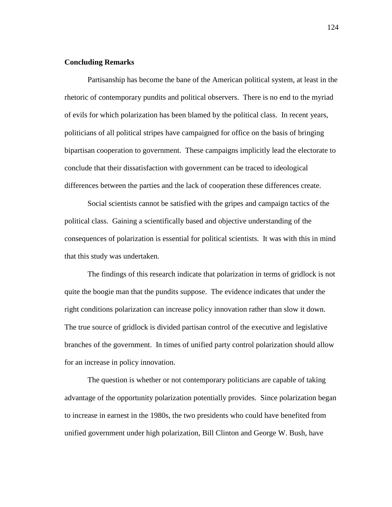# **Concluding Remarks**

 Partisanship has become the bane of the American political system, at least in the rhetoric of contemporary pundits and political observers. There is no end to the myriad of evils for which polarization has been blamed by the political class. In recent years, politicians of all political stripes have campaigned for office on the basis of bringing bipartisan cooperation to government. These campaigns implicitly lead the electorate to conclude that their dissatisfaction with government can be traced to ideological differences between the parties and the lack of cooperation these differences create.

Social scientists cannot be satisfied with the gripes and campaign tactics of the political class. Gaining a scientifically based and objective understanding of the consequences of polarization is essential for political scientists. It was with this in mind that this study was undertaken.

 The findings of this research indicate that polarization in terms of gridlock is not quite the boogie man that the pundits suppose. The evidence indicates that under the right conditions polarization can increase policy innovation rather than slow it down. The true source of gridlock is divided partisan control of the executive and legislative branches of the government. In times of unified party control polarization should allow for an increase in policy innovation.

 The question is whether or not contemporary politicians are capable of taking advantage of the opportunity polarization potentially provides. Since polarization began to increase in earnest in the 1980s, the two presidents who could have benefited from unified government under high polarization, Bill Clinton and George W. Bush, have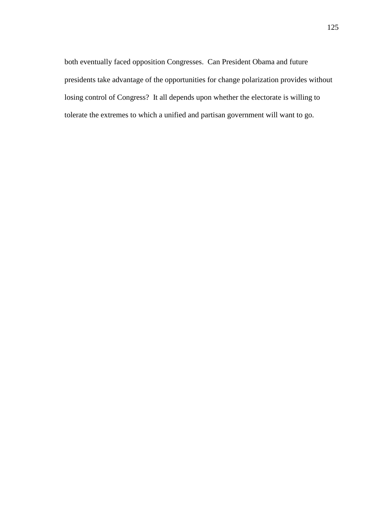both eventually faced opposition Congresses. Can President Obama and future presidents take advantage of the opportunities for change polarization provides without losing control of Congress? It all depends upon whether the electorate is willing to tolerate the extremes to which a unified and partisan government will want to go.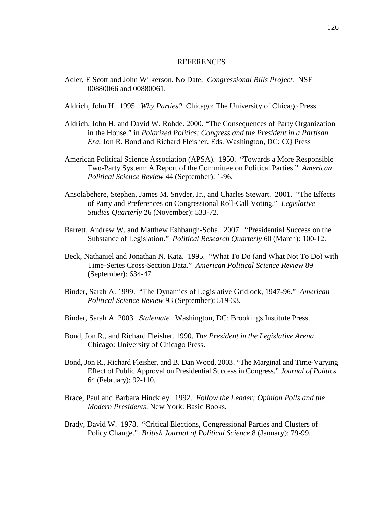#### REFERENCES

- Adler, E Scott and John Wilkerson. No Date. *Congressional Bills Project.* NSF 00880066 and 00880061.
- Aldrich, John H. 1995. *Why Parties?* Chicago: The University of Chicago Press.
- Aldrich, John H. and David W. Rohde. 2000. "The Consequences of Party Organization in the House." in *Polarized Politics: Congress and the President in a Partisan Era*. Jon R. Bond and Richard Fleisher. Eds. Washington, DC: CQ Press
- American Political Science Association (APSA). 1950. "Towards a More Responsible Two-Party System: A Report of the Committee on Political Parties." *American Political Science Review* 44 (September): 1-96.
- Ansolabehere, Stephen, James M. Snyder, Jr., and Charles Stewart. 2001. "The Effects of Party and Preferences on Congressional Roll-Call Voting." *Legislative Studies Quarterly* 26 (November): 533-72.
- Barrett, Andrew W. and Matthew Eshbaugh-Soha. 2007. "Presidential Success on the Substance of Legislation." *Political Research Quarterly* 60 (March): 100-12.
- Beck, Nathaniel and Jonathan N. Katz. 1995. "What To Do (and What Not To Do) with Time-Series Cross-Section Data." *American Political Science Review* 89 (September): 634-47.
- Binder, Sarah A. 1999. "The Dynamics of Legislative Gridlock, 1947-96." *American Political Science Review* 93 (September): 519-33.
- Binder, Sarah A. 2003. *Stalemate.* Washington, DC: Brookings Institute Press.
- Bond, Jon R., and Richard Fleisher. 1990. *The President in the Legislative Arena*. Chicago: University of Chicago Press.
- Bond, Jon R., Richard Fleisher, and B. Dan Wood. 2003. "The Marginal and Time-Varying Effect of Public Approval on Presidential Success in Congress." *Journal of Politics* 64 (February): 92-110.
- Brace, Paul and Barbara Hinckley. 1992. *Follow the Leader: Opinion Polls and the Modern Presidents*. New York: Basic Books.
- Brady, David W. 1978. "Critical Elections, Congressional Parties and Clusters of Policy Change." *British Journal of Political Science* 8 (January): 79-99.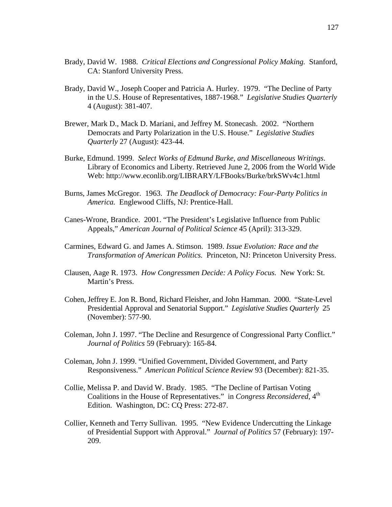- Brady, David W. 1988. *Critical Elections and Congressional Policy Making.* Stanford, CA: Stanford University Press.
- Brady, David W., Joseph Cooper and Patricia A. Hurley. 1979. "The Decline of Party in the U.S. House of Representatives, 1887-1968." *Legislative Studies Quarterly* 4 (August): 381-407.
- Brewer, Mark D., Mack D. Mariani, and Jeffrey M. Stonecash. 2002. "Northern Democrats and Party Polarization in the U.S. House." *Legislative Studies Quarterly* 27 (August): 423-44.
- Burke, Edmund. 1999. *Select Works of Edmund Burke, and Miscellaneous Writings*. Library of Economics and Liberty. Retrieved June 2, 2006 from the World Wide Web: http://www.econlib.org/LIBRARY/LFBooks/Burke/brkSWv4c1.html
- Burns, James McGregor. 1963. *The Deadlock of Democracy: Four-Party Politics in America.* Englewood Cliffs, NJ: Prentice-Hall.
- Canes-Wrone, Brandice. 2001. "The President's Legislative Influence from Public Appeals," *American Journal of Political Science* 45 (April): 313-329.
- Carmines, Edward G. and James A. Stimson. 1989. *Issue Evolution: Race and the Transformation of American Politics.* Princeton, NJ: Princeton University Press.
- Clausen, Aage R. 1973. *How Congressmen Decide: A Policy Focus.* New York: St. Martin's Press.
- Cohen, Jeffrey E. Jon R. Bond, Richard Fleisher, and John Hamman. 2000. "State-Level Presidential Approval and Senatorial Support." *Legislative Studies Quarterly* 25 (November): 577-90.
- Coleman, John J. 1997. "The Decline and Resurgence of Congressional Party Conflict." *Journal of Politics* 59 (February): 165-84.
- Coleman, John J. 1999. "Unified Government, Divided Government, and Party Responsiveness." *American Political Science Review* 93 (December): 821-35.
- Collie, Melissa P. and David W. Brady. 1985. "The Decline of Partisan Voting Coalitions in the House of Representatives." in *Congress Reconsidered*, 4<sup>th</sup> Edition. Washington, DC: CQ Press: 272-87.
- Collier, Kenneth and Terry Sullivan. 1995. "New Evidence Undercutting the Linkage of Presidential Support with Approval." *Journal of Politics* 57 (February): 197- 209.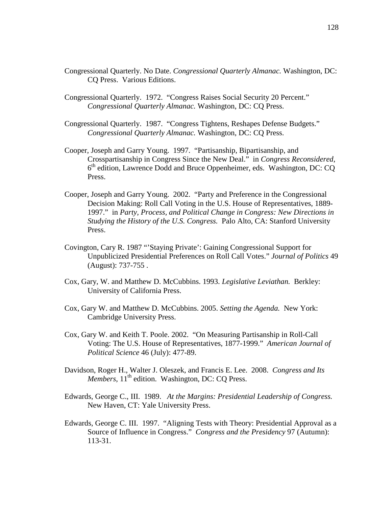- Congressional Quarterly. No Date. *Congressional Quarterly Almanac.* Washington, DC: CQ Press. Various Editions.
- Congressional Quarterly. 1972. "Congress Raises Social Security 20 Percent." *Congressional Quarterly Almanac.* Washington, DC: CQ Press.
- Congressional Quarterly. 1987. "Congress Tightens, Reshapes Defense Budgets." *Congressional Quarterly Almanac.* Washington, DC: CQ Press.
- Cooper, Joseph and Garry Young. 1997. "Partisanship, Bipartisanship, and Crosspartisanship in Congress Since the New Deal." in *Congress Reconsidered*, 6<sup>th</sup> edition, Lawrence Dodd and Bruce Oppenheimer, eds. Washington, DC: CQ Press.
- Cooper, Joseph and Garry Young. 2002. "Party and Preference in the Congressional Decision Making: Roll Call Voting in the U.S. House of Representatives, 1889- 1997." in *Party, Process, and Political Change in Congress: New Directions in Studying the History of the U.S. Congress.* Palo Alto, CA: Stanford University Press.
- Covington, Cary R. 1987 "'Staying Private': Gaining Congressional Support for Unpublicized Presidential Preferences on Roll Call Votes." *Journal of Politics* 49 (August): 737-755 .
- Cox, Gary, W. and Matthew D. McCubbins. 1993. *Legislative Leviathan.* Berkley: University of California Press.
- Cox, Gary W. and Matthew D. McCubbins. 2005. *Setting the Agenda.* New York: Cambridge University Press.
- Cox, Gary W. and Keith T. Poole. 2002. "On Measuring Partisanship in Roll-Call Voting: The U.S. House of Representatives, 1877-1999." *American Journal of Political Science* 46 (July): 477-89.
- Davidson, Roger H., Walter J. Oleszek, and Francis E. Lee. 2008. *Congress and Its Members*, 11<sup>th</sup> edition. Washington, DC: CQ Press.
- Edwards, George C., III. 1989. *At the Margins: Presidential Leadership of Congress.*  New Haven, CT: Yale University Press.
- Edwards, George C. III. 1997. "Aligning Tests with Theory: Presidential Approval as a Source of Influence in Congress." *Congress and the Presidency* 97 (Autumn): 113-31.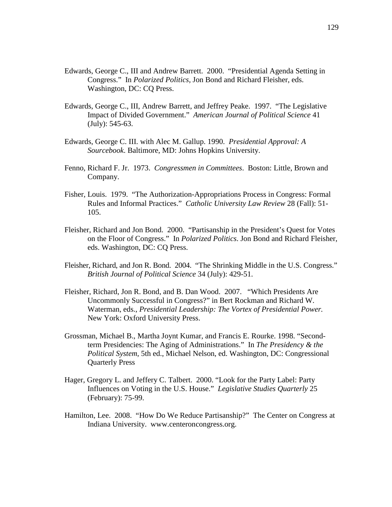- Edwards, George C., III and Andrew Barrett. 2000. "Presidential Agenda Setting in Congress." In *Polarized Politics,* Jon Bond and Richard Fleisher, eds. Washington, DC: CQ Press.
- Edwards, George C., III, Andrew Barrett, and Jeffrey Peake. 1997. "The Legislative Impact of Divided Government." *American Journal of Political Science* 41 (July): 545-63.
- Edwards, George C. III. with Alec M. Gallup. 1990. *Presidential Approval: A Sourcebook*. Baltimore, MD: Johns Hopkins University.
- Fenno, Richard F. Jr. 1973. *Congressmen in Committees*. Boston: Little, Brown and Company.
- Fisher, Louis. 1979. "The Authorization-Appropriations Process in Congress: Formal Rules and Informal Practices." *Catholic University Law Review* 28 (Fall): 51- 105.
- Fleisher, Richard and Jon Bond. 2000. "Partisanship in the President's Quest for Votes on the Floor of Congress." In *Polarized Politics*. Jon Bond and Richard Fleisher, eds. Washington, DC: CQ Press.
- Fleisher, Richard, and Jon R. Bond. 2004. "The Shrinking Middle in the U.S. Congress." *British Journal of Political Science* 34 (July): 429-51.
- Fleisher, Richard, Jon R. Bond, and B. Dan Wood. 2007. "Which Presidents Are Uncommonly Successful in Congress?" in Bert Rockman and Richard W. Waterman, eds., *Presidential Leadership: The Vortex of Presidential Power.*  New York: Oxford University Press.
- Grossman, Michael B., Martha Joynt Kumar, and Francis E. Rourke. 1998. "Secondterm Presidencies: The Aging of Administrations." In *The Presidency & the Political System*, 5th ed., Michael Nelson, ed. Washington, DC: Congressional Quarterly Press
- Hager, Gregory L. and Jeffery C. Talbert. 2000. "Look for the Party Label: Party Influences on Voting in the U.S. House." *Legislative Studies Quarterly* 25 (February): 75-99.
- Hamilton, Lee. 2008. "How Do We Reduce Partisanship?" The Center on Congress at Indiana University. www.centeroncongress.org.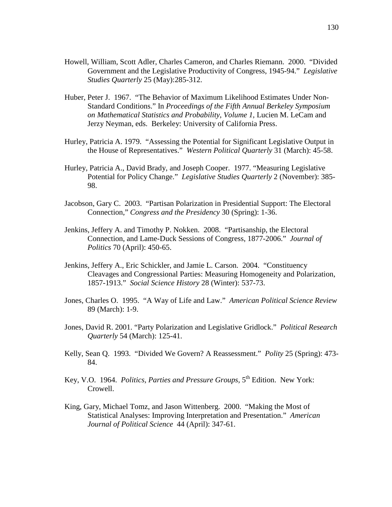- Howell, William, Scott Adler, Charles Cameron, and Charles Riemann. 2000. "Divided Government and the Legislative Productivity of Congress, 1945-94." *Legislative Studies Quarterly* 25 (May):285-312.
- Huber, Peter J. 1967. "The Behavior of Maximum Likelihood Estimates Under Non-Standard Conditions." In *Proceedings of the Fifth Annual Berkeley Symposium on Mathematical Statistics and Probability*, *Volume 1,* Lucien M. LeCam and Jerzy Neyman, eds. Berkeley: University of California Press.
- Hurley, Patricia A. 1979. "Assessing the Potential for Significant Legislative Output in the House of Representatives." *Western Political Quarterly* 31 (March): 45-58.
- Hurley, Patricia A., David Brady, and Joseph Cooper. 1977. "Measuring Legislative Potential for Policy Change." *Legislative Studies Quarterly* 2 (November): 385- 98.
- Jacobson, Gary C. 2003. "Partisan Polarization in Presidential Support: The Electoral Connection," *Congress and the Presidency* 30 (Spring): 1-36.
- Jenkins, Jeffery A. and Timothy P. Nokken. 2008. "Partisanship, the Electoral Connection, and Lame-Duck Sessions of Congress, 1877-2006." *Journal of Politics* 70 (April): 450-65.
- Jenkins, Jeffery A., Eric Schickler, and Jamie L. Carson. 2004. "Constituency Cleavages and Congressional Parties: Measuring Homogeneity and Polarization, 1857-1913." *Social Science History* 28 (Winter): 537-73.
- Jones, Charles O. 1995. "A Way of Life and Law." *American Political Science Review* 89 (March): 1-9.
- Jones, David R. 2001. "Party Polarization and Legislative Gridlock." *Political Research Quarterly* 54 (March): 125-41.
- Kelly, Sean Q. 1993. "Divided We Govern? A Reassessment." *Polity* 25 (Spring): 473- 84.
- Key, V.O. 1964. *Politics, Parties and Pressure Groups*, 5<sup>th</sup> Edition. New York: Crowell.
- King, Gary, Michael Tomz, and Jason Wittenberg. 2000. "Making the Most of Statistical Analyses: Improving Interpretation and Presentation." *American Journal of Political Science* 44 (April): 347-61.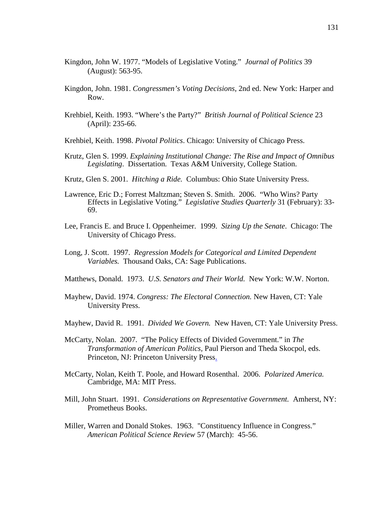- Kingdon, John W. 1977. "Models of Legislative Voting." *Journal of Politics* 39 (August): 563-95.
- Kingdon, John. 1981. *Congressmen's Voting Decisions*, 2nd ed. New York: Harper and Row.
- Krehbiel, Keith. 1993. "Where's the Party?" *British Journal of Political Science* 23 (April): 235-66.
- Krehbiel, Keith. 1998. *Pivotal Politics*. Chicago: University of Chicago Press.
- Krutz, Glen S. 1999. *Explaining Institutional Change: The Rise and Impact of Omnibus Legislating*. Dissertation. Texas A&M University, College Station.
- Krutz, Glen S. 2001. *Hitching a Ride.* Columbus: Ohio State University Press.
- Lawrence, Eric D.; Forrest Maltzman; Steven S. Smith. 2006. "Who Wins? Party Effects in Legislative Voting." *Legislative Studies Quarterly* 31 (February): 33- 69.
- Lee, Francis E. and Bruce I. Oppenheimer. 1999. *Sizing Up the Senate*. Chicago: The University of Chicago Press.
- Long, J. Scott. 1997. *Regression Models for Categorical and Limited Dependent Variables.* Thousand Oaks, CA: Sage Publications.
- Matthews, Donald. 1973. *U.S. Senators and Their World.* New York: W.W. Norton.
- Mayhew, David. 1974. *Congress: The Electoral Connection.* New Haven, CT: Yale University Press.
- Mayhew, David R. 1991. *Divided We Govern.* New Haven, CT: Yale University Press.
- McCarty, Nolan. 2007. "The Policy Effects of Divided Government." in *The Transformation of American Politics,* Paul Pierson and Theda Skocpol, eds. Princeton, NJ: Princeton University Press.
- McCarty, Nolan, Keith T. Poole, and Howard Rosenthal. 2006. *Polarized America.* Cambridge, MA: MIT Press.
- Mill, John Stuart. 1991. *Considerations on Representative Government.* Amherst, NY: Prometheus Books.
- Miller, Warren and Donald Stokes. 1963. "Constituency Influence in Congress." *American Political Science Review* 57 (March): 45-56.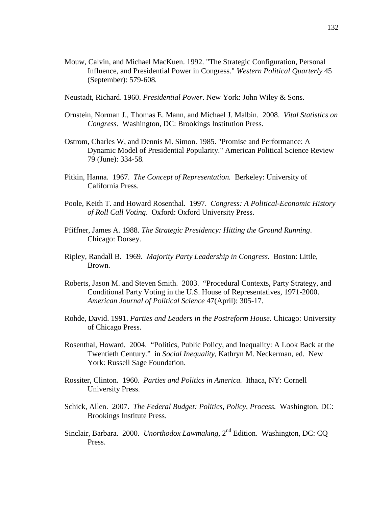- Mouw, Calvin, and Michael MacKuen. 1992. "The Strategic Configuration, Personal Influence, and Presidential Power in Congress." *Western Political Quarterly* 45 (September): 579-608**.**
- Neustadt, Richard. 1960. *Presidential Power*. New York: John Wiley & Sons.
- Ornstein, Norman J., Thomas E. Mann, and Michael J. Malbin. 2008. *Vital Statistics on Congress.* Washington, DC: Brookings Institution Press.
- Ostrom, Charles W, and Dennis M. Simon. 1985. "Promise and Performance: A Dynamic Model of Presidential Popularity." American Political Science Review 79 (June): 334-58.
- Pitkin, Hanna. 1967. *The Concept of Representation.* Berkeley: University of California Press.
- Poole, Keith T. and Howard Rosenthal. 1997. *Congress: A Political-Economic History of Roll Call Voting*. Oxford: Oxford University Press.
- Pfiffner, James A. 1988. *The Strategic Presidency: Hitting the Ground Running*. Chicago: Dorsey.
- Ripley, Randall B. 1969. *Majority Party Leadership in Congress.* Boston: Little, Brown.
- Roberts, Jason M. and Steven Smith. 2003. "Procedural Contexts, Party Strategy, and Conditional Party Voting in the U.S. House of Representatives, 1971-2000. *American Journal of Political Science* 47(April): 305-17.
- Rohde, David. 1991. *Parties and Leaders in the Postreform House.* Chicago: University of Chicago Press.
- Rosenthal, Howard. 2004. "Politics, Public Policy, and Inequality: A Look Back at the Twentieth Century." in *Social Inequality*, Kathryn M. Neckerman, ed. New York: Russell Sage Foundation.
- Rossiter, Clinton. 1960. *Parties and Politics in America.* Ithaca, NY: Cornell University Press.
- Schick, Allen. 2007. *The Federal Budget: Politics, Policy, Process.* Washington, DC: Brookings Institute Press.
- Sinclair, Barbara. 2000. *Unorthodox Lawmaking*, 2<sup>nd</sup> Edition. Washington, DC: CQ Press.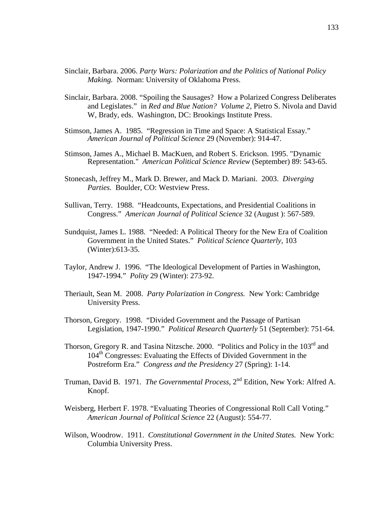- Sinclair, Barbara. 2006. *Party Wars: Polarization and the Politics of National Policy Making.* Norman: University of Oklahoma Press.
- Sinclair, Barbara. 2008. "Spoiling the Sausages? How a Polarized Congress Deliberates and Legislates." in *Red and Blue Nation? Volume 2,* Pietro S. Nivola and David W, Brady, eds. Washington, DC: Brookings Institute Press.
- Stimson, James A. 1985. "Regression in Time and Space: A Statistical Essay." *American Journal of Political Science* 29 (November): 914-47.
- Stimson, James A., Michael B. MacKuen, and Robert S. Erickson. 1995. "Dynamic Representation." *American Political Science Review* (September) 89: 543-65.
- Stonecash, Jeffrey M., Mark D. Brewer, and Mack D. Mariani. 2003. *Diverging Parties.* Boulder, CO: Westview Press.
- Sullivan, Terry. 1988. "Headcounts, Expectations, and Presidential Coalitions in Congress." *American Journal of Political Science* 32 (August ): 567-589.
- Sundquist, James L. 1988. "Needed: A Political Theory for the New Era of Coalition Government in the United States." *Political Science Quarterly,* 103 (Winter):613-35.
- Taylor, Andrew J. 1996. "The Ideological Development of Parties in Washington, 1947-1994." *Polity* 29 (Winter): 273-92.
- Theriault, Sean M. 2008. *Party Polarization in Congress.* New York: Cambridge University Press.
- Thorson, Gregory. 1998. "Divided Government and the Passage of Partisan Legislation, 1947-1990." *Political Research Quarterly* 51 (September): 751-64.
- Thorson, Gregory R. and Tasina Nitzsche. 2000. "Politics and Policy in the 103<sup>rd</sup> and 104<sup>th</sup> Congresses: Evaluating the Effects of Divided Government in the Postreform Era." *Congress and the Presidency* 27 (Spring): 1-14.
- Truman, David B. 1971. *The Governmental Process*, 2<sup>nd</sup> Edition, New York: Alfred A. Knopf.
- Weisberg, Herbert F. 1978. "Evaluating Theories of Congressional Roll Call Voting." *American Journal of Political Science* 22 (August): 554-77.
- Wilson, Woodrow. 1911. *Constitutional Government in the United States.* New York: Columbia University Press.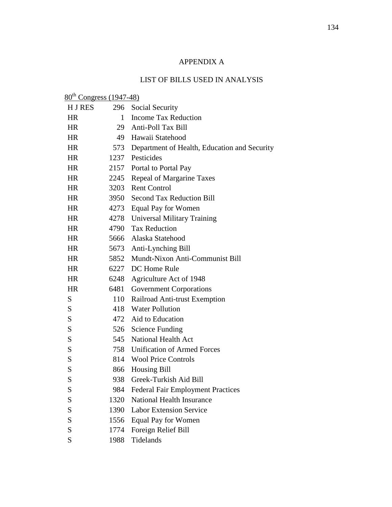### APPENDIX A

### LIST OF BILLS USED IN ANALYSIS

| $80th Congress (1947-48)$ |              |                                              |
|---------------------------|--------------|----------------------------------------------|
| H J RES                   | 296          | Social Security                              |
| <b>HR</b>                 | $\mathbf{1}$ | <b>Income Tax Reduction</b>                  |
| <b>HR</b>                 | 29           | Anti-Poll Tax Bill                           |
| <b>HR</b>                 | 49           | Hawaii Statehood                             |
| HR                        | 573          | Department of Health, Education and Security |
| HR.                       | 1237         | Pesticides                                   |
| HR                        | 2157         | Portal to Portal Pay                         |
| HR                        | 2245         | Repeal of Margarine Taxes                    |
| <b>HR</b>                 | 3203         | <b>Rent Control</b>                          |
| HR.                       | 3950         | <b>Second Tax Reduction Bill</b>             |
| HR                        | 4273         | Equal Pay for Women                          |
| <b>HR</b>                 | 4278         | Universal Military Training                  |
| HR                        | 4790         | <b>Tax Reduction</b>                         |
| HR                        | 5666         | Alaska Statehood                             |
| <b>HR</b>                 | 5673         | Anti-Lynching Bill                           |
| HR                        | 5852         | Mundt-Nixon Anti-Communist Bill              |
| HR                        | 6227         | DC Home Rule                                 |
| HR                        | 6248         | Agriculture Act of 1948                      |
| HR                        | 6481         | <b>Government Corporations</b>               |
| S                         | 110          | Railroad Anti-trust Exemption                |
| S                         | 418          | <b>Water Pollution</b>                       |
| S                         | 472          | Aid to Education                             |
| S                         | 526          | <b>Science Funding</b>                       |
| S                         | 545          | <b>National Health Act</b>                   |
| S                         |              | 758 Unification of Armed Forces              |
| S                         |              | 814 Wool Price Controls                      |
| S                         | 866          | <b>Housing Bill</b>                          |
| S                         |              | 938 Greek-Turkish Aid Bill                   |
| S                         | 984          | <b>Federal Fair Employment Practices</b>     |
| S                         | 1320         | <b>National Health Insurance</b>             |
| S                         | 1390         | <b>Labor Extension Service</b>               |
| S                         | 1556         | <b>Equal Pay for Women</b>                   |
| S                         | 1774         | Foreign Relief Bill                          |
| S                         | 1988         | Tidelands                                    |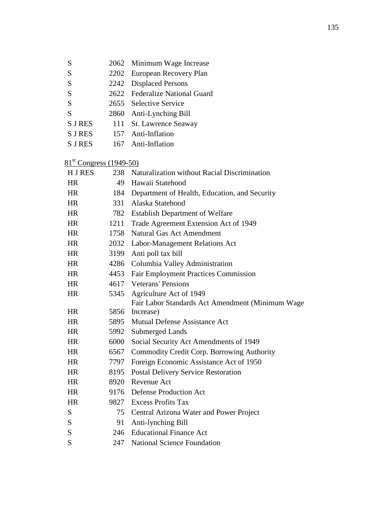| S              |     | 2062 Minimum Wage Increase     |
|----------------|-----|--------------------------------|
| S              |     | 2202 European Recovery Plan    |
| S              |     | 2242 Displaced Persons         |
| S              |     | 2622 Federalize National Guard |
| S              |     | 2655 Selective Service         |
| S              |     | 2860 Anti-Lynching Bill        |
| <b>S J RES</b> |     | 111 St. Lawrence Seaway        |
| <b>S J RES</b> |     | 157 Anti-Inflation             |
| <b>S J RES</b> | 167 | Anti-Inflation                 |

## 81<sup>st</sup> Congress (1949-50)

| <b>HJRES</b> | 238  | Naturalization without Racial Discrimination     |
|--------------|------|--------------------------------------------------|
| <b>HR</b>    | 49   | Hawaii Statehood                                 |
| <b>HR</b>    | 184  | Department of Health, Education, and Security    |
| HR.          | 331  | Alaska Statehood                                 |
| <b>HR</b>    | 782  | <b>Establish Department of Welfare</b>           |
| <b>HR</b>    | 1211 | Trade Agreement Extension Act of 1949            |
| <b>HR</b>    | 1758 | <b>Natural Gas Act Amendment</b>                 |
| <b>HR</b>    | 2032 | Labor-Management Relations Act                   |
| <b>HR</b>    | 3199 | Anti poll tax bill                               |
| <b>HR</b>    | 4286 | Columbia Valley Administration                   |
| <b>HR</b>    | 4453 | <b>Fair Employment Practices Commission</b>      |
| <b>HR</b>    |      | 4617 Veterans' Pensions                          |
| <b>HR</b>    | 5345 | Agriculture Act of 1949                          |
|              |      | Fair Labor Standards Act Amendment (Minimum Wage |
| <b>HR</b>    | 5856 | Increase)                                        |
| <b>HR</b>    | 5895 | <b>Mutual Defense Assistance Act</b>             |
| <b>HR</b>    | 5992 | Submerged Lands                                  |
| <b>HR</b>    | 6000 | Social Security Act Amendments of 1949           |
| <b>HR</b>    | 6567 | Commodity Credit Corp. Borrowing Authority       |
| <b>HR</b>    | 7797 | Foreign Economic Assistance Act of 1950          |
| <b>HR</b>    | 8195 | <b>Postal Delivery Service Restoration</b>       |
| <b>HR</b>    | 8920 | Revenue Act                                      |
| <b>HR</b>    |      | 9176 Defense Production Act                      |
| <b>HR</b>    |      | 9827 Excess Profits Tax                          |
| S            | 75   | Central Arizona Water and Power Project          |
| S            | 91   | Anti-lynching Bill                               |
| S            | 246  | <b>Educational Finance Act</b>                   |
| S            | 247  | <b>National Science Foundation</b>               |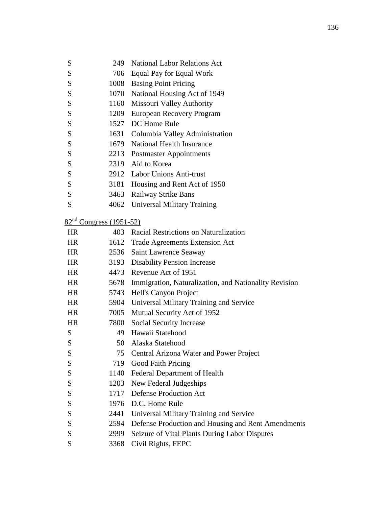| S         | 249                                 | <b>National Labor Relations Act</b>                        |
|-----------|-------------------------------------|------------------------------------------------------------|
| S         |                                     | 706 Equal Pay for Equal Work                               |
| S         |                                     | 1008 Basing Point Pricing                                  |
| S         | 1070                                | National Housing Act of 1949                               |
| S         |                                     | 1160 Missouri Valley Authority                             |
| S         |                                     | 1209 European Recovery Program                             |
| S         |                                     | 1527 DC Home Rule                                          |
| S         |                                     | 1631 Columbia Valley Administration                        |
| S         |                                     | 1679 National Health Insurance                             |
| S         |                                     | 2213 Postmaster Appointments                               |
| S         |                                     | 2319 Aid to Korea                                          |
| ${\bf S}$ |                                     | 2912 Labor Unions Anti-trust                               |
| ${\bf S}$ |                                     | 3181 Housing and Rent Act of 1950                          |
| S         | 3463                                | Railway Strike Bans                                        |
| S         | 4062                                | Universal Military Training                                |
|           |                                     |                                                            |
|           | 82 <sup>nd</sup> Congress (1951-52) |                                                            |
| <b>HR</b> | 403                                 | Racial Restrictions on Naturalization                      |
| <b>HR</b> |                                     | 1612 Trade Agreements Extension Act                        |
| <b>HR</b> |                                     | 2536 Saint Lawrence Seaway                                 |
| <b>HR</b> | 3193                                | <b>Disability Pension Increase</b>                         |
| <b>HR</b> |                                     | 4473 Revenue Act of 1951                                   |
| <b>HR</b> |                                     | 5678 Immigration, Naturalization, and Nationality Revision |
| <b>HR</b> | 5743                                | Hell's Canyon Project                                      |
| <b>HR</b> |                                     | 5904 Universal Military Training and Service               |
| <b>HR</b> |                                     | 7005 Mutual Security Act of 1952                           |
| <b>HR</b> | 7800                                | Social Security Increase                                   |
| S         | 49                                  | Hawaii Statehood                                           |
| S         | 50                                  | Alaska Statehood                                           |
| S         | 75                                  | Central Arizona Water and Power Project                    |
| S         | 719                                 | Good Faith Pricing                                         |
| S         | 1140                                | Federal Department of Health                               |
| S         | 1203                                | New Federal Judgeships                                     |
| S         | 1717                                | <b>Defense Production Act</b>                              |
| S         | 1976                                | D.C. Home Rule                                             |
| S         | 2441                                | Universal Military Training and Service                    |
| S         |                                     | 2594 Defense Production and Housing and Rent Amendments    |
| S         | 2999                                | Seizure of Vital Plants During Labor Disputes              |
| S         | 3368                                | Civil Rights, FEPC                                         |
|           |                                     |                                                            |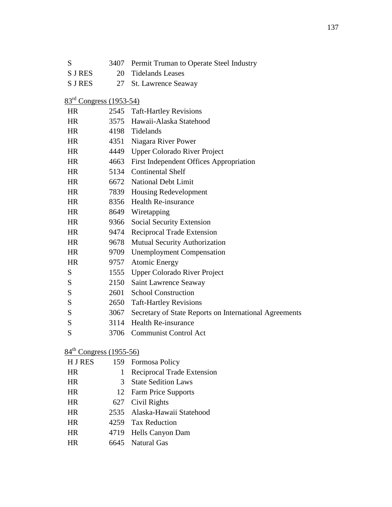| S                                   | 3407 | Permit Truman to Operate Steel Industry                |
|-------------------------------------|------|--------------------------------------------------------|
| <b>SJRES</b>                        | 20   | <b>Tidelands Leases</b>                                |
| <b>SJRES</b>                        | 27   | St. Lawrence Seaway                                    |
| 83 <sup>rd</sup> Congress (1953-54) |      |                                                        |
| <b>HR</b>                           |      | 2545 Taft-Hartley Revisions                            |
| <b>HR</b>                           |      | 3575 Hawaii-Alaska Statehood                           |
| <b>HR</b>                           |      | 4198 Tidelands                                         |
| <b>HR</b>                           |      | 4351 Niagara River Power                               |
| <b>HR</b>                           | 4449 | <b>Upper Colorado River Project</b>                    |
| <b>HR</b>                           | 4663 | <b>First Independent Offices Appropriation</b>         |
| <b>HR</b>                           |      | 5134 Continental Shelf                                 |
| <b>HR</b>                           |      | 6672 National Debt Limit                               |
| <b>HR</b>                           |      | 7839 Housing Redevelopment                             |
| <b>HR</b>                           |      | 8356 Health Re-insurance                               |
| <b>HR</b>                           | 8649 | Wiretapping                                            |
| <b>HR</b>                           | 9366 | Social Security Extension                              |
| <b>HR</b>                           | 9474 | Reciprocal Trade Extension                             |
| <b>HR</b>                           | 9678 | Mutual Security Authorization                          |
| <b>HR</b>                           | 9709 | <b>Unemployment Compensation</b>                       |
| <b>HR</b>                           | 9757 | <b>Atomic Energy</b>                                   |
| S                                   | 1555 | <b>Upper Colorado River Project</b>                    |
| S                                   | 2150 | Saint Lawrence Seaway                                  |
| S                                   | 2601 | <b>School Construction</b>                             |
| S                                   | 2650 | <b>Taft-Hartley Revisions</b>                          |
| S                                   | 3067 | Secretary of State Reports on International Agreements |
| S                                   | 3114 | <b>Health Re-insurance</b>                             |
| S                                   | 3706 | <b>Communist Control Act</b>                           |
|                                     |      |                                                        |

# 84<sup>th</sup> Congress (1955-56)

| <b>HJRES</b> |   | 159 Formosa Policy           |
|--------------|---|------------------------------|
| <b>HR</b>    | 1 | Reciprocal Trade Extension   |
| <b>HR</b>    | 3 | <b>State Sedition Laws</b>   |
| <b>HR</b>    |   | 12 Farm Price Supports       |
| <b>HR</b>    |   | 627 Civil Rights             |
| <b>HR</b>    |   | 2535 Alaska-Hawaii Statehood |
| <b>HR</b>    |   | 4259 Tax Reduction           |
| <b>HR</b>    |   | 4719 Hells Canyon Dam        |
| HR           |   | 6645 Natural Gas             |
|              |   |                              |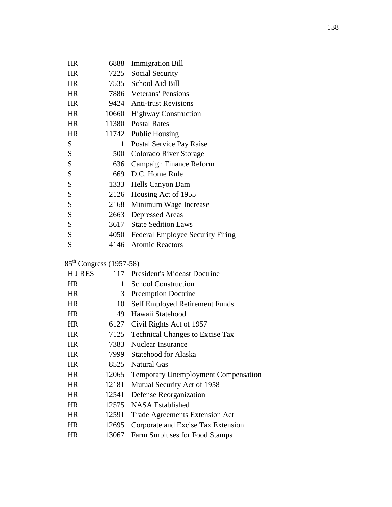| HR        | 6888         | <b>Immigration Bill</b>                 |
|-----------|--------------|-----------------------------------------|
| HR        | 7225         | Social Security                         |
| <b>HR</b> |              | 7535 School Aid Bill                    |
| <b>HR</b> |              | 7886 Veterans' Pensions                 |
| <b>HR</b> |              | 9424 Anti-trust Revisions               |
| <b>HR</b> | 10660        | <b>Highway Construction</b>             |
| <b>HR</b> | 11380        | <b>Postal Rates</b>                     |
| <b>HR</b> | 11742        | <b>Public Housing</b>                   |
| S         | $\mathbf{1}$ | Postal Service Pay Raise                |
| S         | 500          | Colorado River Storage                  |
| S         | 636          | Campaign Finance Reform                 |
| S         | 669          | D.C. Home Rule                          |
| S         | 1333         | Hells Canyon Dam                        |
| S         | 2126         | Housing Act of 1955                     |
| S         | 2168         | Minimum Wage Increase                   |
| S         | 2663         | <b>Depressed Areas</b>                  |
| S         | 3617         | <b>State Sedition Laws</b>              |
| S         | 4050         | <b>Federal Employee Security Firing</b> |
| S         | 4146         | <b>Atomic Reactors</b>                  |

# 85<sup>th</sup> Congress (1957-58)

| <b>HJRES</b> | 117   | <b>President's Mideast Doctrine</b>        |
|--------------|-------|--------------------------------------------|
| <b>HR</b>    | 1     | <b>School Construction</b>                 |
| <b>HR</b>    | 3     | <b>Preemption Doctrine</b>                 |
| <b>HR</b>    | 10    | Self Employed Retirement Funds             |
| HR.          | 49    | Hawaii Statehood                           |
| <b>HR</b>    | 6127  | Civil Rights Act of 1957                   |
| <b>HR</b>    | 7125  | <b>Technical Changes to Excise Tax</b>     |
| <b>HR</b>    | 7383  | Nuclear Insurance                          |
| <b>HR</b>    | 7999  | Statehood for Alaska                       |
| HR.          | 8525  | Natural Gas                                |
| <b>HR</b>    | 12065 | <b>Temporary Unemployment Compensation</b> |
| <b>HR</b>    | 12181 | Mutual Security Act of 1958                |
| <b>HR</b>    | 12541 | Defense Reorganization                     |
| <b>HR</b>    | 12575 | NASA Established                           |
| HR.          | 12591 | <b>Trade Agreements Extension Act</b>      |
| <b>HR</b>    | 12695 | Corporate and Excise Tax Extension         |
| HR           | 13067 | Farm Surpluses for Food Stamps             |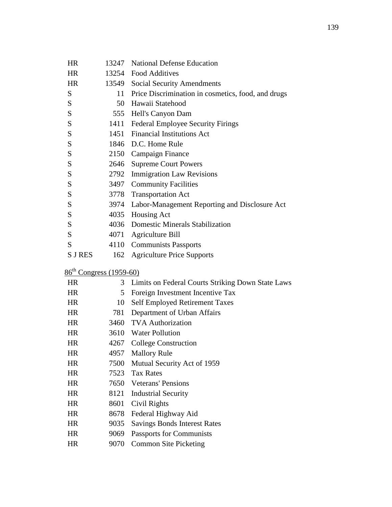| <b>HR</b>                    | 13247          | <b>National Defense Education</b>                  |
|------------------------------|----------------|----------------------------------------------------|
| <b>HR</b>                    | 13254          | <b>Food Additives</b>                              |
| <b>HR</b>                    | 13549          | <b>Social Security Amendments</b>                  |
| ${\bf S}$                    | 11             | Price Discrimination in cosmetics, food, and drugs |
| S                            |                | 50 Hawaii Statehood                                |
| S                            | 555            | Hell's Canyon Dam                                  |
| S                            | 1411           | <b>Federal Employee Security Firings</b>           |
| S                            | 1451           | <b>Financial Institutions Act</b>                  |
| S                            | 1846           | D.C. Home Rule                                     |
| S                            |                | 2150 Campaign Finance                              |
| ${\bf S}$                    | 2646           | <b>Supreme Court Powers</b>                        |
| S                            | 2792           | <b>Immigration Law Revisions</b>                   |
| ${\bf S}$                    | 3497           | <b>Community Facilities</b>                        |
| S                            | 3778           | <b>Transportation Act</b>                          |
| S                            | 3974           | Labor-Management Reporting and Disclosure Act      |
| S                            | 4035           | Housing Act                                        |
| ${\bf S}$                    | 4036           | <b>Domestic Minerals Stabilization</b>             |
| S                            | 4071           | Agriculture Bill                                   |
| S                            | 4110           | <b>Communists Passports</b>                        |
| <b>S J RES</b>               | 162            | <b>Agriculture Price Supports</b>                  |
| $86^{th}$ Congress (1959-60) |                |                                                    |
| <b>HR</b>                    | 3 <sup>1</sup> | Limits on Federal Courts Striking Down State Laws  |
| <b>HR</b>                    | 5              | Foreign Investment Incentive Tax                   |
| <b>HR</b>                    | 10             | <b>Self Employed Retirement Taxes</b>              |
| <b>HR</b>                    | 781            | Department of Urban Affairs                        |
| HR                           | 3460           | <b>TVA</b> Authorization                           |
| <b>HR</b>                    | 3610           | <b>Water Pollution</b>                             |
| HR                           | 4267           | <b>College Construction</b>                        |
| HR                           | 4957           | <b>Mallory Rule</b>                                |
| HR                           | 7500           | Mutual Security Act of 1959                        |
| HR                           | 7523           | <b>Tax Rates</b>                                   |
| HR                           | 7650           | <b>Veterans' Pensions</b>                          |
| <b>HR</b>                    | 8121           | <b>Industrial Security</b>                         |
| <b>HR</b>                    | 8601           | Civil Rights                                       |
| HR                           | 8678           | Federal Highway Aid                                |
| HR                           | 9035           | <b>Savings Bonds Interest Rates</b>                |
| <b>HR</b>                    | 9069           | Passports for Communists                           |
| HR                           | 9070           | <b>Common Site Picketing</b>                       |
|                              |                |                                                    |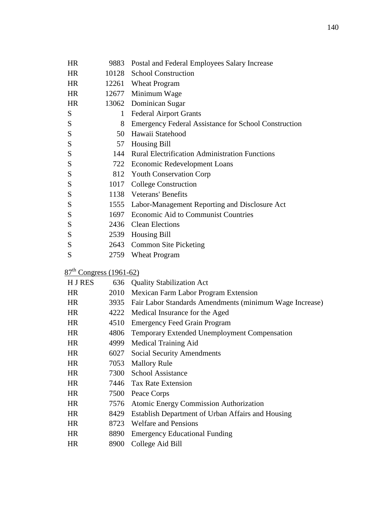| <b>HR</b>                 |              | 9883 Postal and Federal Employees Salary Increase            |
|---------------------------|--------------|--------------------------------------------------------------|
| <b>HR</b>                 |              | 10128 School Construction                                    |
| <b>HR</b>                 |              | 12261 Wheat Program                                          |
| HR.                       |              | 12677 Minimum Wage                                           |
| <b>HR</b>                 |              | 13062 Dominican Sugar                                        |
| S                         | $\mathbf{1}$ | <b>Federal Airport Grants</b>                                |
| S                         |              | 8 Emergency Federal Assistance for School Construction       |
| ${\bf S}$                 |              | 50 Hawaii Statehood                                          |
| S                         | 57           | <b>Housing Bill</b>                                          |
| ${\bf S}$                 |              | 144 Rural Electrification Administration Functions           |
| ${\bf S}$                 |              | 722 Economic Redevelopment Loans                             |
| S                         |              | 812 Youth Conservation Corp                                  |
| ${\bf S}$                 |              | 1017 College Construction                                    |
| ${\bf S}$                 |              | 1138 Veterans' Benefits                                      |
| S                         |              | 1555 Labor-Management Reporting and Disclosure Act           |
| ${\bf S}$                 |              | 1697 Economic Aid to Communist Countries                     |
| S                         |              | 2436 Clean Elections                                         |
| S                         |              | 2539 Housing Bill                                            |
| ${\bf S}$                 |              | 2643 Common Site Picketing                                   |
| S                         |              | 2759 Wheat Program                                           |
| $87th Congress (1961-62)$ |              |                                                              |
| H J RES                   |              | 636 Quality Stabilization Act                                |
| HR.                       |              | 2010 Mexican Farm Labor Program Extension                    |
| <b>HR</b>                 |              | 3935 Fair Labor Standards Amendments (minimum Wage Increase) |
| <b>HR</b>                 |              | 4222 Medical Insurance for the Aged                          |
| <b>HR</b>                 |              | 4510 Emergency Feed Grain Program                            |
| <b>HR</b>                 |              | 4806 Temporary Extended Unemployment Compensation            |
| HR                        | 4999         | <b>Medical Training Aid</b>                                  |
| HR                        | 6027         | <b>Social Security Amendments</b>                            |
| <b>HR</b>                 | 7053         | <b>Mallory Rule</b>                                          |
| HR                        | 7300         | <b>School Assistance</b>                                     |
| HR                        |              | 7446 Tax Rate Extension                                      |
| HR                        | 7500         | Peace Corps                                                  |
| HR                        | 7576         | Atomic Energy Commission Authorization                       |

- HR 8429 Establish Department of Urban Affairs and Housing
- HR 8723 Welfare and Pensions
- HR 8890 Emergency Educational Funding
- HR 8900 College Aid Bill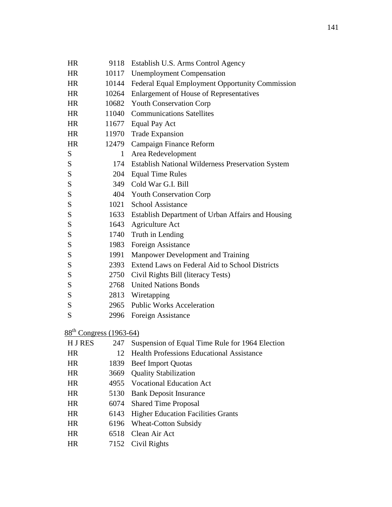| <b>HR</b> | 9118         | Establish U.S. Arms Control Agency                     |
|-----------|--------------|--------------------------------------------------------|
| <b>HR</b> | 10117        | <b>Unemployment Compensation</b>                       |
| <b>HR</b> | 10144        | Federal Equal Employment Opportunity Commission        |
| <b>HR</b> | 10264        | <b>Enlargement of House of Representatives</b>         |
| <b>HR</b> | 10682        | <b>Youth Conservation Corp</b>                         |
| <b>HR</b> | 11040        | <b>Communications Satellites</b>                       |
| <b>HR</b> | 11677        | <b>Equal Pay Act</b>                                   |
| <b>HR</b> | 11970        | <b>Trade Expansion</b>                                 |
| <b>HR</b> | 12479        | Campaign Finance Reform                                |
| S         | $\mathbf{1}$ | Area Redevelopment                                     |
| S         |              | 174 Establish National Wilderness Preservation System  |
| S         | 204          | <b>Equal Time Rules</b>                                |
| S         | 349          | Cold War G.I. Bill                                     |
| S         |              | 404 Youth Conservation Corp                            |
| ${\bf S}$ | 1021         | <b>School Assistance</b>                               |
| S         |              | 1633 Establish Department of Urban Affairs and Housing |
| S         | 1643         | Agriculture Act                                        |
| S         | 1740         | Truth in Lending                                       |
| ${\bf S}$ | 1983         | Foreign Assistance                                     |
| S         | 1991         | Manpower Development and Training                      |
| ${\bf S}$ | 2393         | Extend Laws on Federal Aid to School Districts         |
| ${\bf S}$ | 2750         | Civil Rights Bill (literacy Tests)                     |
| S         | 2768         | <b>United Nations Bonds</b>                            |
| S         | 2813         | Wiretapping                                            |
| S         |              | 2965 Public Works Acceleration                         |
| S         | 2996         | Foreign Assistance                                     |
|           |              |                                                        |

88<sup>th</sup> Congress (1963-64)

| <b>HJRES</b> | 247  | Suspension of Equal Time Rule for 1964 Election  |
|--------------|------|--------------------------------------------------|
| HR           | 12.  | <b>Health Professions Educational Assistance</b> |
| <b>HR</b>    | 1839 | <b>Beef Import Quotas</b>                        |
| <b>HR</b>    | 3669 | <b>Quality Stabilization</b>                     |
| <b>HR</b>    |      | 4955 Vocational Education Act                    |
| <b>HR</b>    | 5130 | <b>Bank Deposit Insurance</b>                    |
| <b>HR</b>    |      | 6074 Shared Time Proposal                        |
| <b>HR</b>    |      | 6143 Higher Education Facilities Grants          |
| <b>HR</b>    |      | 6196 Wheat-Cotton Subsidy                        |
| <b>HR</b>    |      | 6518 Clean Air Act                               |
| HR           |      | 7152 Civil Rights                                |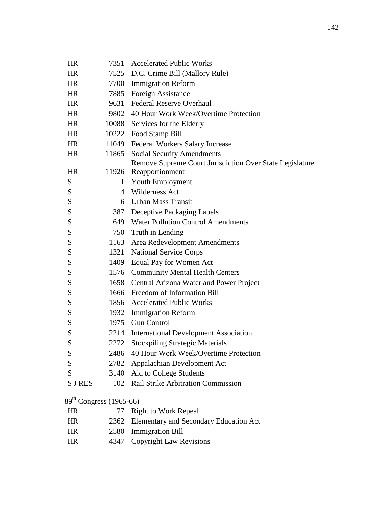| <b>HR</b>                           | 7351           | <b>Accelerated Public Works</b>                          |  |
|-------------------------------------|----------------|----------------------------------------------------------|--|
| <b>HR</b>                           | 7525           | D.C. Crime Bill (Mallory Rule)                           |  |
| <b>HR</b>                           | 7700           | <b>Immigration Reform</b>                                |  |
| <b>HR</b>                           | 7885           | Foreign Assistance                                       |  |
| <b>HR</b>                           | 9631           | <b>Federal Reserve Overhaul</b>                          |  |
| <b>HR</b>                           | 9802           | 40 Hour Work Week/Overtime Protection                    |  |
| <b>HR</b>                           | 10088          | Services for the Elderly                                 |  |
| <b>HR</b>                           | 10222          | Food Stamp Bill                                          |  |
| <b>HR</b>                           | 11049          | Federal Workers Salary Increase                          |  |
| <b>HR</b>                           | 11865          | <b>Social Security Amendments</b>                        |  |
|                                     |                | Remove Supreme Court Jurisdiction Over State Legislature |  |
| <b>HR</b>                           | 11926          | Reapportionment                                          |  |
| S                                   | $\mathbf{1}$   | Youth Employment                                         |  |
| S                                   | $\overline{4}$ | <b>Wilderness Act</b>                                    |  |
| S                                   | 6              | <b>Urban Mass Transit</b>                                |  |
| S                                   | 387            | Deceptive Packaging Labels                               |  |
| S                                   | 649            | <b>Water Pollution Control Amendments</b>                |  |
| S                                   | 750            | Truth in Lending                                         |  |
| S                                   | 1163           | Area Redevelopment Amendments                            |  |
| S                                   | 1321           | <b>National Service Corps</b>                            |  |
| S                                   | 1409           | Equal Pay for Women Act                                  |  |
| S                                   | 1576           | <b>Community Mental Health Centers</b>                   |  |
| S                                   |                | 1658 Central Arizona Water and Power Project             |  |
| S                                   | 1666           | Freedom of Information Bill                              |  |
| S                                   |                | 1856 Accelerated Public Works                            |  |
| S                                   | 1932           | <b>Immigration Reform</b>                                |  |
| S                                   | 1975           | <b>Gun Control</b>                                       |  |
| S                                   | 2214           | <b>International Development Association</b>             |  |
| S                                   |                | 2272 Stockpiling Strategic Materials                     |  |
| S                                   | 2486           | 40 Hour Work Week/Overtime Protection                    |  |
| S                                   | 2782           | Appalachian Development Act                              |  |
| S                                   | 3140           | Aid to College Students                                  |  |
| <b>S J RES</b>                      | 102            | Rail Strike Arbitration Commission                       |  |
| 89 <sup>th</sup> Congress (1965-66) |                |                                                          |  |
| HR                                  | 77             | <b>Right to Work Repeal</b>                              |  |
| <b>HR</b>                           | 2362           | Elementary and Secondary Education Act                   |  |
| HR                                  | 2580           | <b>Immigration Bill</b>                                  |  |
|                                     |                |                                                          |  |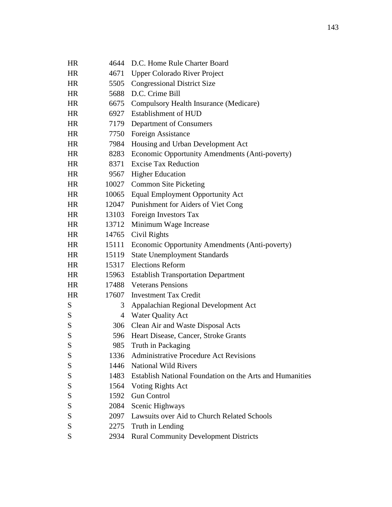| <b>HR</b> | 4644           | D.C. Home Rule Charter Board                             |  |
|-----------|----------------|----------------------------------------------------------|--|
| <b>HR</b> | 4671           | <b>Upper Colorado River Project</b>                      |  |
| HR        | 5505           | <b>Congressional District Size</b>                       |  |
| HR        | 5688           | D.C. Crime Bill                                          |  |
| HR.       | 6675           | Compulsory Health Insurance (Medicare)                   |  |
| HR        | 6927           | Establishment of HUD                                     |  |
| <b>HR</b> | 7179           | Department of Consumers                                  |  |
| HR.       | 7750           | Foreign Assistance                                       |  |
| <b>HR</b> | 7984           | Housing and Urban Development Act                        |  |
| <b>HR</b> | 8283           | Economic Opportunity Amendments (Anti-poverty)           |  |
| HR.       | 8371           | <b>Excise Tax Reduction</b>                              |  |
| HR        | 9567           | <b>Higher Education</b>                                  |  |
| HR        | 10027          | <b>Common Site Picketing</b>                             |  |
| HR.       | 10065          | <b>Equal Employment Opportunity Act</b>                  |  |
| <b>HR</b> | 12047          | Punishment for Aiders of Viet Cong                       |  |
| HR        | 13103          | Foreign Investors Tax                                    |  |
| <b>HR</b> | 13712          | Minimum Wage Increase                                    |  |
| HR.       | 14765          | Civil Rights                                             |  |
| HR        | 15111          | Economic Opportunity Amendments (Anti-poverty)           |  |
| HR        | 15119          | <b>State Unemployment Standards</b>                      |  |
| HR.       | 15317          | <b>Elections Reform</b>                                  |  |
| HR        | 15963          | <b>Establish Transportation Department</b>               |  |
| <b>HR</b> | 17488          | <b>Veterans Pensions</b>                                 |  |
| <b>HR</b> | 17607          | <b>Investment Tax Credit</b>                             |  |
| S         | 3              | Appalachian Regional Development Act                     |  |
| S         | $\overline{4}$ | <b>Water Quality Act</b>                                 |  |
| S         | 306            | Clean Air and Waste Disposal Acts                        |  |
| S         | 596            | Heart Disease, Cancer, Stroke Grants                     |  |
| S         | 985            | Truth in Packaging                                       |  |
| S         |                | 1336 Administrative Procedure Act Revisions              |  |
| S         | 1446           | <b>National Wild Rivers</b>                              |  |
| ${\bf S}$ | 1483           | Establish National Foundation on the Arts and Humanities |  |
| ${\bf S}$ |                | 1564 Voting Rights Act                                   |  |
| S         | 1592           | <b>Gun Control</b>                                       |  |
| S         | 2084           | Scenic Highways                                          |  |
| S         |                | 2097 Lawsuits over Aid to Church Related Schools         |  |
| S         | 2275           | Truth in Lending                                         |  |
| S         |                | 2934 Rural Community Development Districts               |  |
|           |                |                                                          |  |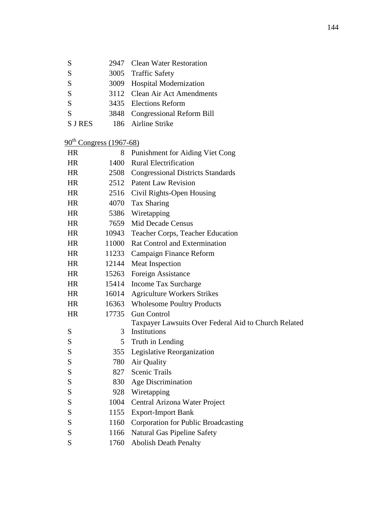| S       | 2947 Clean Water Restoration   |
|---------|--------------------------------|
| S       | 3005 Traffic Safety            |
| S       | 3009 Hospital Modernization    |
| S       | 3112 Clean Air Act Amendments  |
| S       | 3435 Elections Reform          |
| S       | 3848 Congressional Reform Bill |
| S J RES | 186 Airline Strike             |

## $90^{th}$  Congress (1967-68)

| HR        | 8     | Punishment for Aiding Viet Cong                      |  |
|-----------|-------|------------------------------------------------------|--|
| <b>HR</b> | 1400  | <b>Rural Electrification</b>                         |  |
| <b>HR</b> | 2508  | <b>Congressional Districts Standards</b>             |  |
| <b>HR</b> | 2512  | <b>Patent Law Revision</b>                           |  |
| <b>HR</b> | 2516  | Civil Rights-Open Housing                            |  |
| <b>HR</b> | 4070  | Tax Sharing                                          |  |
| <b>HR</b> | 5386  | Wiretapping                                          |  |
| <b>HR</b> | 7659  | <b>Mid Decade Census</b>                             |  |
| <b>HR</b> | 10943 | Teacher Corps, Teacher Education                     |  |
| <b>HR</b> | 11000 | <b>Rat Control and Extermination</b>                 |  |
| HR        | 11233 | Campaign Finance Reform                              |  |
| <b>HR</b> | 12144 | <b>Meat Inspection</b>                               |  |
| HR        | 15263 | Foreign Assistance                                   |  |
| <b>HR</b> | 15414 | Income Tax Surcharge                                 |  |
| <b>HR</b> | 16014 | <b>Agriculture Workers Strikes</b>                   |  |
| <b>HR</b> | 16363 | <b>Wholesome Poultry Products</b>                    |  |
| <b>HR</b> | 17735 | <b>Gun Control</b>                                   |  |
|           |       | Taxpayer Lawsuits Over Federal Aid to Church Related |  |
| S         | 3     | Institutions                                         |  |
| S         | 5     | Truth in Lending                                     |  |
| S         | 355   | Legislative Reorganization                           |  |
| S         | 780   | Air Quality                                          |  |
| S         | 827   | Scenic Trails                                        |  |
| S         | 830   | Age Discrimination                                   |  |
| S         | 928   | Wiretapping                                          |  |
| S         | 1004  | Central Arizona Water Project                        |  |
| S         | 1155  | <b>Export-Import Bank</b>                            |  |
| S         | 1160  | Corporation for Public Broadcasting                  |  |
| S         | 1166  | Natural Gas Pipeline Safety                          |  |
| S         | 1760  | <b>Abolish Death Penalty</b>                         |  |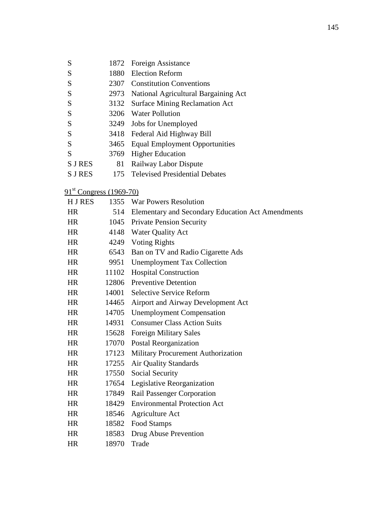| S | 1872 Foreign Assistance |
|---|-------------------------|
|---|-------------------------|

- S 1880 Election Reform
- S 2307 Constitution Conventions
- S 2973 National Agricultural Bargaining Act
- S 3132 Surface Mining Reclamation Act
- S 3206 Water Pollution
- S 3249 Jobs for Unemployed
- S 3418 Federal Aid Highway Bill
- S 3465 Equal Employment Opportunities
- S 3769 Higher Education
- S J RES 81 Railway Labor Dispute
- S J RES 175 Televised Presidential Debates
- 91<sup>st</sup> Congress (1969-70)

| <b>HJRES</b> | 1355  | <b>War Powers Resolution</b>                             |  |
|--------------|-------|----------------------------------------------------------|--|
| <b>HR</b>    | 514   | <b>Elementary and Secondary Education Act Amendments</b> |  |
| HR.          | 1045  | <b>Private Pension Security</b>                          |  |
| <b>HR</b>    | 4148  | <b>Water Quality Act</b>                                 |  |
| <b>HR</b>    | 4249  | <b>Voting Rights</b>                                     |  |
| <b>HR</b>    | 6543  | Ban on TV and Radio Cigarette Ads                        |  |
| <b>HR</b>    | 9951  | <b>Unemployment Tax Collection</b>                       |  |
| <b>HR</b>    | 11102 | <b>Hospital Construction</b>                             |  |
| <b>HR</b>    | 12806 | <b>Preventive Detention</b>                              |  |
| <b>HR</b>    | 14001 | <b>Selective Service Reform</b>                          |  |
| <b>HR</b>    | 14465 | Airport and Airway Development Act                       |  |
| <b>HR</b>    | 14705 | <b>Unemployment Compensation</b>                         |  |
| <b>HR</b>    | 14931 | <b>Consumer Class Action Suits</b>                       |  |
| <b>HR</b>    | 15628 | <b>Foreign Military Sales</b>                            |  |
| <b>HR</b>    | 17070 | <b>Postal Reorganization</b>                             |  |
| <b>HR</b>    | 17123 | Military Procurement Authorization                       |  |
| <b>HR</b>    | 17255 | <b>Air Quality Standards</b>                             |  |
| <b>HR</b>    | 17550 | Social Security                                          |  |
| HR           | 17654 | Legislative Reorganization                               |  |
| <b>HR</b>    | 17849 | Rail Passenger Corporation                               |  |
| <b>HR</b>    | 18429 | <b>Environmental Protection Act</b>                      |  |
| HR           | 18546 | Agriculture Act                                          |  |
| HR           | 18582 | Food Stamps                                              |  |
| <b>HR</b>    | 18583 | Drug Abuse Prevention                                    |  |
| <b>HR</b>    | 18970 | Trade                                                    |  |
|              |       |                                                          |  |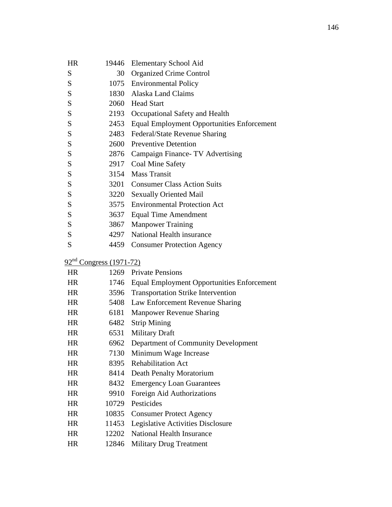| <b>HR</b> | 19446 | Elementary School Aid                             |
|-----------|-------|---------------------------------------------------|
| S         | 30    | <b>Organized Crime Control</b>                    |
| S         |       | 1075 Environmental Policy                         |
| S         |       | 1830 Alaska Land Claims                           |
| S         |       | 2060 Head Start                                   |
| S         |       | 2193 Occupational Safety and Health               |
| S         | 2453  | <b>Equal Employment Opportunities Enforcement</b> |
| S         | 2483  | Federal/State Revenue Sharing                     |
| S         | 2600  | <b>Preventive Detention</b>                       |
| S         | 2876  | Campaign Finance TV Advertising                   |
| S         | 2917  | Coal Mine Safety                                  |
| S         | 3154  | <b>Mass Transit</b>                               |
| S         | 3201  | <b>Consumer Class Action Suits</b>                |
| S         | 3220  | <b>Sexually Oriented Mail</b>                     |
| S         | 3575  | <b>Environmental Protection Act</b>               |
| S         | 3637  | Equal Time Amendment                              |
| S         | 3867  | <b>Manpower Training</b>                          |
| S         |       | 4297 National Health insurance                    |
| S         | 4459  | <b>Consumer Protection Agency</b>                 |
|           |       |                                                   |

## 92<sup>nd</sup> Congress (1971-72)

| 1269  | <b>Private Pensions</b>                    |
|-------|--------------------------------------------|
| 1746  | Equal Employment Opportunities Enforcement |
| 3596  | <b>Transportation Strike Intervention</b>  |
| 5408  | Law Enforcement Revenue Sharing            |
| 6181  | Manpower Revenue Sharing                   |
| 6482  | <b>Strip Mining</b>                        |
| 6531  | <b>Military Draft</b>                      |
| 6962  | Department of Community Development        |
| 7130  | Minimum Wage Increase                      |
| 8395  | <b>Rehabilitation Act</b>                  |
| 8414  | Death Penalty Moratorium                   |
| 8432  | <b>Emergency Loan Guarantees</b>           |
| 9910  | Foreign Aid Authorizations                 |
| 10729 | Pesticides                                 |
| 10835 | <b>Consumer Protect Agency</b>             |
| 11453 | Legislative Activities Disclosure          |
| 12202 | National Health Insurance                  |
| 12846 | <b>Military Drug Treatment</b>             |
|       |                                            |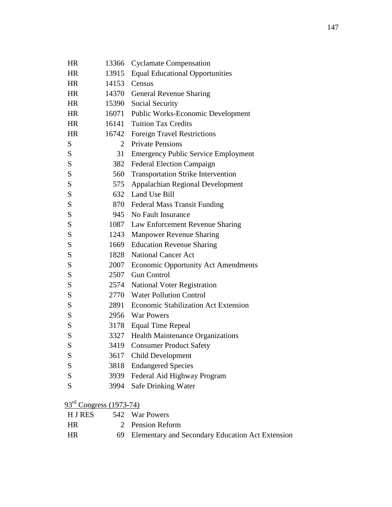| <b>HR</b>        | 13366              | <b>Cyclamate Compensation</b>               |
|------------------|--------------------|---------------------------------------------|
| <b>HR</b>        | 13915              | <b>Equal Educational Opportunities</b>      |
| <b>HR</b>        | 14153              | Census                                      |
| <b>HR</b>        |                    | 14370 General Revenue Sharing               |
| HR               |                    | 15390 Social Security                       |
| <b>HR</b>        | 16071              | Public Works-Economic Development           |
| <b>HR</b>        | 16141              | <b>Tuition Tax Credits</b>                  |
| <b>HR</b>        | 16742              | <b>Foreign Travel Restrictions</b>          |
| S                | $\overline{2}$     | <b>Private Pensions</b>                     |
| S                | 31                 | <b>Emergency Public Service Employment</b>  |
| S                | 382                | <b>Federal Election Campaign</b>            |
| S                | 560                | <b>Transportation Strike Intervention</b>   |
| S                | 575                | Appalachian Regional Development            |
| S                |                    | 632 Land Use Bill                           |
| S                |                    | 870 Federal Mass Transit Funding            |
| S                | 945                | No Fault Insurance                          |
| S                |                    | 1087 Law Enforcement Revenue Sharing        |
| S                | 1243               | <b>Manpower Revenue Sharing</b>             |
| S                | 1669               | <b>Education Revenue Sharing</b>            |
| S                | 1828               | <b>National Cancer Act</b>                  |
| S                | 2007               | <b>Economic Opportunity Act Amendments</b>  |
| S                | 2507               | <b>Gun Control</b>                          |
| S                | 2574               | <b>National Voter Registration</b>          |
| S                | 2770               | <b>Water Pollution Control</b>              |
| S                | 2891               | <b>Economic Stabilization Act Extension</b> |
| S                |                    | 2956 War Powers                             |
| S                | 3178               | <b>Equal Time Repeal</b>                    |
| S                | 3327               | <b>Health Maintenance Organizations</b>     |
| S                | 3419               | <b>Consumer Product Safety</b>              |
| S                | 3617               | <b>Child Development</b>                    |
| S                | 3818               | <b>Endangered Species</b>                   |
| S                | 3939               | Federal Aid Highway Program                 |
| S                |                    | 3994 Safe Drinking Water                    |
| 93 <sup>rd</sup> | Congress (1973-74) |                                             |

H J RES 542 War Powers HR 2 Pension Reform HR 69 Elementary and Secondary Education Act Extension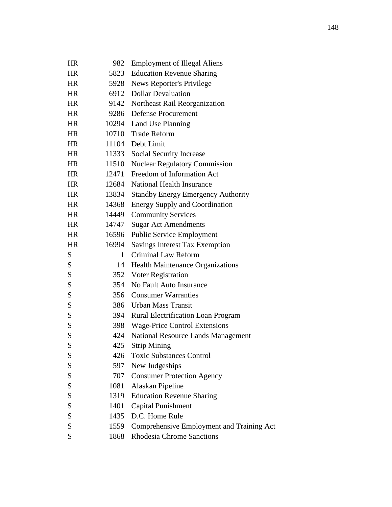| HR        | 982   | <b>Employment of Illegal Aliens</b>       |  |
|-----------|-------|-------------------------------------------|--|
| HR        | 5823  | <b>Education Revenue Sharing</b>          |  |
| <b>HR</b> | 5928  | News Reporter's Privilege                 |  |
| <b>HR</b> | 6912  | <b>Dollar Devaluation</b>                 |  |
| HR        | 9142  | Northeast Rail Reorganization             |  |
| <b>HR</b> |       | 9286 Defense Procurement                  |  |
| <b>HR</b> |       | 10294 Land Use Planning                   |  |
| HR        | 10710 | <b>Trade Reform</b>                       |  |
| <b>HR</b> |       | 11104 Debt Limit                          |  |
| <b>HR</b> | 11333 | Social Security Increase                  |  |
| <b>HR</b> | 11510 | <b>Nuclear Regulatory Commission</b>      |  |
| <b>HR</b> | 12471 | Freedom of Information Act                |  |
| <b>HR</b> | 12684 | National Health Insurance                 |  |
| <b>HR</b> | 13834 | <b>Standby Energy Emergency Authority</b> |  |
| <b>HR</b> | 14368 | <b>Energy Supply and Coordination</b>     |  |
| <b>HR</b> | 14449 | <b>Community Services</b>                 |  |
| <b>HR</b> | 14747 | <b>Sugar Act Amendments</b>               |  |
| HR        | 16596 | <b>Public Service Employment</b>          |  |
| <b>HR</b> | 16994 | Savings Interest Tax Exemption            |  |
| S         | 1     | Criminal Law Reform                       |  |
| S         | 14    | <b>Health Maintenance Organizations</b>   |  |
| S         |       | 352 Voter Registration                    |  |
| S         | 354   | No Fault Auto Insurance                   |  |
| ${\bf S}$ | 356   | <b>Consumer Warranties</b>                |  |
| S         |       | 386 Urban Mass Transit                    |  |
| S         |       | 394 Rural Electrification Loan Program    |  |
| S         |       | 398 Wage-Price Control Extensions         |  |
| S         | 424   | National Resource Lands Management        |  |
| S         | 425   | <b>Strip Mining</b>                       |  |
| S         |       | 426 Toxic Substances Control              |  |
| S         | 597   | New Judgeships                            |  |
| S         | 707   | <b>Consumer Protection Agency</b>         |  |
| S         | 1081  | Alaskan Pipeline                          |  |
| S         | 1319  | <b>Education Revenue Sharing</b>          |  |
| S         | 1401  | <b>Capital Punishment</b>                 |  |
| S         | 1435  | D.C. Home Rule                            |  |
| S         | 1559  | Comprehensive Employment and Training Act |  |
| S         | 1868  | Rhodesia Chrome Sanctions                 |  |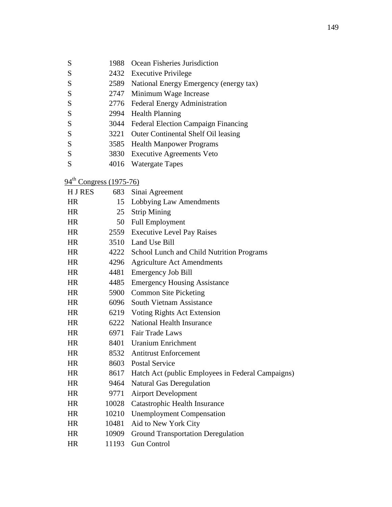| S | 1988 Ocean Fisheries Jurisdiction |
|---|-----------------------------------|
|   |                                   |

- S 2432 Executive Privilege
- S 2589 National Energy Emergency (energy tax)
- S 2747 Minimum Wage Increase
- S 2776 Federal Energy Administration
- S 2994 Health Planning
- S 3044 Federal Election Campaign Financing
- S 3221 Outer Continental Shelf Oil leasing
- S 3585 Health Manpower Programs
- S 3830 Executive Agreements Veto
- S 4016 Watergate Tapes

|  | $94^{\text{th}}$ Congress (1975-76) |
|--|-------------------------------------|
|  |                                     |

| 15<br>Lobbying Law Amendments<br><b>HR</b><br><b>Strip Mining</b><br><b>HR</b><br>25<br>Full Employment<br><b>HR</b><br>50<br>2559 Executive Level Pay Raises<br><b>HR</b><br>3510 Land Use Bill<br><b>HR</b><br><b>HR</b><br>4222<br>School Lunch and Child Nutrition Programs<br><b>HR</b><br>4296<br><b>Agriculture Act Amendments</b><br><b>HR</b><br><b>Emergency Job Bill</b><br>4481<br><b>Emergency Housing Assistance</b><br><b>HR</b><br>4485<br><b>HR</b><br><b>Common Site Picketing</b><br>5900<br><b>HR</b><br>6096<br>South Vietnam Assistance<br><b>HR</b><br>6219 Voting Rights Act Extension<br><b>HR</b><br><b>National Health Insurance</b><br>6222<br>6971 Fair Trade Laws<br><b>HR</b><br><b>HR</b><br><b>Uranium Enrichment</b><br>8401<br><b>HR</b><br>8532<br><b>Antitrust Enforcement</b><br><b>HR</b><br>8603<br><b>Postal Service</b><br><b>HR</b><br>8617<br>Hatch Act (public Employees in Federal Campaigns)<br><b>Natural Gas Deregulation</b><br><b>HR</b><br>9464<br><b>HR</b><br>9771<br><b>Airport Development</b><br><b>Catastrophic Health Insurance</b><br><b>HR</b><br>10028<br><b>HR</b><br><b>Unemployment Compensation</b><br>10210<br><b>HR</b><br>Aid to New York City<br>10481<br><b>HR</b><br>10909<br><b>Ground Transportation Deregulation</b><br><b>Gun Control</b><br><b>HR</b><br>11193 | <b>HJRES</b> | 683 | Sinai Agreement |
|---------------------------------------------------------------------------------------------------------------------------------------------------------------------------------------------------------------------------------------------------------------------------------------------------------------------------------------------------------------------------------------------------------------------------------------------------------------------------------------------------------------------------------------------------------------------------------------------------------------------------------------------------------------------------------------------------------------------------------------------------------------------------------------------------------------------------------------------------------------------------------------------------------------------------------------------------------------------------------------------------------------------------------------------------------------------------------------------------------------------------------------------------------------------------------------------------------------------------------------------------------------------------------------------------------------------------------------------|--------------|-----|-----------------|
|                                                                                                                                                                                                                                                                                                                                                                                                                                                                                                                                                                                                                                                                                                                                                                                                                                                                                                                                                                                                                                                                                                                                                                                                                                                                                                                                             |              |     |                 |
|                                                                                                                                                                                                                                                                                                                                                                                                                                                                                                                                                                                                                                                                                                                                                                                                                                                                                                                                                                                                                                                                                                                                                                                                                                                                                                                                             |              |     |                 |
|                                                                                                                                                                                                                                                                                                                                                                                                                                                                                                                                                                                                                                                                                                                                                                                                                                                                                                                                                                                                                                                                                                                                                                                                                                                                                                                                             |              |     |                 |
|                                                                                                                                                                                                                                                                                                                                                                                                                                                                                                                                                                                                                                                                                                                                                                                                                                                                                                                                                                                                                                                                                                                                                                                                                                                                                                                                             |              |     |                 |
|                                                                                                                                                                                                                                                                                                                                                                                                                                                                                                                                                                                                                                                                                                                                                                                                                                                                                                                                                                                                                                                                                                                                                                                                                                                                                                                                             |              |     |                 |
|                                                                                                                                                                                                                                                                                                                                                                                                                                                                                                                                                                                                                                                                                                                                                                                                                                                                                                                                                                                                                                                                                                                                                                                                                                                                                                                                             |              |     |                 |
|                                                                                                                                                                                                                                                                                                                                                                                                                                                                                                                                                                                                                                                                                                                                                                                                                                                                                                                                                                                                                                                                                                                                                                                                                                                                                                                                             |              |     |                 |
|                                                                                                                                                                                                                                                                                                                                                                                                                                                                                                                                                                                                                                                                                                                                                                                                                                                                                                                                                                                                                                                                                                                                                                                                                                                                                                                                             |              |     |                 |
|                                                                                                                                                                                                                                                                                                                                                                                                                                                                                                                                                                                                                                                                                                                                                                                                                                                                                                                                                                                                                                                                                                                                                                                                                                                                                                                                             |              |     |                 |
|                                                                                                                                                                                                                                                                                                                                                                                                                                                                                                                                                                                                                                                                                                                                                                                                                                                                                                                                                                                                                                                                                                                                                                                                                                                                                                                                             |              |     |                 |
|                                                                                                                                                                                                                                                                                                                                                                                                                                                                                                                                                                                                                                                                                                                                                                                                                                                                                                                                                                                                                                                                                                                                                                                                                                                                                                                                             |              |     |                 |
|                                                                                                                                                                                                                                                                                                                                                                                                                                                                                                                                                                                                                                                                                                                                                                                                                                                                                                                                                                                                                                                                                                                                                                                                                                                                                                                                             |              |     |                 |
|                                                                                                                                                                                                                                                                                                                                                                                                                                                                                                                                                                                                                                                                                                                                                                                                                                                                                                                                                                                                                                                                                                                                                                                                                                                                                                                                             |              |     |                 |
|                                                                                                                                                                                                                                                                                                                                                                                                                                                                                                                                                                                                                                                                                                                                                                                                                                                                                                                                                                                                                                                                                                                                                                                                                                                                                                                                             |              |     |                 |
|                                                                                                                                                                                                                                                                                                                                                                                                                                                                                                                                                                                                                                                                                                                                                                                                                                                                                                                                                                                                                                                                                                                                                                                                                                                                                                                                             |              |     |                 |
|                                                                                                                                                                                                                                                                                                                                                                                                                                                                                                                                                                                                                                                                                                                                                                                                                                                                                                                                                                                                                                                                                                                                                                                                                                                                                                                                             |              |     |                 |
|                                                                                                                                                                                                                                                                                                                                                                                                                                                                                                                                                                                                                                                                                                                                                                                                                                                                                                                                                                                                                                                                                                                                                                                                                                                                                                                                             |              |     |                 |
|                                                                                                                                                                                                                                                                                                                                                                                                                                                                                                                                                                                                                                                                                                                                                                                                                                                                                                                                                                                                                                                                                                                                                                                                                                                                                                                                             |              |     |                 |
|                                                                                                                                                                                                                                                                                                                                                                                                                                                                                                                                                                                                                                                                                                                                                                                                                                                                                                                                                                                                                                                                                                                                                                                                                                                                                                                                             |              |     |                 |
|                                                                                                                                                                                                                                                                                                                                                                                                                                                                                                                                                                                                                                                                                                                                                                                                                                                                                                                                                                                                                                                                                                                                                                                                                                                                                                                                             |              |     |                 |
|                                                                                                                                                                                                                                                                                                                                                                                                                                                                                                                                                                                                                                                                                                                                                                                                                                                                                                                                                                                                                                                                                                                                                                                                                                                                                                                                             |              |     |                 |
|                                                                                                                                                                                                                                                                                                                                                                                                                                                                                                                                                                                                                                                                                                                                                                                                                                                                                                                                                                                                                                                                                                                                                                                                                                                                                                                                             |              |     |                 |
|                                                                                                                                                                                                                                                                                                                                                                                                                                                                                                                                                                                                                                                                                                                                                                                                                                                                                                                                                                                                                                                                                                                                                                                                                                                                                                                                             |              |     |                 |
|                                                                                                                                                                                                                                                                                                                                                                                                                                                                                                                                                                                                                                                                                                                                                                                                                                                                                                                                                                                                                                                                                                                                                                                                                                                                                                                                             |              |     |                 |
|                                                                                                                                                                                                                                                                                                                                                                                                                                                                                                                                                                                                                                                                                                                                                                                                                                                                                                                                                                                                                                                                                                                                                                                                                                                                                                                                             |              |     |                 |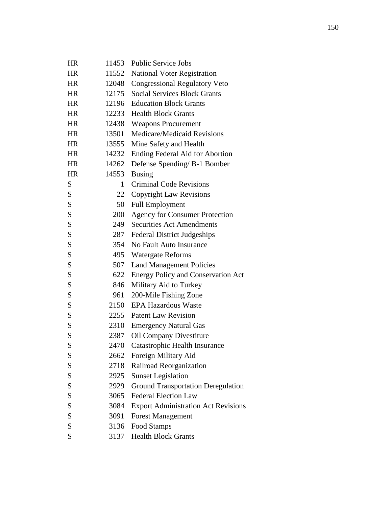| HR        | 11453 | <b>Public Service Jobs</b>                 |
|-----------|-------|--------------------------------------------|
| <b>HR</b> | 11552 | <b>National Voter Registration</b>         |
| HR.       | 12048 | <b>Congressional Regulatory Veto</b>       |
| <b>HR</b> | 12175 | <b>Social Services Block Grants</b>        |
| HR.       | 12196 | <b>Education Block Grants</b>              |
| <b>HR</b> | 12233 | <b>Health Block Grants</b>                 |
| <b>HR</b> | 12438 | <b>Weapons Procurement</b>                 |
| <b>HR</b> | 13501 | <b>Medicare/Medicaid Revisions</b>         |
| <b>HR</b> | 13555 | Mine Safety and Health                     |
| <b>HR</b> | 14232 | Ending Federal Aid for Abortion            |
| <b>HR</b> | 14262 | Defense Spending/ B-1 Bomber               |
| <b>HR</b> | 14553 | <b>Busing</b>                              |
| S         | 1     | <b>Criminal Code Revisions</b>             |
| S         | 22    | <b>Copyright Law Revisions</b>             |
| S         | 50    | <b>Full Employment</b>                     |
| S         | 200   | <b>Agency for Consumer Protection</b>      |
| S         | 249   | <b>Securities Act Amendments</b>           |
| S         | 287   | <b>Federal District Judgeships</b>         |
| S         | 354   | No Fault Auto Insurance                    |
| S         | 495   | <b>Watergate Reforms</b>                   |
| S         | 507   | <b>Land Management Policies</b>            |
| S         | 622   | <b>Energy Policy and Conservation Act</b>  |
| S         | 846   | Military Aid to Turkey                     |
| S         | 961   | 200-Mile Fishing Zone                      |
| S         | 2150  | <b>EPA Hazardous Waste</b>                 |
| S         | 2255  | <b>Patent Law Revision</b>                 |
| S         | 2310  | <b>Emergency Natural Gas</b>               |
| S         | 2387  | Oil Company Divestiture                    |
| S         | 2470  | Catastrophic Health Insurance              |
| S         | 2662  | Foreign Military Aid                       |
| S         | 2718  | Railroad Reorganization                    |
| S         | 2925  | <b>Sunset Legislation</b>                  |
| S         | 2929  | <b>Ground Transportation Deregulation</b>  |
| S         | 3065  | <b>Federal Election Law</b>                |
| S         | 3084  | <b>Export Administration Act Revisions</b> |
| S         | 3091  | <b>Forest Management</b>                   |
| S         | 3136  | Food Stamps                                |
| S         |       | 3137 Health Block Grants                   |
|           |       |                                            |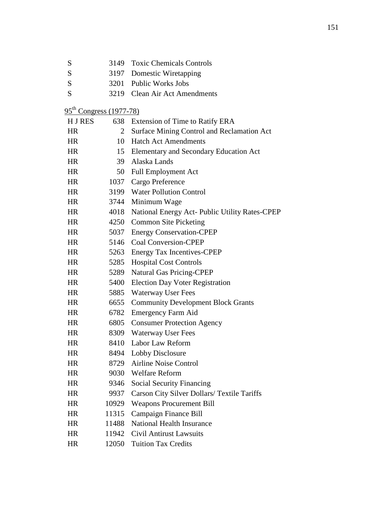| S                         | 3149           | <b>Toxic Chemicals Controls</b>                |
|---------------------------|----------------|------------------------------------------------|
| S                         | 3197           | Domestic Wiretapping                           |
| S                         | 3201           | <b>Public Works Jobs</b>                       |
| S                         | 3219           | <b>Clean Air Act Amendments</b>                |
| $95th Congress (1977-78)$ |                |                                                |
| H J RES                   | 638            | Extension of Time to Ratify ERA                |
| <b>HR</b>                 | $\overline{2}$ | Surface Mining Control and Reclamation Act     |
| HR                        | 10             | <b>Hatch Act Amendments</b>                    |
| HR                        | 15             | Elementary and Secondary Education Act         |
| HR                        | 39             | Alaska Lands                                   |
| HR                        | 50             | <b>Full Employment Act</b>                     |
| HR                        | 1037           | Cargo Preference                               |
| HR                        |                | 3199 Water Pollution Control                   |
| HR                        |                | 3744 Minimum Wage                              |
| HR                        | 4018           | National Energy Act- Public Utility Rates-CPEP |
| <b>HR</b>                 | 4250           | <b>Common Site Picketing</b>                   |
| HR                        | 5037           | <b>Energy Conservation-CPEP</b>                |
| HR                        | 5146           | <b>Coal Conversion-CPEP</b>                    |
| <b>HR</b>                 | 5263           | Energy Tax Incentives-CPEP                     |
| HR                        | 5285           | <b>Hospital Cost Controls</b>                  |
| HR                        | 5289           | <b>Natural Gas Pricing-CPEP</b>                |
| <b>HR</b>                 | 5400           | <b>Election Day Voter Registration</b>         |
| HR                        | 5885           | <b>Waterway User Fees</b>                      |
| HR                        | 6655           | <b>Community Development Block Grants</b>      |
| HR                        | 6782           | <b>Emergency Farm Aid</b>                      |
| HR                        | 6805           | <b>Consumer Protection Agency</b>              |
| <b>HR</b>                 | 8309           | <b>Waterway User Fees</b>                      |
| HR                        | 8410           | Labor Law Reform                               |
| HR                        | 8494           | Lobby Disclosure                               |
| <b>HR</b>                 | 8729           | <b>Airline Noise Control</b>                   |
| HR                        | 9030           | <b>Welfare Reform</b>                          |
| HR                        | 9346           | <b>Social Security Financing</b>               |
| <b>HR</b>                 | 9937           | Carson City Silver Dollars/ Textile Tariffs    |
| HR                        | 10929          | <b>Weapons Procurement Bill</b>                |
| HR                        | 11315          | Campaign Finance Bill                          |
| <b>HR</b>                 | 11488          | <b>National Health Insurance</b>               |
| HR                        | 11942          | <b>Civil Antirust Lawsuits</b>                 |
| HR                        | 12050          | <b>Tuition Tax Credits</b>                     |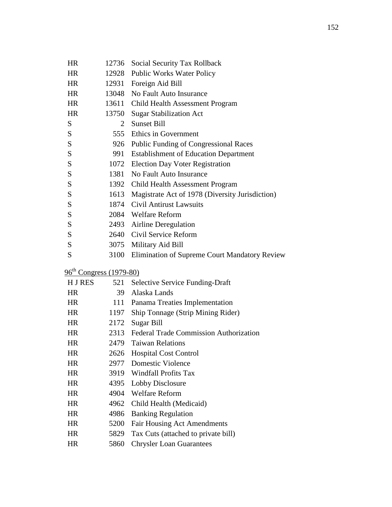| HR        | 12736                               | Social Security Tax Rollback                         |
|-----------|-------------------------------------|------------------------------------------------------|
| HR        |                                     | 12928 Public Works Water Policy                      |
| <b>HR</b> | 12931                               | Foreign Aid Bill                                     |
| <b>HR</b> |                                     | 13048 No Fault Auto Insurance                        |
| <b>HR</b> | 13611                               | Child Health Assessment Program                      |
| <b>HR</b> | 13750                               | <b>Sugar Stabilization Act</b>                       |
| S         | 2                                   | <b>Sunset Bill</b>                                   |
| S         |                                     | 555 Ethics in Government                             |
| ${\bf S}$ |                                     | 926 Public Funding of Congressional Races            |
| S         | 991                                 | <b>Establishment of Education Department</b>         |
| S         |                                     | 1072 Election Day Voter Registration                 |
| ${\bf S}$ |                                     | 1381 No Fault Auto Insurance                         |
| S         | 1392                                | Child Health Assessment Program                      |
| S         |                                     | 1613 Magistrate Act of 1978 (Diversity Jurisdiction) |
| S         | 1874                                | <b>Civil Antirust Lawsuits</b>                       |
| S         |                                     | 2084 Welfare Reform                                  |
| S         |                                     | 2493 Airline Deregulation                            |
| S         |                                     | 2640 Civil Service Reform                            |
| S         | 3075                                | Military Aid Bill                                    |
| S         | 3100                                | Elimination of Supreme Court Mandatory Review        |
|           | 96 <sup>th</sup> Congress (1979-80) |                                                      |
| H J RES   | 521                                 | <b>Selective Service Funding-Draft</b>               |
| <b>HR</b> | 39                                  | Alaska Lands                                         |
| HR        | 111                                 | Panama Treaties Implementation                       |
| <b>HR</b> | 1197                                | Ship Tonnage (Strip Mining Rider)                    |
| <b>HR</b> | 2172                                | <b>Sugar Bill</b>                                    |
| <b>HR</b> | 2313                                | Federal Trade Commission Authorization               |
| <b>HR</b> | 2479                                | <b>Taiwan Relations</b>                              |
| HR        | 2626                                | <b>Hospital Cost Control</b>                         |
| <b>HR</b> | 2977                                | <b>Domestic Violence</b>                             |
| <b>HR</b> | 3919                                | <b>Windfall Profits Tax</b>                          |
| <b>HR</b> | 4395                                | Lobby Disclosure                                     |
| <b>HR</b> | 4904                                | <b>Welfare Reform</b>                                |
| <b>HR</b> | 4962                                | Child Health (Medicaid)                              |
| <b>HR</b> | 4986                                | <b>Banking Regulation</b>                            |
| HR        | 5200                                | <b>Fair Housing Act Amendments</b>                   |
| <b>HR</b> | 5829                                | Tax Cuts (attached to private bill)                  |
| HR        | 5860                                | <b>Chrysler Loan Guarantees</b>                      |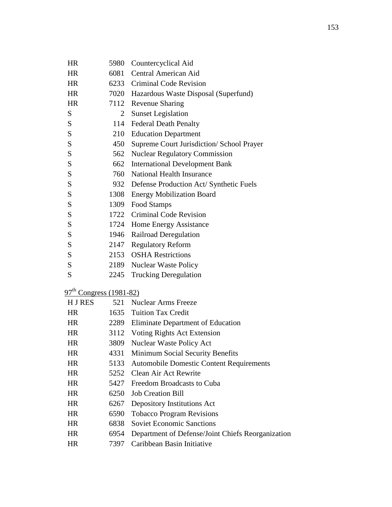| HR                                  | 5980           | Countercyclical Aid                               |
|-------------------------------------|----------------|---------------------------------------------------|
| <b>HR</b>                           | 6081           | Central American Aid                              |
| <b>HR</b>                           | 6233           | <b>Criminal Code Revision</b>                     |
| <b>HR</b>                           | 7020           | Hazardous Waste Disposal (Superfund)              |
| <b>HR</b>                           | 7112           | <b>Revenue Sharing</b>                            |
| S                                   | $\overline{2}$ | <b>Sunset Legislation</b>                         |
| S                                   | 114            | <b>Federal Death Penalty</b>                      |
| ${\bf S}$                           | 210            | <b>Education Department</b>                       |
| S                                   | 450            | Supreme Court Jurisdiction/ School Prayer         |
| S                                   | 562            | <b>Nuclear Regulatory Commission</b>              |
| ${\bf S}$                           | 662            | <b>International Development Bank</b>             |
| S                                   | 760            | National Health Insurance                         |
| S                                   | 932            | Defense Production Act/ Synthetic Fuels           |
| ${\bf S}$                           | 1308           | <b>Energy Mobilization Board</b>                  |
| S                                   | 1309           | Food Stamps                                       |
| S                                   | 1722           | <b>Criminal Code Revision</b>                     |
| S                                   | 1724           | Home Energy Assistance                            |
| ${\bf S}$                           | 1946           | Railroad Deregulation                             |
| S                                   | 2147           | <b>Regulatory Reform</b>                          |
| S                                   | 2153           | <b>OSHA</b> Restrictions                          |
| ${\bf S}$                           | 2189           | <b>Nuclear Waste Policy</b>                       |
| S                                   | 2245           | <b>Trucking Deregulation</b>                      |
|                                     |                |                                                   |
| 97 <sup>th</sup> Congress (1981-82) |                |                                                   |
| H J RES                             | 521            | <b>Nuclear Arms Freeze</b>                        |
| <b>HR</b>                           | 1635           | <b>Tuition Tax Credit</b>                         |
| <b>HR</b>                           | 2289           | <b>Eliminate Department of Education</b>          |
| HR                                  | 3112           | Voting Rights Act Extension                       |
| <b>HR</b>                           | 3809           | Nuclear Waste Policy Act                          |
| HR                                  | 4331           | Minimum Social Security Benefits                  |
| <b>HR</b>                           | 5133           | <b>Automobile Domestic Content Requirements</b>   |
| <b>HR</b>                           | 5252           | Clean Air Act Rewrite                             |
| HR                                  | 5427           | Freedom Broadcasts to Cuba                        |
| <b>HR</b>                           | 6250           | <b>Job Creation Bill</b>                          |
| <b>HR</b>                           | 6267           | Depository Institutions Act                       |
| HR                                  | 6590           | <b>Tobacco Program Revisions</b>                  |
| <b>HR</b>                           | 6838           | <b>Soviet Economic Sanctions</b>                  |
| <b>HR</b>                           | 6954           | Department of Defense/Joint Chiefs Reorganization |
| HR                                  | 7397           | Caribbean Basin Initiative                        |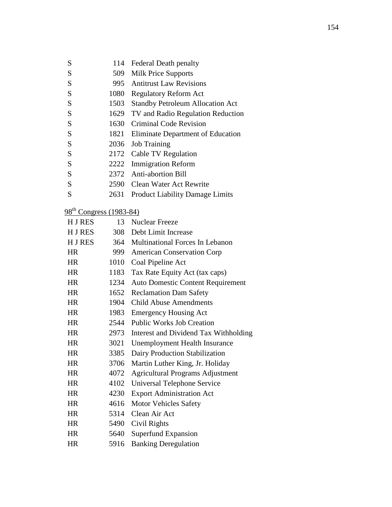| S                                   | 114  | <b>Federal Death penalty</b>             |
|-------------------------------------|------|------------------------------------------|
| S                                   | 509  | <b>Milk Price Supports</b>               |
| S                                   | 995  | <b>Antitrust Law Revisions</b>           |
| S                                   | 1080 | <b>Regulatory Reform Act</b>             |
| S                                   | 1503 | <b>Standby Petroleum Allocation Act</b>  |
| S                                   | 1629 | TV and Radio Regulation Reduction        |
| S                                   | 1630 | <b>Criminal Code Revision</b>            |
| S                                   | 1821 | Eliminate Department of Education        |
| S                                   | 2036 | <b>Job Training</b>                      |
| S                                   | 2172 | Cable TV Regulation                      |
| S                                   | 2222 | <b>Immigration Reform</b>                |
| S                                   |      | 2372 Anti-abortion Bill                  |
| S                                   |      | 2590 Clean Water Act Rewrite             |
| S                                   | 2631 | Product Liability Damage Limits          |
| 98 <sup>th</sup> Congress (1983-84) |      |                                          |
| <b>HJRES</b>                        | 13   | <b>Nuclear Freeze</b>                    |
| H J RES                             |      | 308 Debt Limit Increase                  |
| H J RES                             |      | 364 Multinational Forces In Lebanon      |
| <b>HR</b>                           | 999  | <b>American Conservation Corp</b>        |
| <b>HR</b>                           | 1010 | Coal Pipeline Act                        |
| HR                                  | 1183 | Tax Rate Equity Act (tax caps)           |
| HR                                  | 1234 | <b>Auto Domestic Content Requirement</b> |
| <b>HR</b>                           | 1652 | <b>Reclamation Dam Safety</b>            |
| HR                                  | 1904 | <b>Child Abuse Amendments</b>            |
| HR                                  | 1983 | <b>Emergency Housing Act</b>             |
| <b>HR</b>                           | 2544 | <b>Public Works Job Creation</b>         |
| HR                                  | 2973 | Interest and Dividend Tax Withholding    |
| HR                                  | 3021 | <b>Unemployment Health Insurance</b>     |
| <b>HR</b>                           | 3385 | Dairy Production Stabilization           |
| <b>HR</b>                           | 3706 | Martin Luther King, Jr. Holiday          |
| <b>HR</b>                           | 4072 | <b>Agricultural Programs Adjustment</b>  |
| <b>HR</b>                           | 4102 | Universal Telephone Service              |
| <b>HR</b>                           | 4230 | <b>Export Administration Act</b>         |
| <b>HR</b>                           | 4616 | <b>Motor Vehicles Safety</b>             |
| <b>HR</b>                           | 5314 | Clean Air Act                            |
| <b>HR</b>                           | 5490 | Civil Rights                             |
| <b>HR</b>                           | 5640 | Superfund Expansion                      |
| HR                                  | 5916 | <b>Banking Deregulation</b>              |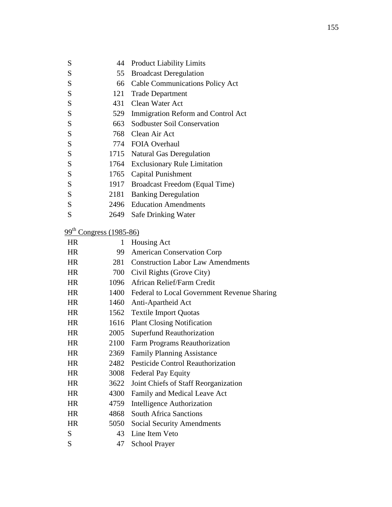| S         | 44                        | <b>Product Liability Limits</b>             |
|-----------|---------------------------|---------------------------------------------|
| S         | 55                        | <b>Broadcast Deregulation</b>               |
| S         |                           | 66 Cable Communications Policy Act          |
| S         | 121                       | <b>Trade Department</b>                     |
| S         |                           | 431 Clean Water Act                         |
| S         |                           | 529 Immigration Reform and Control Act      |
| S         | 663                       | Sodbuster Soil Conservation                 |
| S         |                           | 768 Clean Air Act                           |
| S         |                           | 774 FOIA Overhaul                           |
| S         |                           | 1715 Natural Gas Deregulation               |
| S         | 1764                      | <b>Exclusionary Rule Limitation</b>         |
| S         |                           | 1765 Capital Punishment                     |
| S         |                           | 1917 Broadcast Freedom (Equal Time)         |
| S         | 2181                      | <b>Banking Deregulation</b>                 |
| S         |                           | 2496 Education Amendments                   |
| S         |                           | 2649 Safe Drinking Water                    |
|           |                           |                                             |
|           | $99th Congress (1985-86)$ |                                             |
| <b>HR</b> | 1                         | Housing Act                                 |
| <b>HR</b> | 99                        | <b>American Conservation Corp</b>           |
| <b>HR</b> | 281                       | <b>Construction Labor Law Amendments</b>    |
| HR        |                           | 700 Civil Rights (Grove City)               |
| <b>HR</b> |                           | 1096 African Relief/Farm Credit             |
| <b>HR</b> | 1400                      | Federal to Local Government Revenue Sharing |
| <b>HR</b> |                           | 1460 Anti-Apartheid Act                     |
| <b>HR</b> |                           | 1562 Textile Import Quotas                  |
| <b>HR</b> | 1616                      | <b>Plant Closing Notification</b>           |
| <b>HR</b> | 2005                      | <b>Superfund Reauthorization</b>            |
| <b>HR</b> | 2100                      | Farm Programs Reauthorization               |
| <b>HR</b> | 2369                      | <b>Family Planning Assistance</b>           |
| <b>HR</b> | 2482                      | <b>Pesticide Control Reauthorization</b>    |
| <b>HR</b> | 3008                      | <b>Federal Pay Equity</b>                   |
| <b>HR</b> | 3622                      | Joint Chiefs of Staff Reorganization        |
| <b>HR</b> | 4300                      | Family and Medical Leave Act                |
| <b>HR</b> | 4759                      | <b>Intelligence Authorization</b>           |
| <b>HR</b> | 4868                      | <b>South Africa Sanctions</b>               |
| <b>HR</b> | 5050                      | <b>Social Security Amendments</b>           |
| S         | 43                        | Line Item Veto                              |
| S         | 47                        | <b>School Prayer</b>                        |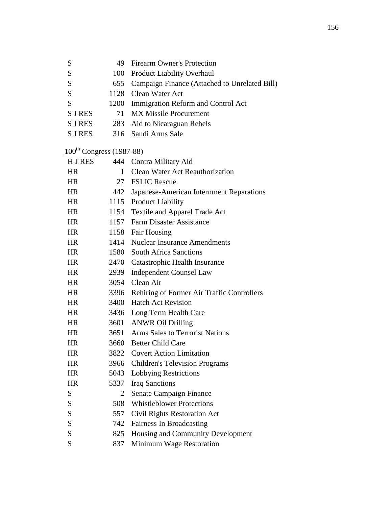| S                                    | 49             | <b>Firearm Owner's Protection</b>             |
|--------------------------------------|----------------|-----------------------------------------------|
| S                                    | 100            | <b>Product Liability Overhaul</b>             |
| S                                    | 655            | Campaign Finance (Attached to Unrelated Bill) |
| S                                    | 1128           | Clean Water Act                               |
| S                                    | 1200           | Immigration Reform and Control Act            |
| S J RES                              | 71             | <b>MX Missile Procurement</b>                 |
| S J RES                              | 283            | Aid to Nicaraguan Rebels                      |
| <b>S J RES</b>                       | 316            | Saudi Arms Sale                               |
| $100^{\text{th}}$ Congress (1987-88) |                |                                               |
| H J RES                              | 444            | Contra Military Aid                           |
| <b>HR</b>                            | 1              | <b>Clean Water Act Reauthorization</b>        |
| <b>HR</b>                            |                | 27 FSLIC Rescue                               |
| HR.                                  | 442            | Japanese-American Internment Reparations      |
| HR                                   | 1115           | <b>Product Liability</b>                      |
| <b>HR</b>                            | 1154           | Textile and Apparel Trade Act                 |
| HR.                                  | 1157           | <b>Farm Disaster Assistance</b>               |
| <b>HR</b>                            | 1158           | Fair Housing                                  |
| HR                                   | 1414           | <b>Nuclear Insurance Amendments</b>           |
| <b>HR</b>                            | 1580           | <b>South Africa Sanctions</b>                 |
| <b>HR</b>                            | 2470           | Catastrophic Health Insurance                 |
| <b>HR</b>                            | 2939           | <b>Independent Counsel Law</b>                |
| <b>HR</b>                            | 3054           | Clean Air                                     |
| <b>HR</b>                            | 3396           | Rehiring of Former Air Traffic Controllers    |
| <b>HR</b>                            | 3400           | <b>Hatch Act Revision</b>                     |
| HR                                   | 3436           | Long Term Health Care                         |
| HR                                   | 3601           | <b>ANWR Oil Drilling</b>                      |
| HR.                                  | 3651           | <b>Arms Sales to Terrorist Nations</b>        |
| HR                                   | 3660           | <b>Better Child Care</b>                      |
| <b>HR</b>                            | 3822           | <b>Covert Action Limitation</b>               |
| <b>HR</b>                            | 3966           | <b>Children's Television Programs</b>         |
| <b>HR</b>                            | 5043           | Lobbying Restrictions                         |
| <b>HR</b>                            | 5337           | <b>Iraq Sanctions</b>                         |
| S                                    | $\overline{2}$ | Senate Campaign Finance                       |
| S                                    | 508            | <b>Whistleblower Protections</b>              |
| ${\bf S}$                            | 557            | Civil Rights Restoration Act                  |
| S                                    | 742            | Fairness In Broadcasting                      |
| S                                    | 825            | Housing and Community Development             |
| S                                    | 837            | Minimum Wage Restoration                      |
|                                      |                |                                               |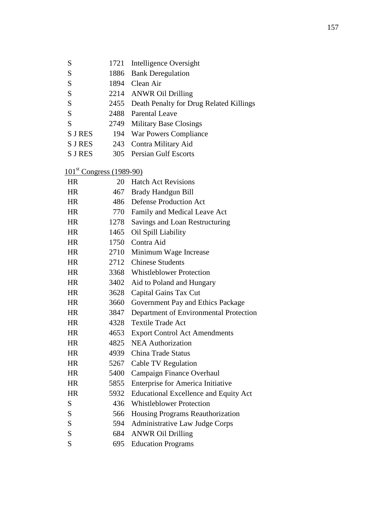- S 1721 Intelligence Oversight
- S 1886 Bank Deregulation
- S 1894 Clean Air
- S 2214 ANWR Oil Drilling
- S 2455 Death Penalty for Drug Related Killings
- S 2488 Parental Leave
- S 2749 Military Base Closings
- S J RES 194 War Powers Compliance
- S J RES 243 Contra Military Aid
- S J RES 305 Persian Gulf Escorts

### 101<sup>st</sup> Congress (1989-90)

| <b>HR</b> | 20   | <b>Hatch Act Revisions</b>                   |
|-----------|------|----------------------------------------------|
| <b>HR</b> | 467  | Brady Handgun Bill                           |
| <b>HR</b> | 486  | <b>Defense Production Act</b>                |
| <b>HR</b> | 770  | Family and Medical Leave Act                 |
| <b>HR</b> | 1278 | Savings and Loan Restructuring               |
| <b>HR</b> | 1465 | Oil Spill Liability                          |
| <b>HR</b> | 1750 | Contra Aid                                   |
| <b>HR</b> | 2710 | Minimum Wage Increase                        |
| <b>HR</b> | 2712 | <b>Chinese Students</b>                      |
| <b>HR</b> | 3368 | <b>Whistleblower Protection</b>              |
| <b>HR</b> | 3402 | Aid to Poland and Hungary                    |
| <b>HR</b> | 3628 | Capital Gains Tax Cut                        |
| <b>HR</b> | 3660 | Government Pay and Ethics Package            |
| <b>HR</b> | 3847 | Department of Environmental Protection       |
| <b>HR</b> | 4328 | <b>Textile Trade Act</b>                     |
| <b>HR</b> | 4653 | <b>Export Control Act Amendments</b>         |
| <b>HR</b> | 4825 | <b>NEA Authorization</b>                     |
| <b>HR</b> | 4939 | <b>China Trade Status</b>                    |
| <b>HR</b> | 5267 | Cable TV Regulation                          |
| <b>HR</b> | 5400 | Campaign Finance Overhaul                    |
| <b>HR</b> | 5855 | <b>Enterprise for America Initiative</b>     |
| <b>HR</b> | 5932 | <b>Educational Excellence and Equity Act</b> |
| S         | 436  | <b>Whistleblower Protection</b>              |
| S         | 566  | Housing Programs Reauthorization             |
| S         | 594  | Administrative Law Judge Corps               |
| S         | 684  | <b>ANWR Oil Drilling</b>                     |
| S         | 695  | <b>Education Programs</b>                    |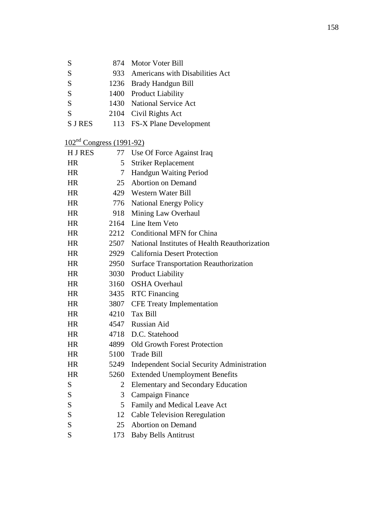| S              | 874 Motor Voter Bill                |
|----------------|-------------------------------------|
| S              | 933 Americans with Disabilities Act |
| S              | 1236 Brady Handgun Bill             |
| S              | 1400 Product Liability              |
| S              | 1430 National Service Act           |
| S              | 2104 Civil Rights Act               |
| <b>S J RES</b> | 113 FS-X Plane Development          |

# 102nd Congress (1991-92)

| H J RES   | 77             | Use Of Force Against Iraq                         |
|-----------|----------------|---------------------------------------------------|
| <b>HR</b> | 5              | <b>Striker Replacement</b>                        |
| <b>HR</b> | 7              | Handgun Waiting Period                            |
| <b>HR</b> | 25             | <b>Abortion on Demand</b>                         |
| <b>HR</b> |                | 429 Western Water Bill                            |
| <b>HR</b> | 776            | <b>National Energy Policy</b>                     |
| <b>HR</b> | 918            | Mining Law Overhaul                               |
| <b>HR</b> | 2164           | Line Item Veto                                    |
| <b>HR</b> |                | 2212 Conditional MFN for China                    |
| <b>HR</b> | 2507           | National Institutes of Health Reauthorization     |
| <b>HR</b> |                | 2929 California Desert Protection                 |
| <b>HR</b> | 2950           | <b>Surface Transportation Reauthorization</b>     |
| <b>HR</b> | 3030           | <b>Product Liability</b>                          |
| <b>HR</b> | 3160           | <b>OSHA</b> Overhaul                              |
| <b>HR</b> |                | 3435 RTC Financing                                |
| <b>HR</b> |                | 3807 CFE Treaty Implementation                    |
| <b>HR</b> |                | 4210 Tax Bill                                     |
| <b>HR</b> |                | 4547 Russian Aid                                  |
| <b>HR</b> |                | 4718 D.C. Statehood                               |
| <b>HR</b> |                | 4899 Old Growth Forest Protection                 |
| <b>HR</b> | 5100           | <b>Trade Bill</b>                                 |
| <b>HR</b> | 5249           | <b>Independent Social Security Administration</b> |
| <b>HR</b> | 5260           | <b>Extended Unemployment Benefits</b>             |
| S         | $\overline{2}$ | <b>Elementary and Secondary Education</b>         |
| S         | 3              | <b>Campaign Finance</b>                           |
| S         | 5              | Family and Medical Leave Act                      |
| S         | 12             | <b>Cable Television Reregulation</b>              |
| S         | 25             | <b>Abortion on Demand</b>                         |
| S         | 173            | <b>Baby Bells Antitrust</b>                       |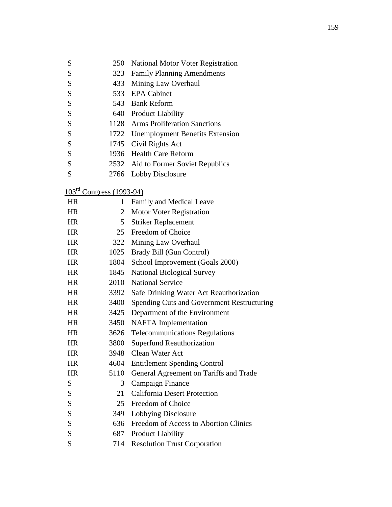|  |  | 250 National Motor Voter Registration |
|--|--|---------------------------------------|
|--|--|---------------------------------------|

- S 323 Family Planning Amendments
- S 433 Mining Law Overhaul
- S 533 EPA Cabinet
- S 543 Bank Reform
- S 640 Product Liability
- S 1128 Arms Proliferation Sanctions
- S 1722 Unemployment Benefits Extension
- S 1745 Civil Rights Act
- S 1936 Health Care Reform
- S 2532 Aid to Former Soviet Republics
- S 2766 Lobby Disclosure

### 103rd Congress (1993-94)

| <b>HR</b> | 1              | Family and Medical Leave                   |  |  |  |
|-----------|----------------|--------------------------------------------|--|--|--|
| <b>HR</b> | $\overline{2}$ | <b>Motor Voter Registration</b>            |  |  |  |
| <b>HR</b> | 5 <sup>5</sup> | <b>Striker Replacement</b>                 |  |  |  |
| <b>HR</b> | 25             | Freedom of Choice                          |  |  |  |
| <b>HR</b> | 322            | Mining Law Overhaul                        |  |  |  |
| <b>HR</b> | 1025           | Brady Bill (Gun Control)                   |  |  |  |
| <b>HR</b> | 1804           | School Improvement (Goals 2000)            |  |  |  |
| <b>HR</b> | 1845           | <b>National Biological Survey</b>          |  |  |  |
| <b>HR</b> | 2010           | <b>National Service</b>                    |  |  |  |
| <b>HR</b> | 3392           | Safe Drinking Water Act Reauthorization    |  |  |  |
| <b>HR</b> | 3400           | Spending Cuts and Government Restructuring |  |  |  |
| <b>HR</b> | 3425           | Department of the Environment              |  |  |  |
| <b>HR</b> | 3450           | NAFTA Implementation                       |  |  |  |
| <b>HR</b> | 3626           | <b>Telecommunications Regulations</b>      |  |  |  |
| <b>HR</b> | 3800           | <b>Superfund Reauthorization</b>           |  |  |  |
| <b>HR</b> | 3948           | Clean Water Act                            |  |  |  |
| <b>HR</b> | 4604           | <b>Entitlement Spending Control</b>        |  |  |  |
| <b>HR</b> | 5110           | General Agreement on Tariffs and Trade     |  |  |  |
| S         | 3              | Campaign Finance                           |  |  |  |
| S         | 21             | <b>California Desert Protection</b>        |  |  |  |
| S         | 25             | Freedom of Choice                          |  |  |  |
| S         | 349            | Lobbying Disclosure                        |  |  |  |
| S         | 636            | Freedom of Access to Abortion Clinics      |  |  |  |
| S         | 687            | <b>Product Liability</b>                   |  |  |  |
| S         | 714            | <b>Resolution Trust Corporation</b>        |  |  |  |
|           |                |                                            |  |  |  |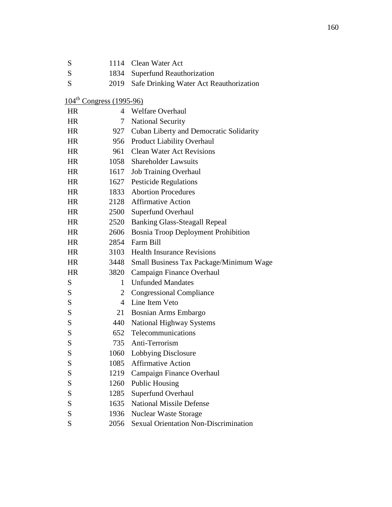| S         | 1114                                 | Clean Water Act                              |  |  |
|-----------|--------------------------------------|----------------------------------------------|--|--|
| S         | 1834                                 | <b>Superfund Reauthorization</b>             |  |  |
| S         | 2019                                 | Safe Drinking Water Act Reauthorization      |  |  |
|           | $104^{\text{th}}$ Congress (1995-96) |                                              |  |  |
| <b>HR</b> |                                      | 4 Welfare Overhaul                           |  |  |
| <b>HR</b> | 7                                    | <b>National Security</b>                     |  |  |
| <b>HR</b> | 927                                  | Cuban Liberty and Democratic Solidarity      |  |  |
| <b>HR</b> | 956                                  | <b>Product Liability Overhaul</b>            |  |  |
| <b>HR</b> |                                      | 961 Clean Water Act Revisions                |  |  |
| <b>HR</b> |                                      | 1058 Shareholder Lawsuits                    |  |  |
| <b>HR</b> | 1617                                 | <b>Job Training Overhaul</b>                 |  |  |
| HR        |                                      | 1627 Pesticide Regulations                   |  |  |
| <b>HR</b> | 1833                                 | <b>Abortion Procedures</b>                   |  |  |
| <b>HR</b> |                                      | 2128 Affirmative Action                      |  |  |
| <b>HR</b> | 2500                                 | <b>Superfund Overhaul</b>                    |  |  |
| <b>HR</b> | 2520                                 | <b>Banking Glass-Steagall Repeal</b>         |  |  |
| <b>HR</b> | 2606                                 | <b>Bosnia Troop Deployment Prohibition</b>   |  |  |
| <b>HR</b> |                                      | 2854 Farm Bill                               |  |  |
| <b>HR</b> |                                      | 3103 Health Insurance Revisions              |  |  |
| <b>HR</b> | 3448                                 | Small Business Tax Package/Minimum Wage      |  |  |
| <b>HR</b> | 3820                                 | Campaign Finance Overhaul                    |  |  |
| S         | 1                                    | <b>Unfunded Mandates</b>                     |  |  |
| S         | 2                                    | <b>Congressional Compliance</b>              |  |  |
| S         | 4                                    | Line Item Veto                               |  |  |
| S         | 21                                   | Bosnian Arms Embargo                         |  |  |
| S         | 440                                  | <b>National Highway Systems</b>              |  |  |
| S         | 652                                  | Telecommunications                           |  |  |
| S         | 735                                  | Anti-Terrorism                               |  |  |
| S         | 1060                                 | Lobbying Disclosure                          |  |  |
| S         | 1085                                 | <b>Affirmative Action</b>                    |  |  |
| S         | 1219                                 | Campaign Finance Overhaul                    |  |  |
| S         | 1260                                 | <b>Public Housing</b>                        |  |  |
| S         | 1285                                 | Superfund Overhaul                           |  |  |
| S         | 1635                                 | <b>National Missile Defense</b>              |  |  |
| S         | 1936                                 | <b>Nuclear Waste Storage</b>                 |  |  |
| S         | 2056                                 | <b>Sexual Orientation Non-Discrimination</b> |  |  |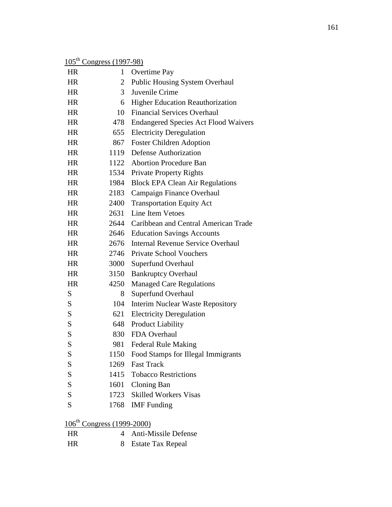|  | $105^{\text{th}}$ Congress (1997-98) |
|--|--------------------------------------|
|  |                                      |

| <b>HR</b>                              | 1              | Overtime Pay                                |  |  |
|----------------------------------------|----------------|---------------------------------------------|--|--|
| <b>HR</b>                              | $\overline{2}$ | <b>Public Housing System Overhaul</b>       |  |  |
| <b>HR</b>                              | 3              | Juvenile Crime                              |  |  |
| <b>HR</b>                              | 6              | Higher Education Reauthorization            |  |  |
| <b>HR</b>                              | 10             | <b>Financial Services Overhaul</b>          |  |  |
| <b>HR</b>                              | 478            | <b>Endangered Species Act Flood Waivers</b> |  |  |
| <b>HR</b>                              | 655            | <b>Electricity Deregulation</b>             |  |  |
| <b>HR</b>                              | 867            | <b>Foster Children Adoption</b>             |  |  |
| <b>HR</b>                              | 1119           | <b>Defense Authorization</b>                |  |  |
| <b>HR</b>                              | 1122           | <b>Abortion Procedure Ban</b>               |  |  |
| <b>HR</b>                              | 1534           | <b>Private Property Rights</b>              |  |  |
| <b>HR</b>                              | 1984           | <b>Block EPA Clean Air Regulations</b>      |  |  |
| <b>HR</b>                              | 2183           | Campaign Finance Overhaul                   |  |  |
| HR                                     | 2400           | <b>Transportation Equity Act</b>            |  |  |
| <b>HR</b>                              | 2631           | Line Item Vetoes                            |  |  |
| <b>HR</b>                              | 2644           | Caribbean and Central American Trade        |  |  |
| HR                                     | 2646           | <b>Education Savings Accounts</b>           |  |  |
| <b>HR</b>                              | 2676           | <b>Internal Revenue Service Overhaul</b>    |  |  |
| <b>HR</b>                              | 2746           | <b>Private School Vouchers</b>              |  |  |
| <b>HR</b>                              | 3000           | Superfund Overhaul                          |  |  |
| <b>HR</b>                              | 3150           | <b>Bankruptcy Overhaul</b>                  |  |  |
| <b>HR</b>                              | 4250           | <b>Managed Care Regulations</b>             |  |  |
| S                                      | 8              | Superfund Overhaul                          |  |  |
| S                                      | 104            | <b>Interim Nuclear Waste Repository</b>     |  |  |
| S                                      | 621            | <b>Electricity Deregulation</b>             |  |  |
| S                                      | 648            | <b>Product Liability</b>                    |  |  |
| S                                      | 830            | FDA Overhaul                                |  |  |
| S                                      | 981            | <b>Federal Rule Making</b>                  |  |  |
| S                                      |                | 1150 Food Stamps for Illegal Immigrants     |  |  |
| S                                      | 1269           | <b>Fast Track</b>                           |  |  |
| ${\bf S}$                              |                | 1415 Tobacco Restrictions                   |  |  |
| S                                      | 1601           | Cloning Ban                                 |  |  |
| S                                      | 1723           | <b>Skilled Workers Visas</b>                |  |  |
| S                                      |                | 1768 IMF Funding                            |  |  |
| 106 <sup>th</sup> Congress (1999-2000) |                |                                             |  |  |

| HR. |  | 4 Anti-Missile Defense |
|-----|--|------------------------|
| HR. |  | 8 Estate Tax Repeal    |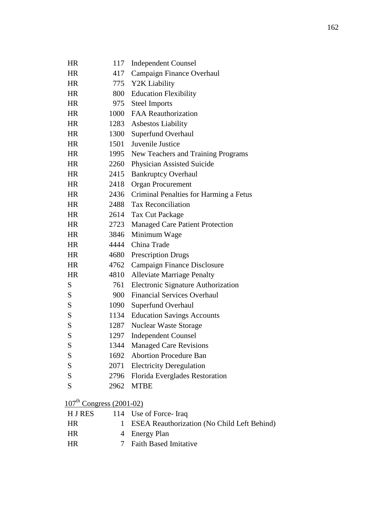| HR           | 117       | <b>Independent Counsel</b>                  |
|--------------|-----------|---------------------------------------------|
| <b>HR</b>    | 417       | Campaign Finance Overhaul                   |
| <b>HR</b>    | 775       | Y2K Liability                               |
| <b>HR</b>    | 800       | <b>Education Flexibility</b>                |
| <b>HR</b>    | 975       | <b>Steel Imports</b>                        |
| <b>HR</b>    | 1000      | <b>FAA Reauthorization</b>                  |
| <b>HR</b>    | 1283      | <b>Asbestos Liability</b>                   |
| HR           | 1300      | Superfund Overhaul                          |
| <b>HR</b>    | 1501      | Juvenile Justice                            |
| <b>HR</b>    | 1995      | New Teachers and Training Programs          |
| <b>HR</b>    | 2260      | <b>Physician Assisted Suicide</b>           |
| HR           | 2415      | <b>Bankruptcy Overhaul</b>                  |
| <b>HR</b>    | 2418      | <b>Organ Procurement</b>                    |
| <b>HR</b>    |           | 2436 Criminal Penalties for Harming a Fetus |
| <b>HR</b>    |           | 2488 Tax Reconciliation                     |
| <b>HR</b>    | 2614      | Tax Cut Package                             |
| <b>HR</b>    | 2723      | Managed Care Patient Protection             |
| HR           | 3846      | Minimum Wage                                |
| <b>HR</b>    | 4444      | China Trade                                 |
| <b>HR</b>    | 4680      | <b>Prescription Drugs</b>                   |
| <b>HR</b>    | 4762      | Campaign Finance Disclosure                 |
| <b>HR</b>    | 4810      | <b>Alleviate Marriage Penalty</b>           |
| S            | 761       | Electronic Signature Authorization          |
| S            | 900       | <b>Financial Services Overhaul</b>          |
| S            | 1090      | <b>Superfund Overhaul</b>                   |
| S            | 1134      | <b>Education Savings Accounts</b>           |
| S            | 1287      | <b>Nuclear Waste Storage</b>                |
| S            | 1297      | <b>Independent Counsel</b>                  |
| S            | 1344      | <b>Managed Care Revisions</b>               |
| S            |           | 1692 Abortion Procedure Ban                 |
| S            |           | 2071 Electricity Deregulation               |
| S            |           | 2796 Florida Everglades Restoration         |
| S            |           | 2962 MTBE                                   |
| 107th $\cap$ | (2001.02) |                                             |

### $107^{\text{th}}$  Congress (2001-02)

| H J RES   | 114 Use of Force-Iraq                         |
|-----------|-----------------------------------------------|
| HR.       | 1 ESEA Reauthorization (No Child Left Behind) |
| <b>HR</b> | 4 Energy Plan                                 |
| <b>HR</b> | 7 Faith Based Imitative                       |
|           |                                               |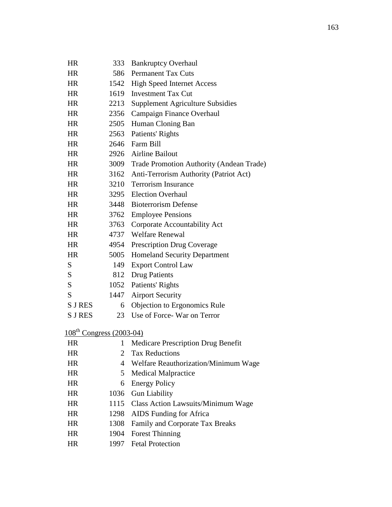| <b>HR</b>                            | 333          | <b>Bankruptcy Overhaul</b>                    |  |  |
|--------------------------------------|--------------|-----------------------------------------------|--|--|
| <b>HR</b>                            |              | 586 Permanent Tax Cuts                        |  |  |
| <b>HR</b>                            | 1542         | <b>High Speed Internet Access</b>             |  |  |
| <b>HR</b>                            | 1619         | <b>Investment Tax Cut</b>                     |  |  |
| <b>HR</b>                            |              | 2213 Supplement Agriculture Subsidies         |  |  |
| <b>HR</b>                            | 2356         | Campaign Finance Overhaul                     |  |  |
| <b>HR</b>                            | 2505         | Human Cloning Ban                             |  |  |
| HR                                   | 2563         | Patients' Rights                              |  |  |
| <b>HR</b>                            |              | 2646 Farm Bill                                |  |  |
| <b>HR</b>                            |              | 2926 Airline Bailout                          |  |  |
| HR                                   |              | 3009 Trade Promotion Authority (Andean Trade) |  |  |
| <b>HR</b>                            |              | 3162 Anti-Terrorism Authority (Patriot Act)   |  |  |
| <b>HR</b>                            | 3210         | <b>Terrorism Insurance</b>                    |  |  |
| HR                                   | 3295         | <b>Election Overhaul</b>                      |  |  |
| <b>HR</b>                            |              | 3448 Bioterrorism Defense                     |  |  |
| <b>HR</b>                            | 3762         | <b>Employee Pensions</b>                      |  |  |
| <b>HR</b>                            | 3763         | Corporate Accountability Act                  |  |  |
| <b>HR</b>                            |              | 4737 Welfare Renewal                          |  |  |
| <b>HR</b>                            | 4954         | <b>Prescription Drug Coverage</b>             |  |  |
| <b>HR</b>                            | 5005         | <b>Homeland Security Department</b>           |  |  |
| S                                    | 149          | <b>Export Control Law</b>                     |  |  |
| S                                    | 812          | <b>Drug Patients</b>                          |  |  |
| S                                    | 1052         | Patients' Rights                              |  |  |
| S                                    | 1447         | <b>Airport Security</b>                       |  |  |
| <b>SJRES</b>                         | 6            | Objection to Ergonomics Rule                  |  |  |
| <b>S J RES</b>                       | 23           | Use of Force-War on Terror                    |  |  |
| 108 <sup>th</sup> Congress (2003-04) |              |                                               |  |  |
| HR                                   | $\mathbf{1}$ | <b>Medicare Prescription Drug Benefit</b>     |  |  |
| HR                                   | 2            | <b>Tax Reductions</b>                         |  |  |
| <b>HR</b>                            | 4            | Welfare Reauthorization/Minimum Wage          |  |  |
| <b>HR</b>                            | 5            | <b>Medical Malpractice</b>                    |  |  |
| HR                                   | 6            | <b>Energy Policy</b>                          |  |  |
| <b>HR</b>                            | 1036         | <b>Gun Liability</b>                          |  |  |
| HR                                   | 1115         | <b>Class Action Lawsuits/Minimum Wage</b>     |  |  |
| TTT                                  |              | $T\mathbf{D}a \mathbf{E}$ $\mathbf{P}$        |  |  |

- HR 1298 AIDS Funding for Africa
- HR 1308 Family and Corporate Tax Breaks
- HR 1904 Forest Thinning
- HR 1997 Fetal Protection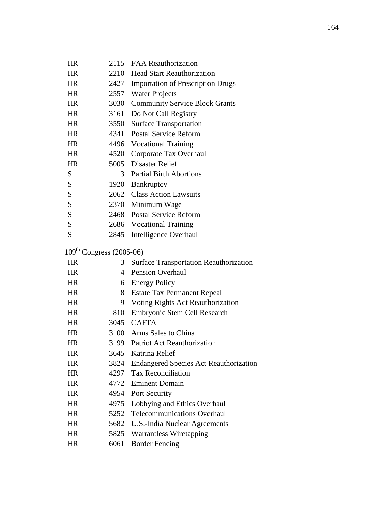| HR        | 2115                                 | <b>FAA Reauthorization</b>                    |  |
|-----------|--------------------------------------|-----------------------------------------------|--|
| <b>HR</b> | 2210                                 | <b>Head Start Reauthorization</b>             |  |
| <b>HR</b> | 2427                                 | <b>Importation of Prescription Drugs</b>      |  |
| <b>HR</b> | 2557                                 | <b>Water Projects</b>                         |  |
| HR        | 3030                                 | <b>Community Service Block Grants</b>         |  |
| <b>HR</b> | 3161                                 | Do Not Call Registry                          |  |
| <b>HR</b> | 3550                                 | <b>Surface Transportation</b>                 |  |
| HR.       | 4341                                 | <b>Postal Service Reform</b>                  |  |
| HR        |                                      | 4496 Vocational Training                      |  |
| <b>HR</b> | 4520                                 | Corporate Tax Overhaul                        |  |
| <b>HR</b> | 5005                                 | Disaster Relief                               |  |
| S         | 3 <sup>1</sup>                       | <b>Partial Birth Abortions</b>                |  |
| S         | 1920                                 | Bankruptcy                                    |  |
| S         |                                      | 2062 Class Action Lawsuits                    |  |
| S         |                                      | 2370 Minimum Wage                             |  |
| S         | 2468                                 | <b>Postal Service Reform</b>                  |  |
| S         |                                      | 2686 Vocational Training                      |  |
| S         | 2845                                 | Intelligence Overhaul                         |  |
|           | 109 <sup>th</sup> Congress (2005-06) |                                               |  |
| <b>HR</b> | 3                                    | <b>Surface Transportation Reauthorization</b> |  |
| <b>HR</b> | 4                                    | <b>Pension Overhaul</b>                       |  |
| <b>HR</b> | 6                                    | <b>Energy Policy</b>                          |  |
| <b>HR</b> | 8                                    | <b>Estate Tax Permanent Repeal</b>            |  |
| HR        | 9                                    | Voting Rights Act Reauthorization             |  |
| <b>HR</b> | 810                                  | Embryonic Stem Cell Research                  |  |
| <b>HR</b> | 3045                                 | <b>CAFTA</b>                                  |  |
| HR        | 3100                                 | Arms Sales to China                           |  |
| HR        | 3199                                 | <b>Patriot Act Reauthorization</b>            |  |
| HR        | 3645                                 | Katrina Relief                                |  |
| <b>HR</b> | 3824                                 | <b>Endangered Species Act Reauthorization</b> |  |
| <b>HR</b> |                                      |                                               |  |
| <b>HR</b> | 4297                                 | <b>Tax Reconciliation</b>                     |  |
|           | 4772                                 | <b>Eminent Domain</b>                         |  |
| <b>HR</b> | 4954                                 | Port Security                                 |  |
| <b>HR</b> | 4975                                 | Lobbying and Ethics Overhaul                  |  |
| <b>HR</b> | 5252                                 | <b>Telecommunications Overhaul</b>            |  |
| <b>HR</b> | 5682                                 | U.S.-India Nuclear Agreements                 |  |
| <b>HR</b> | 5825                                 | <b>Warrantless Wiretapping</b>                |  |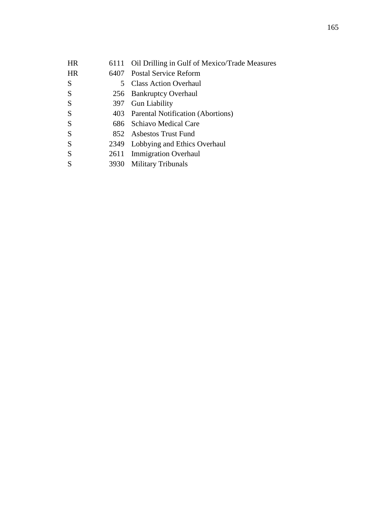| <b>HR</b> |      | 6111 Oil Drilling in Gulf of Mexico/Trade Measures |
|-----------|------|----------------------------------------------------|
| <b>HR</b> |      | 6407 Postal Service Reform                         |
| S         |      | 5 Class Action Overhaul                            |
| S         |      | 256 Bankruptcy Overhaul                            |
| S         |      | 397 Gun Liability                                  |
| S         |      | 403 Parental Notification (Abortions)              |
| S         |      | 686 Schiavo Medical Care                           |
| S         |      | 852 Asbestos Trust Fund                            |
| S         |      | 2349 Lobbying and Ethics Overhaul                  |
| S         |      | 2611 Immigration Overhaul                          |
| S         | 3930 | <b>Military Tribunals</b>                          |
|           |      |                                                    |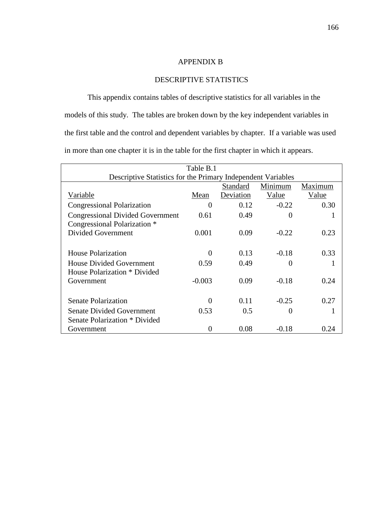#### APPENDIX B

### DESCRIPTIVE STATISTICS

 This appendix contains tables of descriptive statistics for all variables in the models of this study. The tables are broken down by the key independent variables in the first table and the control and dependent variables by chapter. If a variable was used in more than one chapter it is in the table for the first chapter in which it appears.

| Table B.1                                                    |          |           |          |       |  |  |  |
|--------------------------------------------------------------|----------|-----------|----------|-------|--|--|--|
| Descriptive Statistics for the Primary Independent Variables |          |           |          |       |  |  |  |
| Minimum<br>Standard<br>Maximum                               |          |           |          |       |  |  |  |
| Variable                                                     | Mean     | Deviation | Value    | Value |  |  |  |
| <b>Congressional Polarization</b>                            | $\Omega$ | 0.12      | $-0.22$  | 0.30  |  |  |  |
| <b>Congressional Divided Government</b>                      | 0.61     | 0.49      | 0        |       |  |  |  |
| Congressional Polarization *                                 |          |           |          |       |  |  |  |
| <b>Divided Government</b>                                    | 0.001    | 0.09      | $-0.22$  | 0.23  |  |  |  |
|                                                              |          |           |          |       |  |  |  |
| <b>House Polarization</b>                                    |          | 0.13      | $-0.18$  | 0.33  |  |  |  |
| House Divided Government                                     | 0.59     | 0.49      | $\theta$ |       |  |  |  |
| House Polarization * Divided                                 |          |           |          |       |  |  |  |
| Government                                                   | $-0.003$ | 0.09      | $-0.18$  | 0.24  |  |  |  |
|                                                              |          |           |          |       |  |  |  |
| <b>Senate Polarization</b>                                   | $\Omega$ | 0.11      | $-0.25$  | 0.27  |  |  |  |
| <b>Senate Divided Government</b>                             | 0.53     | 0.5       | 0        |       |  |  |  |
| Senate Polarization * Divided                                |          |           |          |       |  |  |  |
| Government                                                   | 0        | 0.08      | $-0.18$  | 0.24  |  |  |  |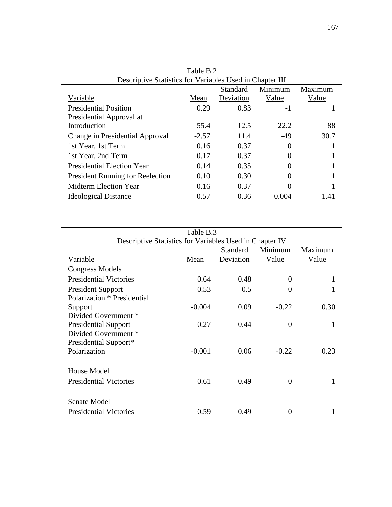| Table B.2                                                |         |           |          |         |  |  |  |
|----------------------------------------------------------|---------|-----------|----------|---------|--|--|--|
| Descriptive Statistics for Variables Used in Chapter III |         |           |          |         |  |  |  |
|                                                          |         | Standard  | Minimum  | Maximum |  |  |  |
| Variable                                                 | Mean    | Deviation | Value    | Value   |  |  |  |
| <b>Presidential Position</b>                             | 0.29    | 0.83      | $-1$     |         |  |  |  |
| Presidential Approval at                                 |         |           |          |         |  |  |  |
| Introduction                                             | 55.4    | 12.5      | 22.2     | 88      |  |  |  |
| Change in Presidential Approval                          | $-2.57$ | 11.4      | $-49$    | 30.7    |  |  |  |
| 1st Year, 1st Term                                       | 0.16    | 0.37      | $\Omega$ |         |  |  |  |
| 1st Year, 2nd Term                                       | 0.17    | 0.37      |          |         |  |  |  |
| <b>Presidential Election Year</b>                        | 0.14    | 0.35      |          |         |  |  |  |
| <b>President Running for Reelection</b>                  | 0.10    | 0.30      |          |         |  |  |  |
| Midterm Election Year                                    | 0.16    | 0.37      |          |         |  |  |  |
| <b>Ideological Distance</b>                              | 0.57    | 0.36      | 0.004    | 1.41    |  |  |  |

| Table B.3                                               |          |           |          |         |  |  |
|---------------------------------------------------------|----------|-----------|----------|---------|--|--|
| Descriptive Statistics for Variables Used in Chapter IV |          |           |          |         |  |  |
|                                                         |          | Standard  | Minimum  | Maximum |  |  |
| Variable                                                | Mean     | Deviation | Value    | Value   |  |  |
| <b>Congress Models</b>                                  |          |           |          |         |  |  |
| <b>Presidential Victories</b>                           | 0.64     | 0.48      | $\Omega$ |         |  |  |
| <b>President Support</b>                                | 0.53     | 0.5       | $\Omega$ |         |  |  |
| Polarization * Presidential                             |          |           |          |         |  |  |
| Support                                                 | $-0.004$ | 0.09      | $-0.22$  | 0.30    |  |  |
| Divided Government *                                    |          |           |          |         |  |  |
| <b>Presidential Support</b>                             | 0.27     | 0.44      | $\Omega$ |         |  |  |
| Divided Government *                                    |          |           |          |         |  |  |
| Presidential Support*                                   |          |           |          |         |  |  |
| Polarization                                            | $-0.001$ | 0.06      | $-0.22$  | 0.23    |  |  |
|                                                         |          |           |          |         |  |  |
| House Model                                             |          |           |          |         |  |  |
| <b>Presidential Victories</b>                           | 0.61     | 0.49      | $\Omega$ |         |  |  |
|                                                         |          |           |          |         |  |  |
| Senate Model                                            |          |           |          |         |  |  |
| <b>Presidential Victories</b>                           | 0.59     | 0.49      | $\Omega$ |         |  |  |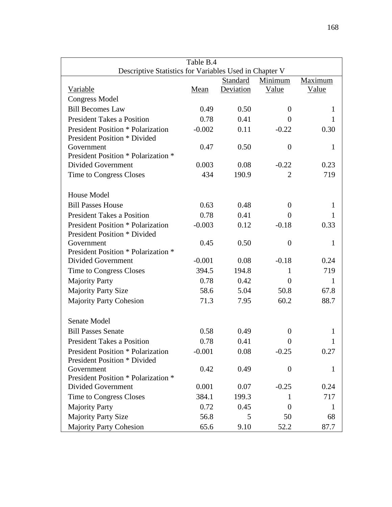| Table B.4                                              |          |           |                  |              |  |  |
|--------------------------------------------------------|----------|-----------|------------------|--------------|--|--|
| Descriptive Statistics for Variables Used in Chapter V |          |           |                  |              |  |  |
|                                                        |          | Standard  | Minimum          | Maximum      |  |  |
| <b>Variable</b>                                        | Mean     | Deviation | Value            | Value        |  |  |
| <b>Congress Model</b>                                  |          |           |                  |              |  |  |
| <b>Bill Becomes Law</b>                                | 0.49     | 0.50      | $\theta$         | 1            |  |  |
| <b>President Takes a Position</b>                      | 0.78     | 0.41      | $\Omega$         | 1            |  |  |
| <b>President Position * Polarization</b>               | $-0.002$ | 0.11      | $-0.22$          | 0.30         |  |  |
| <b>President Position * Divided</b>                    |          |           |                  |              |  |  |
| Government                                             | 0.47     | 0.50      | $\boldsymbol{0}$ | 1            |  |  |
| President Position * Polarization *                    |          |           |                  |              |  |  |
| Divided Government                                     | 0.003    | 0.08      | $-0.22$          | 0.23         |  |  |
| Time to Congress Closes                                | 434      | 190.9     | $\overline{2}$   | 719          |  |  |
| House Model                                            |          |           |                  |              |  |  |
| <b>Bill Passes House</b>                               | 0.63     | 0.48      | $\overline{0}$   | $\mathbf{1}$ |  |  |
| <b>President Takes a Position</b>                      | 0.78     | 0.41      | $\Omega$         | 1            |  |  |
| <b>President Position * Polarization</b>               | $-0.003$ | 0.12      | $-0.18$          | 0.33         |  |  |
| <b>President Position * Divided</b>                    |          |           |                  |              |  |  |
| Government                                             | 0.45     | 0.50      | $\theta$         | 1            |  |  |
| President Position * Polarization *                    |          |           |                  |              |  |  |
| Divided Government                                     | $-0.001$ | 0.08      | $-0.18$          | 0.24         |  |  |
| Time to Congress Closes                                | 394.5    | 194.8     | $\mathbf{1}$     | 719          |  |  |
| <b>Majority Party</b>                                  | 0.78     | 0.42      | $\Omega$         | 1            |  |  |
| <b>Majority Party Size</b>                             | 58.6     | 5.04      | 50.8             | 67.8         |  |  |
| <b>Majority Party Cohesion</b>                         | 71.3     | 7.95      | 60.2             | 88.7         |  |  |
|                                                        |          |           |                  |              |  |  |
| Senate Model                                           |          |           |                  |              |  |  |
| <b>Bill Passes Senate</b>                              | 0.58     | 0.49      | $\boldsymbol{0}$ | 1            |  |  |
| <b>President Takes a Position</b>                      | 0.78     | 0.41      | $\boldsymbol{0}$ |              |  |  |
| <b>President Position * Polarization</b>               | $-0.001$ | 0.08      | $-0.25$          | 0.27         |  |  |
| <b>President Position * Divided</b>                    |          |           |                  |              |  |  |
| Government                                             | 0.42     | 0.49      | $\theta$         | 1            |  |  |
| President Position * Polarization *                    |          |           |                  |              |  |  |
| Divided Government                                     | 0.001    | 0.07      | $-0.25$          | 0.24         |  |  |
| Time to Congress Closes                                | 384.1    | 199.3     | 1                | 717          |  |  |
| <b>Majority Party</b>                                  | 0.72     | 0.45      | $\overline{0}$   | 1            |  |  |
| <b>Majority Party Size</b>                             | 56.8     | 5         | 50               | 68           |  |  |
| <b>Majority Party Cohesion</b>                         | 65.6     | 9.10      | 52.2             | 87.7         |  |  |